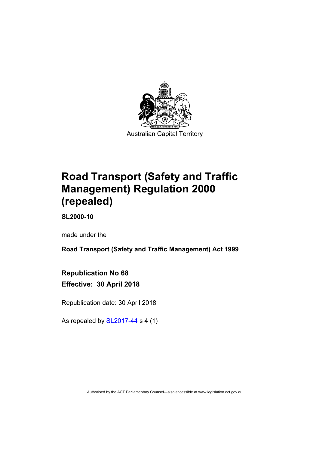

# **Road Transport (Safety and Traffic Management) Regulation 2000 (repealed)**

**SL2000-10** 

made under the

**Road Transport (Safety and Traffic Management) Act 1999** 

# **Republication No 68 Effective: 30 April 2018**

Republication date: 30 April 2018

As repealed by [SL2017-44](http://www.legislation.act.gov.au/sl/2017-44/default.asp) s 4 (1)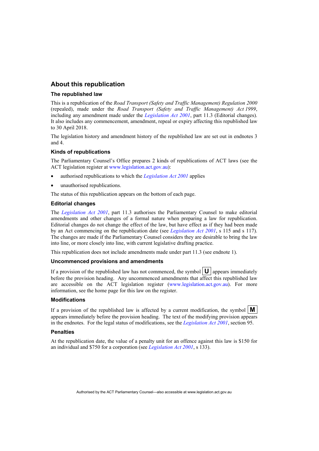#### **About this republication**

#### **The republished law**

This is a republication of the *Road Transport (Safety and Traffic Management) Regulation 2000* (repealed), made under the *Road Transport (Safety and Traffic Management) Act 1999*, including any amendment made under the *[Legislation Act 2001](http://www.legislation.act.gov.au/a/2001-14)*, part 11.3 (Editorial changes). It also includes any commencement, amendment, repeal or expiry affecting this republished law to 30 April 2018.

The legislation history and amendment history of the republished law are set out in endnotes 3 and 4.

#### **Kinds of republications**

The Parliamentary Counsel's Office prepares 2 kinds of republications of ACT laws (see the ACT legislation register at [www.legislation.act.gov.au](http://www.legislation.act.gov.au/)):

- authorised republications to which the *[Legislation Act 2001](http://www.legislation.act.gov.au/a/2001-14)* applies
- unauthorised republications.

The status of this republication appears on the bottom of each page.

#### **Editorial changes**

The *[Legislation Act 2001](http://www.legislation.act.gov.au/a/2001-14)*, part 11.3 authorises the Parliamentary Counsel to make editorial amendments and other changes of a formal nature when preparing a law for republication. Editorial changes do not change the effect of the law, but have effect as if they had been made by an Act commencing on the republication date (see *[Legislation Act 2001](http://www.legislation.act.gov.au/a/2001-14)*, s 115 and s 117). The changes are made if the Parliamentary Counsel considers they are desirable to bring the law into line, or more closely into line, with current legislative drafting practice.

This republication does not include amendments made under part 11.3 (see endnote 1).

#### **Uncommenced provisions and amendments**

If a provision of the republished law has not commenced, the symbol  $|\mathbf{U}|$  appears immediately before the provision heading. Any uncommenced amendments that affect this republished law are accessible on the ACT legislation register [\(www.legislation.act.gov.au](http://www.legislation.act.gov.au/)). For more information, see the home page for this law on the register.

#### **Modifications**

If a provision of the republished law is affected by a current modification, the symbol  $\mathbf{M}$ appears immediately before the provision heading. The text of the modifying provision appears in the endnotes. For the legal status of modifications, see the *[Legislation Act 2001](http://www.legislation.act.gov.au/a/2001-14)*, section 95.

#### **Penalties**

At the republication date, the value of a penalty unit for an offence against this law is \$150 for an individual and \$750 for a corporation (see *[Legislation Act 2001](http://www.legislation.act.gov.au/a/2001-14)*, s 133).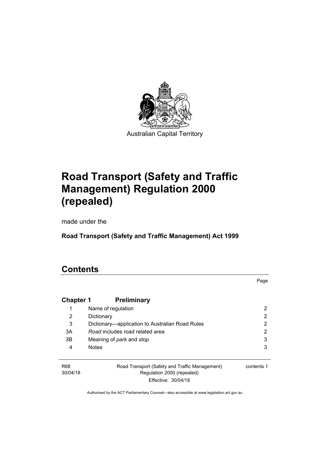

# **Road Transport (Safety and Traffic Management) Regulation 2000 (repealed)**

made under the

**Road Transport (Safety and Traffic Management) Act 1999** 

# **Contents**

|                  |                                                 | Page |
|------------------|-------------------------------------------------|------|
| <b>Chapter 1</b> | <b>Preliminary</b>                              |      |
| 1                | Name of regulation                              | 2    |
| 2                | Dictionary                                      | 2    |
| 3                | Dictionary-application to Australian Road Rules | 2    |
| 3A               | Road includes road related area                 | 2    |
| 3B               | Meaning of park and stop                        | 3    |
| 4                | <b>Notes</b>                                    | 3    |
|                  |                                                 |      |

R68 30/04/18 Road Transport (Safety and Traffic Management) Regulation 2000 (repealed) Effective: 30/04/18

contents 1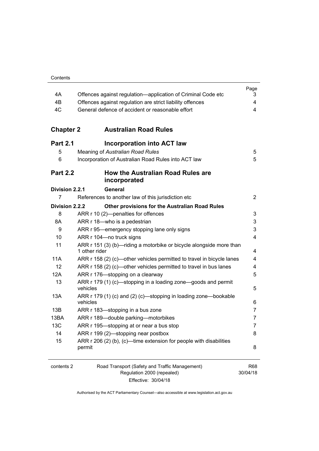| 4A<br>4B<br>4C   | Offences against regulation-application of Criminal Code etc<br>Offences against regulation are strict liability offences<br>General defence of accident or reasonable effort | Page<br>3.<br>4<br>4   |
|------------------|-------------------------------------------------------------------------------------------------------------------------------------------------------------------------------|------------------------|
| <b>Chapter 2</b> | <b>Australian Road Rules</b>                                                                                                                                                  |                        |
| <b>Part 2.1</b>  | <b>Incorporation into ACT law</b>                                                                                                                                             |                        |
| 5                | Meaning of Australian Road Rules                                                                                                                                              | 5                      |
| 6                | Incorporation of Australian Road Rules into ACT law                                                                                                                           | 5                      |
| <b>Part 2.2</b>  | <b>How the Australian Road Rules are</b><br>incorporated                                                                                                                      |                        |
| Division 2.2.1   | <b>General</b>                                                                                                                                                                |                        |
| 7                | References to another law of this jurisdiction etc                                                                                                                            | $\overline{2}$         |
| Division 2.2.2   | Other provisions for the Australian Road Rules                                                                                                                                |                        |
| 8                | ARR r 10 (2)-penalties for offences                                                                                                                                           | 3                      |
| 8A               | ARR r 18-who is a pedestrian                                                                                                                                                  | 3                      |
| 9                | ARR r 95—emergency stopping lane only signs                                                                                                                                   | 3                      |
| 10               | ARR r 104-no truck signs                                                                                                                                                      | 4                      |
| 11               | ARR r 151 (3) (b)-riding a motorbike or bicycle alongside more than<br>1 other rider                                                                                          | 4                      |
| <b>11A</b>       | ARR r 158 (2) (c)—other vehicles permitted to travel in bicycle lanes                                                                                                         | 4                      |
| 12               | ARR r 158 (2) (c)-other vehicles permitted to travel in bus lanes                                                                                                             | 4                      |
| 12A              | ARR r 176-stopping on a clearway                                                                                                                                              | 5                      |
| 13               | ARR r 179 (1) (c)-stopping in a loading zone-goods and permit<br>vehicles                                                                                                     | 5                      |
| 13A              | ARR r 179 (1) (c) and (2) (c)—stopping in loading zone—bookable                                                                                                               |                        |
|                  | vehicles                                                                                                                                                                      | 6                      |
| 13B              | ARR r 183-stopping in a bus zone                                                                                                                                              | 7                      |
| 13BA             | ARR r 189-double parking-motorbikes                                                                                                                                           | 7                      |
| 13C              | ARR r 195—stopping at or near a bus stop                                                                                                                                      |                        |
| 14               | ARR r 199 (2)-stopping near postbox                                                                                                                                           | 8                      |
| 15               | ARR r 206 (2) (b), (c)—time extension for people with disabilities<br>permit                                                                                                  | 8                      |
| contents 2       | Road Transport (Safety and Traffic Management)<br>Regulation 2000 (repealed)                                                                                                  | <b>R68</b><br>30/04/18 |

Effective: 30/04/18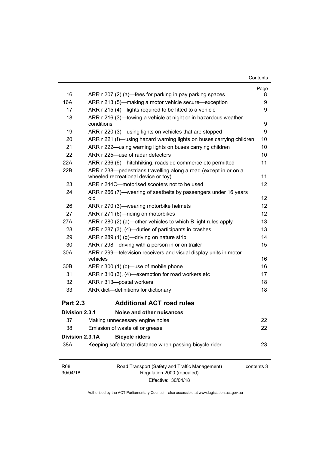| Contents |
|----------|
|----------|

| 16              | ARR r 207 (2) (a)—fees for parking in pay parking spaces                                                | Page<br>8 |
|-----------------|---------------------------------------------------------------------------------------------------------|-----------|
| 16A             | ARR r 213 (5)—making a motor vehicle secure—exception                                                   | 9         |
| 17              | ARR r 215 (4)—lights required to be fitted to a vehicle                                                 | 9         |
| 18              | ARR r 216 (3)—towing a vehicle at night or in hazardous weather                                         |           |
|                 | conditions                                                                                              | 9         |
| 19              | ARR r 220 (3)—using lights on vehicles that are stopped                                                 | 9         |
| 20              | ARR r 221 (f)—using hazard warning lights on buses carrying children                                    | 10        |
| 21              | ARR r 222—using warning lights on buses carrying children                                               | 10        |
| 22              | ARR r 225—use of radar detectors                                                                        | 10        |
| 22A             | ARR r 236 (6)—hitchhiking, roadside commerce etc permitted                                              | 11        |
| 22B             | ARR r 238—pedestrians travelling along a road (except in or on a<br>wheeled recreational device or toy) | 11        |
| 23              | ARR r 244C-motorised scooters not to be used                                                            | 12        |
| 24              | ARR r 266 (7)—wearing of seatbelts by passengers under 16 years<br>old                                  | 12        |
| 26              | ARR r 270 (3)—wearing motorbike helmets                                                                 | 12        |
| 27              | ARR r 271 (6)-riding on motorbikes                                                                      | 12        |
| 27A             | ARR r 280 (2) (a)—other vehicles to which B light rules apply                                           | 13        |
| 28              | ARR r 287 (3), (4)—duties of participants in crashes                                                    | 13        |
| 29              | ARR r 289 (1) (g)—driving on nature strip                                                               | 14        |
| 30              | ARR r 298-driving with a person in or on trailer                                                        | 15        |
| 30A             | ARR r 299—television receivers and visual display units in motor<br>vehicles                            | 16        |
| 30 <sub>B</sub> | ARR r 300 (1) (c)—use of mobile phone                                                                   | 16        |
| 31              | ARR r 310 (3), (4)—exemption for road workers etc                                                       | 17        |
| 32              | ARR r 313-postal workers                                                                                | 18        |
| 33              | ARR dict-definitions for dictionary                                                                     | 18        |
| <b>Part 2.3</b> | <b>Additional ACT road rules</b>                                                                        |           |
| Division 2.3.1  | Noise and other nuisances                                                                               |           |
| 37              | Making unnecessary engine noise                                                                         | 22        |
| 38              | Emission of waste oil or grease                                                                         | 22        |
| Division 2.3.1A | <b>Bicycle riders</b>                                                                                   |           |
| 38A             | Keeping safe lateral distance when passing bicycle rider                                                | 23        |
| R <sub>68</sub> | Road Transport (Safety and Traffic Management) contents 3                                               |           |

| R68      | Road Transport (Safety and Traffic Management) | contents 3 |
|----------|------------------------------------------------|------------|
| 30/04/18 | Regulation 2000 (repealed)                     |            |
|          | Effective: 30/04/18                            |            |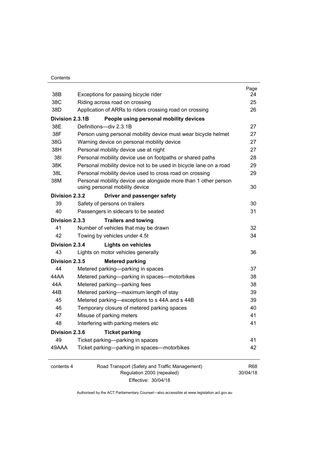#### **Contents**

| 38B             | Exceptions for passing bicycle rider                                                                                                             | Page<br>24 |
|-----------------|--------------------------------------------------------------------------------------------------------------------------------------------------|------------|
| 38C             | Riding across road on crossing                                                                                                                   | 25         |
| 38D             | Application of ARRs to riders crossing road on crossing                                                                                          | 26         |
| Division 2.3.1B | People using personal mobility devices                                                                                                           |            |
| 38E             | Definitions-div 2.3.1B                                                                                                                           | 27         |
| 38F             | Person using personal mobility device must wear bicycle helmet                                                                                   | 27         |
| 38G             | Warning device on personal mobility device<br>Personal mobility device use at night<br>Personal mobility device use on footpaths or shared paths | 27         |
| 38H<br>381      |                                                                                                                                                  | 27         |
|                 |                                                                                                                                                  | 28         |
| 38K             | Personal mobility device not to be used in bicycle lane on a road                                                                                | 29         |
| 38L             | Personal mobility device used to cross road on crossing                                                                                          | 29         |
| 38M             | Personal mobility device use alongside more than 1 other person<br>using personal mobility device                                                | 30         |
| Division 2.3.2  | Driver and passenger safety                                                                                                                      |            |
| 39              | Safety of persons on trailers                                                                                                                    | 30         |
| 40              | Passengers in sidecars to be seated                                                                                                              | 31         |
| Division 2.3.3  | <b>Trailers and towing</b>                                                                                                                       |            |
| 41              | Number of vehicles that may be drawn                                                                                                             | 32         |
| 42              | Towing by vehicles under 4.5t                                                                                                                    | 34         |
| Division 2.3.4  | <b>Lights on vehicles</b>                                                                                                                        |            |
| 43              | Lights on motor vehicles generally                                                                                                               | 36         |
| Division 2.3.5  | <b>Metered parking</b>                                                                                                                           |            |
| 44              | Metered parking-parking in spaces                                                                                                                | 37         |
| 44 A A          | Metered parking-parking in spaces-motorbikes                                                                                                     | 38         |
| 44A             | Metered parking-parking fees                                                                                                                     | 38         |
| 44B             | Metered parking-maximum length of stay                                                                                                           | 39         |
| 45              | Metered parking-exceptions to s 44A and s 44B                                                                                                    | 39         |
| 46              | Temporary closure of metered parking spaces                                                                                                      | 40         |
| 47              | Misuse of parking meters                                                                                                                         | 41         |
| 48              | Interfering with parking meters etc                                                                                                              | 41         |
| Division 2.3.6  | <b>Ticket parking</b>                                                                                                                            |            |
| 49              | Ticket parking-parking in spaces                                                                                                                 | 41         |
| 49AAA           | Ticket parking-parking in spaces-motorbikes                                                                                                      | 42         |
| contents 4      | Road Transport (Safety and Traffic Management)                                                                                                   | <b>R68</b> |
|                 | Regulation 2000 (repealed)                                                                                                                       | 30/04/18   |
|                 |                                                                                                                                                  |            |

Effective: 30/04/18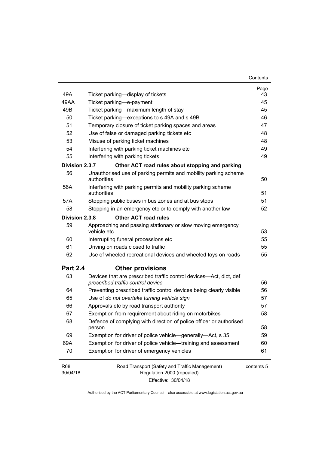| 49A             | Ticket parking—display of tickets                                                                       | Page<br>43 |
|-----------------|---------------------------------------------------------------------------------------------------------|------------|
| 49AA            | Ticket parking-e-payment                                                                                | 45         |
| 49B             | Ticket parking—maximum length of stay                                                                   | 45         |
| 50              | Ticket parking—exceptions to s 49A and s 49B                                                            | 46         |
| 51              | Temporary closure of ticket parking spaces and areas                                                    | 47         |
| 52              | Use of false or damaged parking tickets etc                                                             | 48         |
| 53              | Misuse of parking ticket machines                                                                       | 48         |
| 54              | Interfering with parking ticket machines etc                                                            | 49         |
| 55              | Interfering with parking tickets                                                                        | 49         |
| Division 2.3.7  | Other ACT road rules about stopping and parking                                                         |            |
| 56              | Unauthorised use of parking permits and mobility parking scheme<br>authorities                          | 50         |
| 56A             | Interfering with parking permits and mobility parking scheme<br>authorities                             | 51         |
| 57A             | Stopping public buses in bus zones and at bus stops                                                     | 51         |
| 58              | Stopping in an emergency etc or to comply with another law                                              | 52         |
| Division 2.3.8  | <b>Other ACT road rules</b>                                                                             |            |
| 59              | Approaching and passing stationary or slow moving emergency<br>vehicle etc                              | 53         |
| 60              | Interrupting funeral processions etc                                                                    | 55         |
| 61              | Driving on roads closed to traffic                                                                      | 55         |
| 62              | Use of wheeled recreational devices and wheeled toys on roads                                           | 55         |
| <b>Part 2.4</b> | <b>Other provisions</b>                                                                                 |            |
| 63              | Devices that are prescribed traffic control devices—Act, dict, def<br>prescribed traffic control device | 56         |
| 64              | Preventing prescribed traffic control devices being clearly visible                                     | 56         |
| 65              | Use of do not overtake turning vehicle sign                                                             | 57         |
| 66              | Approvals etc by road transport authority                                                               | 57         |
| 67              | Exemption from requirement about riding on motorbikes                                                   | 58         |
| 68              | Defence of complying with direction of police officer or authorised<br>person                           | 58         |
| 69              | Exemption for driver of police vehicle—generally—Act, s 35                                              | 59         |
| 69A             | Exemption for driver of police vehicle-training and assessment                                          | 60         |
| 70              | Exemption for driver of emergency vehicles                                                              | 61         |
| R68<br>30/04/18 | Road Transport (Safety and Traffic Management)<br>Regulation 2000 (repealed)                            | contents 5 |

Effective: 30/04/18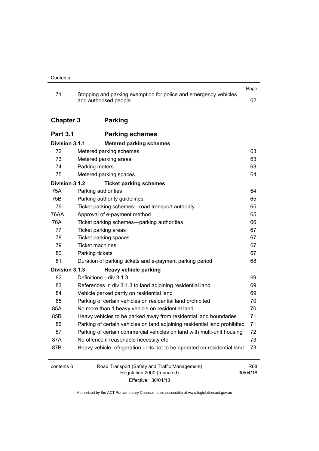|                  |                                                                                           | Page       |
|------------------|-------------------------------------------------------------------------------------------|------------|
| 71               | Stopping and parking exemption for police and emergency vehicles<br>and authorised people | 62         |
|                  |                                                                                           |            |
| <b>Chapter 3</b> | <b>Parking</b>                                                                            |            |
| <b>Part 3.1</b>  | <b>Parking schemes</b>                                                                    |            |
| Division 3.1.1   | <b>Metered parking schemes</b>                                                            |            |
| 72               | Metered parking schemes                                                                   | 63         |
| 73               | Metered parking areas                                                                     | 63         |
| 74               | Parking meters                                                                            | 63         |
| 75               | Metered parking spaces                                                                    | 64         |
| Division 3.1.2   | <b>Ticket parking schemes</b>                                                             |            |
| 75A              | Parking authorities                                                                       | 64         |
| 75B              | Parking authority guidelines                                                              | 65         |
| 76               | Ticket parking schemes-road transport authority                                           | 65         |
| 76AA             | Approval of e-payment method                                                              | 65         |
| 76A              | Ticket parking schemes—parking authorities                                                | 66         |
| 77               | <b>Ticket parking areas</b>                                                               | 67         |
| 78               | Ticket parking spaces                                                                     | 67         |
| 79               | <b>Ticket machines</b>                                                                    | 67         |
| 80               | Parking tickets                                                                           | 67         |
| 81               | Duration of parking tickets and e-payment parking period                                  | 68         |
| Division 3.1.3   | <b>Heavy vehicle parking</b>                                                              |            |
| 82               | Definitions-div 3.1.3                                                                     | 69         |
| 83               | References in div 3.1.3 to land adjoining residential land                                | 69         |
| 84               | Vehicle parked partly on residential land                                                 | 69         |
| 85               | Parking of certain vehicles on residential land prohibited                                | 70         |
| 85A              | No more than 1 heavy vehicle on residential land                                          | 70         |
| 85B              | Heavy vehicles to be parked away from residential land boundaries                         | 71         |
| 86               | Parking of certain vehicles on land adjoining residential land prohibited                 | 71         |
| 87               | Parking of certain commercial vehicles on land with multi-unit housing                    | 72         |
| 87A              | No offence if reasonable necessity etc                                                    | 73         |
| 87B              | Heavy vehicle refrigeration units not to be operated on residential land                  | 73         |
| contents 6       | Road Transport (Safety and Traffic Management)                                            | <b>R68</b> |
|                  | Regulation 2000 (repealed)                                                                | 30/04/18   |

Effective: 30/04/18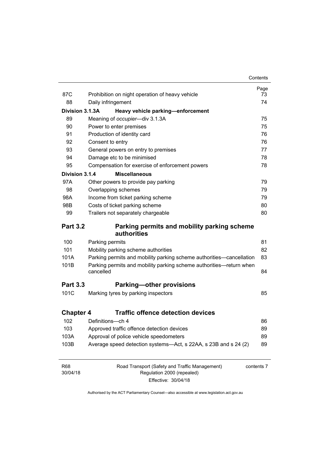|                         | Contents                                                                              |             |
|-------------------------|---------------------------------------------------------------------------------------|-------------|
| 87C                     | Prohibition on night operation of heavy vehicle                                       | Page<br>73. |
| 88                      | Daily infringement                                                                    | 74          |
| Division 3.1.3A         | Heavy vehicle parking-enforcement                                                     |             |
| 89                      | Meaning of occupier-div 3.1.3A                                                        | 75          |
| 90                      | Power to enter premises                                                               | 75          |
| 91                      | Production of identity card                                                           | 76          |
| 92                      | Consent to entry                                                                      | 76          |
| 93                      | General powers on entry to premises                                                   | 77          |
| 94                      | Damage etc to be minimised                                                            | 78          |
| 95                      | Compensation for exercise of enforcement powers                                       | 78          |
| Division 3.1.4          | <b>Miscellaneous</b>                                                                  |             |
| 97A                     | Other powers to provide pay parking                                                   | 79          |
| 98                      | Overlapping schemes                                                                   | 79          |
| 98A                     | Income from ticket parking scheme                                                     | 79          |
| 98B                     | Costs of ticket parking scheme                                                        | 80          |
| 99                      | Trailers not separately chargeable                                                    | 80          |
| <b>Part 3.2</b>         | Parking permits and mobility parking scheme<br><b>authorities</b>                     |             |
| 100                     | Parking permits                                                                       | 81          |
| 101                     | Mobility parking scheme authorities                                                   | 82          |
| 101A                    | Parking permits and mobility parking scheme authorities—cancellation                  | 83          |
| 101B                    | Parking permits and mobility parking scheme authorities—return when<br>cancelled      | 84          |
| <b>Part 3.3</b>         | Parking-other provisions                                                              |             |
| 101C                    | Marking tyres by parking inspectors                                                   | 85          |
|                         |                                                                                       |             |
|                         |                                                                                       |             |
| <b>Chapter 4</b><br>102 | <b>Traffic offence detection devices</b><br>Definitions-ch 4                          |             |
| 103                     |                                                                                       | 86<br>89    |
| 103A                    | Approved traffic offence detection devices<br>Approval of police vehicle speedometers | 89          |

| R68      | Road Transport (Safety and Traffic Management) | contents 7 |
|----------|------------------------------------------------|------------|
| 30/04/18 | Regulation 2000 (repealed)                     |            |
|          | Effective: 30/04/18                            |            |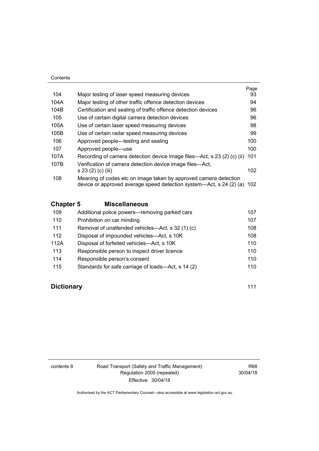|      |                                                                                                                                             | Page             |
|------|---------------------------------------------------------------------------------------------------------------------------------------------|------------------|
| 104  | Major testing of laser speed measuring devices                                                                                              | 93               |
| 104A | Major testing of other traffic offence detection devices                                                                                    | 94               |
| 104B | Certification and sealing of traffic offence detection devices                                                                              | 96               |
| 105  | Use of certain digital camera detection devices                                                                                             | 96               |
| 105A | Use of certain laser speed measuring devices                                                                                                | 98               |
| 105B | Use of certain radar speed measuring devices                                                                                                | 99               |
| 106  | Approved people—testing and sealing                                                                                                         | 100              |
| 107  | Approved people—use                                                                                                                         | 100              |
| 107A | Recording of camera detection device image files—Act, s 23 (2) (c) (ii)                                                                     | 101              |
| 107B | Verification of camera detection device image files—Act,                                                                                    |                  |
|      | s 23 (2) (c) (iii)                                                                                                                          | 102 <sub>1</sub> |
| 108  | Meaning of codes etc on image taken by approved camera detection<br>device or approved average speed detection system—Act, s 24 (2) (a) 102 |                  |
|      |                                                                                                                                             |                  |

**Chapter 5 [Miscellaneous](#page-125-0)**

| 109  | Additional police powers—removing parked cars      | 107 |
|------|----------------------------------------------------|-----|
| 110  | Prohibition on car minding                         | 107 |
| 111  | Removal of unattended vehicles—Act, s 32 (1) (c)   | 108 |
| 112  | Disposal of impounded vehicles—Act, s 10K          | 108 |
| 112A | Disposal of forfeited vehicles—Act, s 10K          | 110 |
| 113  | Responsible person to inspect driver licence       | 110 |
| 114  | Responsible person's consent                       | 110 |
| 115  | Standards for safe carriage of loads-Act, s 14 (2) | 110 |
|      |                                                    |     |

# **Dictionary** [111](#page-129-0)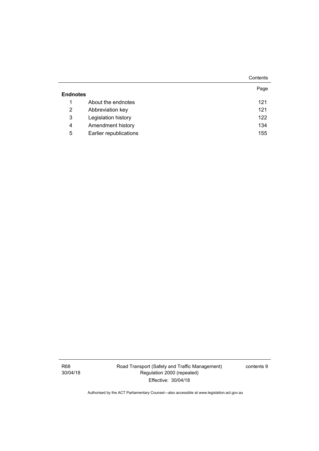|                 |                        | Contents |
|-----------------|------------------------|----------|
| <b>Endnotes</b> |                        | Page     |
| 1               | About the endnotes     | 121      |
| 2               | Abbreviation key       | 121      |
| 3               | Legislation history    | 122      |
| 4               | Amendment history      | 134      |
| 5               | Earlier republications | 155      |

R68 30/04/18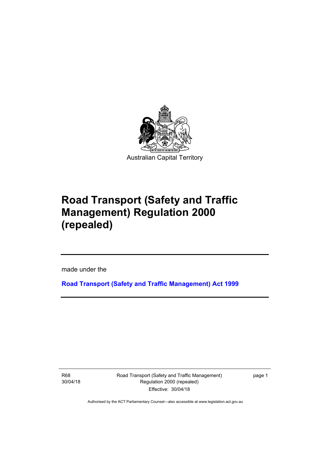

# **Road Transport (Safety and Traffic Management) Regulation 2000 (repealed)**

made under the

**[Road Transport \(Safety and Traffic Management\) Act 1999](http://www.legislation.act.gov.au/a/1999-80)**

R68 30/04/18

l

Road Transport (Safety and Traffic Management) Regulation 2000 (repealed) Effective: 30/04/18

page 1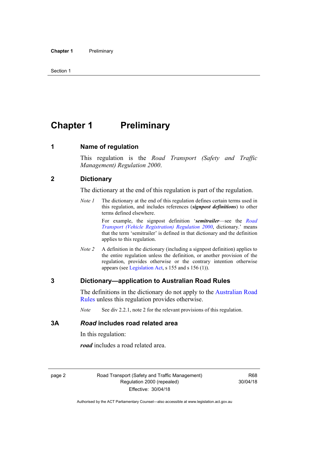# <span id="page-13-0"></span>**Chapter 1** Preliminary

#### <span id="page-13-1"></span>**1 Name of regulation**

This regulation is the *Road Transport (Safety and Traffic Management) Regulation 2000*.

#### <span id="page-13-2"></span>**2 Dictionary**

The dictionary at the end of this regulation is part of the regulation.

*Note 1* The dictionary at the end of this regulation defines certain terms used in this regulation, and includes references (*signpost definitions*) to other terms defined elsewhere.

> For example, the signpost definition '*semitrailer*—see the *[Road](http://www.legislation.act.gov.au/sl/2000-12)  [Transport \(Vehicle Registration\) Regulation 2000](http://www.legislation.act.gov.au/sl/2000-12)*, dictionary.' means that the term 'semitrailer' is defined in that dictionary and the definition applies to this regulation.

*Note 2* A definition in the dictionary (including a signpost definition) applies to the entire regulation unless the definition, or another provision of the regulation, provides otherwise or the contrary intention otherwise appears (see [Legislation Act,](http://www.legislation.act.gov.au/a/2001-14) s 155 and s 156 (1)).

#### <span id="page-13-3"></span>**3 Dictionary—application to Australian Road Rules**

The definitions in the dictionary do not apply to the [Australian Road](http://www.legislation.act.gov.au//ni/db_37271/default.asp)  [Rules](http://www.legislation.act.gov.au//ni/db_37271/default.asp) unless this regulation provides otherwise.

*Note* See div 2.2.1, note 2 for the relevant provisions of this regulation.

<span id="page-13-4"></span>**3A** *Road* **includes road related area** 

In this regulation:

*road* includes a road related area.

page 2 Road Transport (Safety and Traffic Management) Regulation 2000 (repealed) Effective: 30/04/18

R68 30/04/18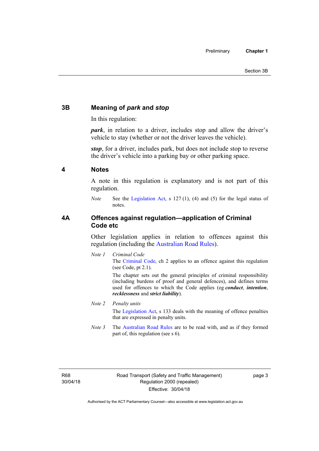# <span id="page-14-0"></span>**3B Meaning of** *park* **and** *stop*

In this regulation:

*park*, in relation to a driver, includes stop and allow the driver's vehicle to stay (whether or not the driver leaves the vehicle).

*stop*, for a driver, includes park, but does not include stop to reverse the driver's vehicle into a parking bay or other parking space.

#### <span id="page-14-1"></span>**4 Notes**

A note in this regulation is explanatory and is not part of this regulation.

*Note* See the [Legislation Act,](http://www.legislation.act.gov.au/a/2001-14) s 127 (1), (4) and (5) for the legal status of notes.

#### <span id="page-14-2"></span>**4A Offences against regulation—application of Criminal Code etc**

Other legislation applies in relation to offences against this regulation (including the [Australian Road Rules](http://www.legislation.act.gov.au//ni/db_37271/default.asp)).

*Note 1 Criminal Code* The [Criminal Code,](http://www.legislation.act.gov.au/a/2002-51) ch 2 applies to an offence against this regulation (see Code, pt 2.1).

> The chapter sets out the general principles of criminal responsibility (including burdens of proof and general defences), and defines terms used for offences to which the Code applies (eg *conduct*, *intention*, *recklessness* and *strict liability*).

#### *Note 2 Penalty units*

The [Legislation Act](http://www.legislation.act.gov.au/a/2001-14), s 133 deals with the meaning of offence penalties that are expressed in penalty units.

*Note* 3 The [Australian Road Rules](http://www.legislation.act.gov.au//ni/db_37271/default.asp) are to be read with, and as if they formed part of, this regulation (see s 6).

R68 30/04/18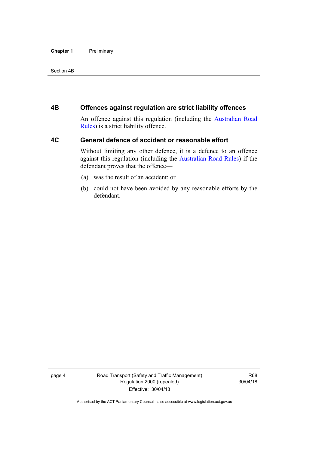#### **Chapter 1** Preliminary

#### Section 4B

#### <span id="page-15-0"></span>**4B Offences against regulation are strict liability offences**

An offence against this regulation (including the [Australian Road](http://www.legislation.act.gov.au//ni/db_37271/default.asp)  [Rules](http://www.legislation.act.gov.au//ni/db_37271/default.asp)) is a strict liability offence.

#### <span id="page-15-1"></span>**4C General defence of accident or reasonable effort**

Without limiting any other defence, it is a defence to an offence against this regulation (including the [Australian Road Rules\)](http://www.legislation.act.gov.au//ni/db_37271/default.asp) if the defendant proves that the offence—

- (a) was the result of an accident; or
- (b) could not have been avoided by any reasonable efforts by the defendant.

page 4 Road Transport (Safety and Traffic Management) Regulation 2000 (repealed) Effective: 30/04/18

R68 30/04/18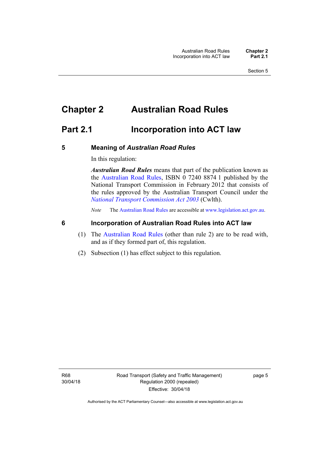# <span id="page-16-0"></span>**Chapter 2 Australian Road Rules**

# <span id="page-16-1"></span>**Part 2.1 Incorporation into ACT law**

#### <span id="page-16-2"></span>**5 Meaning of** *Australian Road Rules*

In this regulation:

*Australian Road Rules* means that part of the publication known as the [Australian Road Rules](http://www.legislation.act.gov.au//ni/db_37271/default.asp), ISBN 0 7240 8874 1 published by the National Transport Commission in February 2012 that consists of the rules approved by the Australian Transport Council under the *[National Transport Commission Act 2003](http://www.comlaw.gov.au/Series/C2004A01166)* (Cwlth).

*Note* The [Australian Road Rules](http://www.legislation.act.gov.au//ni/db_37271/default.asp) are accessible at [www.legislation.act.gov.au](http://www.legislation.act.gov.au/).

#### <span id="page-16-3"></span>**6 Incorporation of Australian Road Rules into ACT law**

- (1) The [Australian Road Rules](http://www.legislation.act.gov.au//ni/db_37271/default.asp) (other than rule 2) are to be read with, and as if they formed part of, this regulation.
- (2) Subsection (1) has effect subject to this regulation.

page 5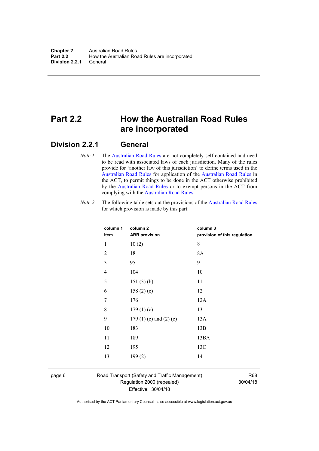# <span id="page-17-0"></span>**Part 2.2 How the Australian Road Rules are incorporated**

## <span id="page-17-1"></span>**Division 2.2.1 General**

*Note 1* The [Australian Road Rules](http://www.legislation.act.gov.au//ni/db_37271/default.asp) are not completely self-contained and need to be read with associated laws of each jurisdiction. Many of the rules provide for 'another law of this jurisdiction' to define terms used in the [Australian Road Rules](http://www.legislation.act.gov.au//ni/db_37271/default.asp) for application of the [Australian Road Rules](http://www.legislation.act.gov.au//ni/db_37271/default.asp) in the ACT, to permit things to be done in the ACT otherwise prohibited by the [Australian Road Rules](http://www.legislation.act.gov.au//ni/db_37271/default.asp) or to exempt persons in the ACT from complying with the [Australian Road Rules.](http://www.legislation.act.gov.au//ni/db_37271/default.asp)

*Note 2* The following table sets out the provisions of the [Australian Road Rules](http://www.legislation.act.gov.au//ni/db_37271/default.asp) for which provision is made by this part:

| column 1<br>item | column <sub>2</sub><br><b>ARR provision</b> | column 3<br>provision of this regulation |
|------------------|---------------------------------------------|------------------------------------------|
| 1                | 10(2)                                       | 8                                        |
| 2                | 18                                          | 8A                                       |
| $\mathfrak{Z}$   | 95                                          | 9                                        |
| 4                | 104                                         | 10                                       |
| 5                | 151(3)(b)                                   | 11                                       |
| 6                | 158 $(2)(c)$                                | 12                                       |
| 7                | 176                                         | 12A                                      |
| 8                | 179(1)(c)                                   | 13                                       |
| 9                | 179 $(1)(c)$ and $(2)(c)$                   | 13A                                      |
| 10               | 183                                         | 13B                                      |
| 11               | 189                                         | 13BA                                     |
| 12               | 195                                         | 13C                                      |
| 13               | 199(2)                                      | 14                                       |
|                  |                                             |                                          |

page 6 Road Transport (Safety and Traffic Management) Regulation 2000 (repealed) Effective: 30/04/18

R68 30/04/18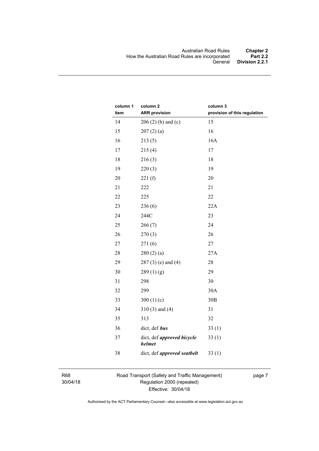| column 1<br>item | column <sub>2</sub><br><b>ARR provision</b> | column 3<br>provision of this regulation |
|------------------|---------------------------------------------|------------------------------------------|
| 14               | $206(2)$ (b) and (c)                        | 15                                       |
| 15               | 207(2)(a)                                   | 16                                       |
| 16               | 213(5)                                      | 16A                                      |
| $17$             | 215(4)                                      | 17                                       |
| 18               | 216(3)                                      | 18                                       |
| 19               | 220(3)                                      | 19                                       |
| 20               | 221(f)                                      | 20                                       |
| 21               | 222                                         | 21                                       |
| 22               | 225                                         | 22                                       |
| 23               | 236(6)                                      | 22A                                      |
| 24               | 244C                                        | 23                                       |
| 25               | 266(7)                                      | 24                                       |
| 26               | 270(3)                                      | 26                                       |
| 27               | 271(6)                                      | 27                                       |
| 28               | 280(2)(a)                                   | 27A                                      |
| 29               | $287(3)$ (e) and (4)                        | 28                                       |
| 30               | 289(1)(g)                                   | 29                                       |
| 31               | 298                                         | 30                                       |
| 32               | 299                                         | 30A                                      |
| 33               | 300 $(1)(c)$                                | 30B                                      |
| 34               | $310(3)$ and $(4)$                          | 31                                       |
| 35               | 313                                         | 32                                       |
| 36               | dict, def bus                               | 33(1)                                    |
| 37               | dict, def approved bicycle<br>helmet        | 33(1)                                    |
| 38               | dict, def approved seatbelt                 | 33(1)                                    |

R68 30/04/18 Road Transport (Safety and Traffic Management) Regulation 2000 (repealed) Effective: 30/04/18

page 7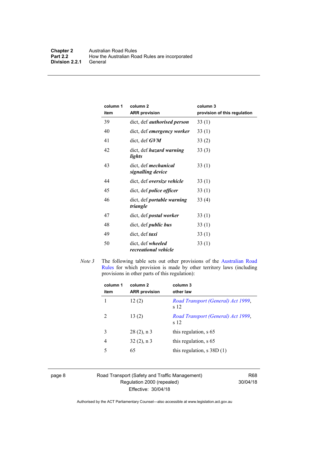| column 1<br>item | column <sub>2</sub><br><b>ARR provision</b>      | column 3<br>provision of this regulation |
|------------------|--------------------------------------------------|------------------------------------------|
| 39               | dict, def <i>authorised person</i>               | 33(1)                                    |
| 40               | dict, def emergency worker                       | 33(1)                                    |
| 41               | $dict, def$ $GVM$                                | 33(2)                                    |
| 42               | dict, def <i>hazard</i> warning<br>lights        | 33(3)                                    |
| 43               | dict, def <i>mechanical</i><br>signalling device | 33(1)                                    |
| 44               | dict, def oversize vehicle                       | 33(1)                                    |
| 45               | dict, def <i>police</i> officer                  | 33(1)                                    |
| 46               | dict, def <i>portable warning</i><br>triangle    | 33(4)                                    |
| 47               | dict, def <i>postal</i> worker                   | 33(1)                                    |
| 48               | dict, def <i>public</i> bus                      | 33(1)                                    |
| 49               | dict, def <i>taxi</i>                            | 33(1)                                    |
| 50               | dict, def wheeled<br>recreational vehicle        | 33(1)                                    |

*Note 3* The following table sets out other provisions of the Australian Road [Rules](http://www.legislation.act.gov.au//ni/db_37271/default.asp) for which provision is made by other territory laws (including provisions in other parts of this regulation):

| column 1<br>item | column <sub>2</sub><br><b>ARR</b> provision | column 3<br>other law                      |
|------------------|---------------------------------------------|--------------------------------------------|
|                  | 12(2)                                       | Road Transport (General) Act 1999,<br>s 12 |
| 2                | 13(2)                                       | Road Transport (General) Act 1999,<br>s 12 |
| 3                | $28(2)$ , n 3                               | this regulation, s 65                      |
| 4                | $32(2)$ , n 3                               | this regulation, s 65                      |
| 5                | 65                                          | this regulation, $s$ 38D $(1)$             |
|                  |                                             |                                            |

page 8 Road Transport (Safety and Traffic Management) Regulation 2000 (repealed) Effective: 30/04/18

R68 30/04/18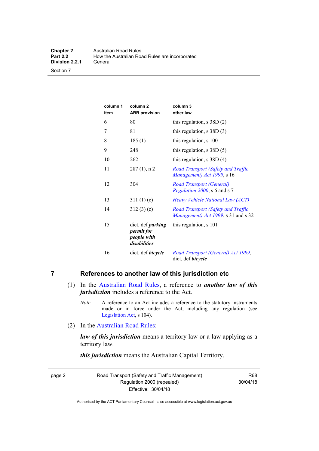Section 7

| column 1<br>item | column <sub>2</sub><br><b>ARR</b> provision                           | column 3<br>other law                                                     |
|------------------|-----------------------------------------------------------------------|---------------------------------------------------------------------------|
| 6                | 80                                                                    | this regulation, $s$ 38D $(2)$                                            |
| 7                | 81                                                                    | this regulation, $s$ 38D (3)                                              |
| 8                | 185(1)                                                                | this regulation, s 100                                                    |
| 9                | 248                                                                   | this regulation, $s$ 38D $(5)$                                            |
| 10               | 262                                                                   | this regulation, $s$ 38D (4)                                              |
| 11               | $287(1)$ , n 2                                                        | Road Transport (Safety and Traffic<br>Management) Act 1999, s 16          |
| 12               | 304                                                                   | <b>Road Transport (General)</b><br>Regulation 2000, s 6 and s 7           |
| 13               | 311(1)(c)                                                             | Heavy Vehicle National Law (ACT)                                          |
| 14               | 312(3)(c)                                                             | Road Transport (Safety and Traffic<br>Management) Act 1999, s 31 and s 32 |
| 15               | dict, def <i>parking</i><br>permit for<br>people with<br>disabilities | this regulation, s 101                                                    |
| 16               | dict, def <i>bicycle</i>                                              | Road Transport (General) Act 1999,<br>dict, def bicycle                   |

# <span id="page-20-0"></span>**7 References to another law of this jurisdiction etc**

- (1) In the [Australian Road Rules,](http://www.legislation.act.gov.au//ni/db_37271/default.asp) a reference to *another law of this jurisdiction* includes a reference to the Act.
	- *Note* A reference to an Act includes a reference to the statutory instruments made or in force under the Act, including any regulation (see [Legislation Act,](http://www.legislation.act.gov.au/a/2001-14) s 104).
- (2) In the [Australian Road Rules](http://www.legislation.act.gov.au//ni/db_37271/default.asp):

*law of this jurisdiction* means a territory law or a law applying as a territory law.

*this jurisdiction* means the Australian Capital Territory.

page 2 Road Transport (Safety and Traffic Management) Regulation 2000 (repealed) Effective: 30/04/18

R68 30/04/18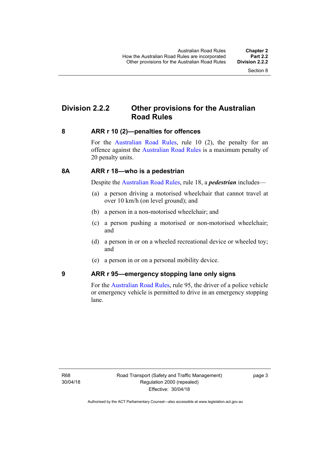# <span id="page-21-0"></span>**Division 2.2.2 Other provisions for the Australian Road Rules**

#### <span id="page-21-1"></span>**8 ARR r 10 (2)—penalties for offences**

For the [Australian Road Rules,](http://www.legislation.act.gov.au//ni/db_37271/default.asp) rule 10 (2), the penalty for an offence against the [Australian Road Rules](http://www.legislation.act.gov.au//ni/db_37271/default.asp) is a maximum penalty of 20 penalty units.

#### <span id="page-21-2"></span>**8A ARR r 18—who is a pedestrian**

Despite the [Australian Road Rules](http://www.legislation.act.gov.au//ni/db_37271/default.asp), rule 18, a *pedestrian* includes—

- (a) a person driving a motorised wheelchair that cannot travel at over 10 km/h (on level ground); and
- (b) a person in a non-motorised wheelchair; and
- (c) a person pushing a motorised or non-motorised wheelchair; and
- (d) a person in or on a wheeled recreational device or wheeled toy; and
- (e) a person in or on a personal mobility device.

#### <span id="page-21-3"></span>**9 ARR r 95—emergency stopping lane only signs**

For the [Australian Road Rules,](http://www.legislation.act.gov.au//ni/db_37271/default.asp) rule 95, the driver of a police vehicle or emergency vehicle is permitted to drive in an emergency stopping lane.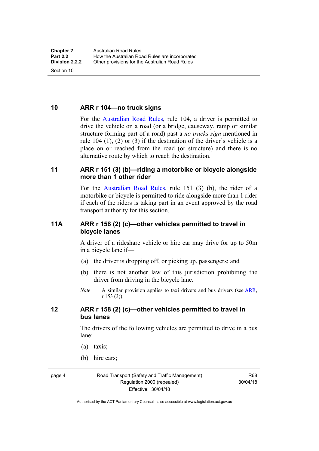<span id="page-22-0"></span>**10 ARR r 104—no truck signs**

Section 10

For the [Australian Road Rules](http://www.legislation.act.gov.au//ni/db_37271/default.asp), rule 104, a driver is permitted to drive the vehicle on a road (or a bridge, causeway, ramp or similar structure forming part of a road) past a *no trucks sign* mentioned in rule 104 (1), (2) or (3) if the destination of the driver's vehicle is a place on or reached from the road (or structure) and there is no alternative route by which to reach the destination.

#### <span id="page-22-1"></span>**11 ARR r 151 (3) (b)—riding a motorbike or bicycle alongside more than 1 other rider**

For the [Australian Road Rules](http://www.legislation.act.gov.au//ni/db_37271/default.asp), rule 151 (3) (b), the rider of a motorbike or bicycle is permitted to ride alongside more than 1 rider if each of the riders is taking part in an event approved by the road transport authority for this section.

#### <span id="page-22-2"></span>**11A ARR r 158 (2) (c)—other vehicles permitted to travel in bicycle lanes**

A driver of a rideshare vehicle or hire car may drive for up to 50m in a bicycle lane if—

- (a) the driver is dropping off, or picking up, passengers; and
- (b) there is not another law of this jurisdiction prohibiting the driver from driving in the bicycle lane.
- *Note* A similar provision applies to taxi drivers and bus drivers (see [ARR,](http://www.legislation.act.gov.au//ni/db_37271/default.asp) r 153 (3)).

## <span id="page-22-3"></span>**12 ARR r 158 (2) (c)—other vehicles permitted to travel in bus lanes**

The drivers of the following vehicles are permitted to drive in a bus lane:

- (a) taxis;
- (b) hire cars;

page 4 Road Transport (Safety and Traffic Management) Regulation 2000 (repealed) Effective: 30/04/18

R68 30/04/18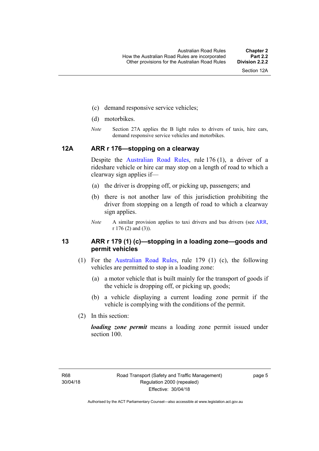- (c) demand responsive service vehicles;
- (d) motorbikes.
- *Note* Section 27A applies the B light rules to drivers of taxis, hire cars, demand responsive service vehicles and motorbikes.

#### <span id="page-23-0"></span>**12A ARR r 176—stopping on a clearway**

Despite the [Australian Road Rules,](http://www.legislation.act.gov.au//ni/db_37271/default.asp) rule 176 (1), a driver of a rideshare vehicle or hire car may stop on a length of road to which a clearway sign applies if—

- (a) the driver is dropping off, or picking up, passengers; and
- (b) there is not another law of this jurisdiction prohibiting the driver from stopping on a length of road to which a clearway sign applies.
- *Note* A similar provision applies to taxi drivers and bus drivers (see [ARR,](http://www.legislation.act.gov.au//ni/db_37271/default.asp) r 176 (2) and (3)).

#### <span id="page-23-1"></span>**13 ARR r 179 (1) (c)—stopping in a loading zone—goods and permit vehicles**

- (1) For the [Australian Road Rules](http://www.legislation.act.gov.au//ni/db_37271/default.asp), rule 179 (1) (c), the following vehicles are permitted to stop in a loading zone:
	- (a) a motor vehicle that is built mainly for the transport of goods if the vehicle is dropping off, or picking up, goods;
	- (b) a vehicle displaying a current loading zone permit if the vehicle is complying with the conditions of the permit.
- (2) In this section:

*loading zone permit* means a loading zone permit issued under section 100.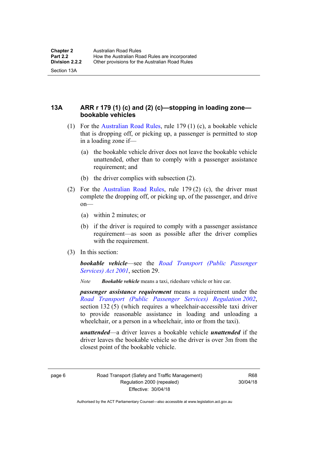Section 13A

<span id="page-24-0"></span>**13A ARR r 179 (1) (c) and (2) (c)—stopping in loading zone bookable vehicles** 

- (1) For the [Australian Road Rules,](http://www.legislation.act.gov.au//ni/db_37271/default.asp) rule 179 (1) (c), a bookable vehicle that is dropping off, or picking up, a passenger is permitted to stop in a loading zone if—
	- (a) the bookable vehicle driver does not leave the bookable vehicle unattended, other than to comply with a passenger assistance requirement; and
	- (b) the driver complies with subsection (2).
- (2) For the [Australian Road Rules,](http://www.legislation.act.gov.au//ni/db_37271/default.asp) rule 179 (2) (c), the driver must complete the dropping off, or picking up, of the passenger, and drive on—
	- (a) within 2 minutes; or
	- (b) if the driver is required to comply with a passenger assistance requirement—as soon as possible after the driver complies with the requirement.
- (3) In this section:

*bookable vehicle*—see the *[Road Transport \(Public Passenger](http://www.legislation.act.gov.au/a/2001-62)  [Services\) Act 2001](http://www.legislation.act.gov.au/a/2001-62)*, section 29.

*Note Bookable vehicle* means a taxi, rideshare vehicle or hire car.

*passenger assistance requirement* means a requirement under the *[Road Transport \(Public Passenger Services\) Regulation 2002](http://www.legislation.act.gov.au/sl/2002-3)*, section 132 (5) (which requires a wheelchair-accessible taxi driver to provide reasonable assistance in loading and unloading a wheelchair, or a person in a wheelchair, into or from the taxi).

*unattended*—a driver leaves a bookable vehicle *unattended* if the driver leaves the bookable vehicle so the driver is over 3m from the closest point of the bookable vehicle.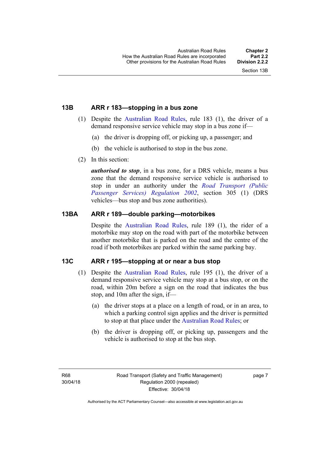#### Section 13B

#### <span id="page-25-0"></span>**13B ARR r 183—stopping in a bus zone**

- (1) Despite the [Australian Road Rules](http://www.legislation.act.gov.au//ni/db_37271/default.asp), rule 183 (1), the driver of a demand responsive service vehicle may stop in a bus zone if—
	- (a) the driver is dropping off, or picking up, a passenger; and
	- (b) the vehicle is authorised to stop in the bus zone.
- (2) In this section:

*authorised to stop*, in a bus zone, for a DRS vehicle, means a bus zone that the demand responsive service vehicle is authorised to stop in under an authority under the *[Road Transport \(Public](http://www.legislation.act.gov.au/sl/2002-3)  [Passenger Services\) Regulation 2002](http://www.legislation.act.gov.au/sl/2002-3)*, section 305 (1) (DRS vehicles—bus stop and bus zone authorities).

## <span id="page-25-1"></span>**13BA ARR r 189—double parking—motorbikes**

Despite the [Australian Road Rules,](http://www.legislation.act.gov.au//ni/db_37271/default.asp) rule 189 (1), the rider of a motorbike may stop on the road with part of the motorbike between another motorbike that is parked on the road and the centre of the road if both motorbikes are parked within the same parking bay.

## <span id="page-25-2"></span>**13C ARR r 195—stopping at or near a bus stop**

- (1) Despite the [Australian Road Rules](http://www.legislation.act.gov.au//ni/db_37271/default.asp), rule 195 (1), the driver of a demand responsive service vehicle may stop at a bus stop, or on the road, within 20m before a sign on the road that indicates the bus stop, and 10m after the sign, if—
	- (a) the driver stops at a place on a length of road, or in an area, to which a parking control sign applies and the driver is permitted to stop at that place under the [Australian Road Rules](http://www.legislation.act.gov.au//ni/db_37271/default.asp); or
	- (b) the driver is dropping off, or picking up, passengers and the vehicle is authorised to stop at the bus stop.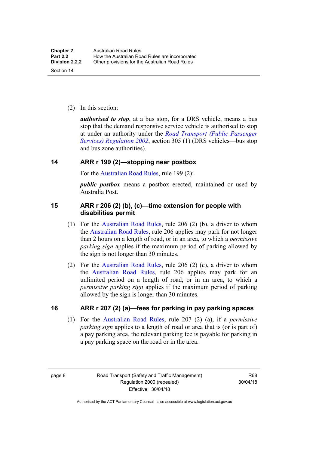(2) In this section:

*authorised to stop*, at a bus stop, for a DRS vehicle, means a bus stop that the demand responsive service vehicle is authorised to stop at under an authority under the *[Road Transport \(Public Passenger](http://www.legislation.act.gov.au/sl/2002-3)  [Services\) Regulation 2002](http://www.legislation.act.gov.au/sl/2002-3)*, section 305 (1) (DRS vehicles—bus stop and bus zone authorities).

#### <span id="page-26-0"></span>**14 ARR r 199 (2)—stopping near postbox**

For the [Australian Road Rules,](http://www.legislation.act.gov.au//ni/db_37271/default.asp) rule 199 (2):

*public postbox* means a postbox erected, maintained or used by Australia Post.

#### <span id="page-26-1"></span>**15 ARR r 206 (2) (b), (c)—time extension for people with disabilities permit**

- (1) For the [Australian Road Rules](http://www.legislation.act.gov.au//ni/db_37271/default.asp), rule 206 (2) (b), a driver to whom the [Australian Road Rules](http://www.legislation.act.gov.au//ni/db_37271/default.asp), rule 206 applies may park for not longer than 2 hours on a length of road, or in an area, to which a *permissive parking sign* applies if the maximum period of parking allowed by the sign is not longer than 30 minutes.
- (2) For the [Australian Road Rules,](http://www.legislation.act.gov.au//ni/db_37271/default.asp) rule 206 (2) (c), a driver to whom the [Australian Road Rules,](http://www.legislation.act.gov.au//ni/db_37271/default.asp) rule 206 applies may park for an unlimited period on a length of road, or in an area, to which a *permissive parking sign* applies if the maximum period of parking allowed by the sign is longer than 30 minutes.

#### <span id="page-26-2"></span>**16 ARR r 207 (2) (a)—fees for parking in pay parking spaces**

 (1) For the [Australian Road Rules,](http://www.legislation.act.gov.au//ni/db_37271/default.asp) rule 207 (2) (a), if a *permissive parking sign* applies to a length of road or area that is (or is part of) a pay parking area, the relevant parking fee is payable for parking in a pay parking space on the road or in the area.

page 8 Road Transport (Safety and Traffic Management) Regulation 2000 (repealed) Effective: 30/04/18

R68 30/04/18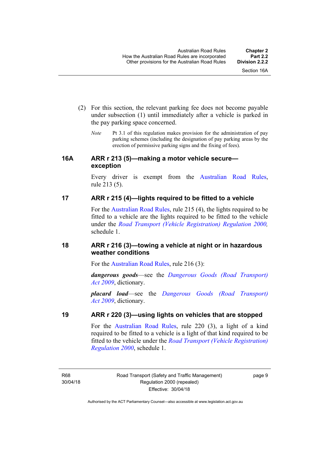- (2) For this section, the relevant parking fee does not become payable under subsection (1) until immediately after a vehicle is parked in the pay parking space concerned.
	- *Note* Pt 3.1 of this regulation makes provision for the administration of pay parking schemes (including the designation of pay parking areas by the erection of permissive parking signs and the fixing of fees).

#### <span id="page-27-0"></span>**16A ARR r 213 (5)—making a motor vehicle secure exception**

Every driver is exempt from the [Australian Road Rules](http://www.legislation.act.gov.au//ni/db_37271/default.asp), rule 213 (5).

## <span id="page-27-1"></span>**17 ARR r 215 (4)—lights required to be fitted to a vehicle**

For the [Australian Road Rules,](http://www.legislation.act.gov.au//ni/db_37271/default.asp) rule 215 (4), the lights required to be fitted to a vehicle are the lights required to be fitted to the vehicle under the *[Road Transport \(Vehicle Registration\) Regulation 2000](http://www.legislation.act.gov.au/sl/2000-12),*  schedule 1.

# <span id="page-27-2"></span>**18 ARR r 216 (3)—towing a vehicle at night or in hazardous weather conditions**

For the [Australian Road Rules](http://www.legislation.act.gov.au//ni/db_37271/default.asp), rule 216 (3):

*dangerous goods*—see the *[Dangerous Goods \(Road Transport\)](http://www.legislation.act.gov.au/a/2009-34)  [Act 2009](http://www.legislation.act.gov.au/a/2009-34)*, dictionary.

*placard load*—see the *[Dangerous Goods \(Road Transport\)](http://www.legislation.act.gov.au/a/2009-34)  [Act 2009](http://www.legislation.act.gov.au/a/2009-34)*, dictionary.

## <span id="page-27-3"></span>**19 ARR r 220 (3)—using lights on vehicles that are stopped**

For the [Australian Road Rules](http://www.legislation.act.gov.au//ni/db_37271/default.asp), rule 220 (3), a light of a kind required to be fitted to a vehicle is a light of that kind required to be fitted to the vehicle under the *[Road Transport \(Vehicle Registration\)](http://www.legislation.act.gov.au/sl/2000-12)  [Regulation 2000](http://www.legislation.act.gov.au/sl/2000-12)*, schedule 1.

R68 30/04/18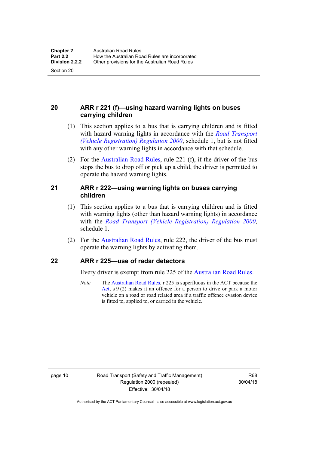Section 20

# <span id="page-28-0"></span>**20 ARR r 221 (f)—using hazard warning lights on buses carrying children**

- (1) This section applies to a bus that is carrying children and is fitted with hazard warning lights in accordance with the *[Road Transport](http://www.legislation.act.gov.au/sl/2000-12)  [\(Vehicle Registration\) Regulation 2000](http://www.legislation.act.gov.au/sl/2000-12)*, schedule 1, but is not fitted with any other warning lights in accordance with that schedule.
- (2) For the [Australian Road Rules](http://www.legislation.act.gov.au//ni/db_37271/default.asp), rule 221 (f), if the driver of the bus stops the bus to drop off or pick up a child, the driver is permitted to operate the hazard warning lights.

#### <span id="page-28-1"></span>**21 ARR r 222—using warning lights on buses carrying children**

- (1) This section applies to a bus that is carrying children and is fitted with warning lights (other than hazard warning lights) in accordance with the *[Road Transport \(Vehicle Registration\) Regulation 2000](http://www.legislation.act.gov.au/sl/2000-12)*, schedule 1.
- (2) For the [Australian Road Rules](http://www.legislation.act.gov.au//ni/db_37271/default.asp), rule 222, the driver of the bus must operate the warning lights by activating them.

## <span id="page-28-2"></span>**22 ARR r 225—use of radar detectors**

Every driver is exempt from rule 225 of the [Australian Road Rules.](http://www.legislation.act.gov.au//ni/db_37271/default.asp)

*Note* The [Australian Road Rules,](http://www.legislation.act.gov.au//ni/db_37271/default.asp) r 225 is superfluous in the ACT because the [Act](http://www.legislation.act.gov.au/a/1999-80/default.asp), s 9 (2) makes it an offence for a person to drive or park a motor vehicle on a road or road related area if a traffic offence evasion device is fitted to, applied to, or carried in the vehicle.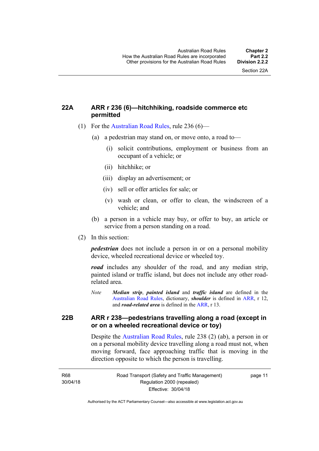## <span id="page-29-0"></span>**22A ARR r 236 (6)—hitchhiking, roadside commerce etc permitted**

- (1) For the [Australian Road Rules](http://www.legislation.act.gov.au//ni/db_37271/default.asp), rule 236 (6)—
	- (a) a pedestrian may stand on, or move onto, a road to—
		- (i) solicit contributions, employment or business from an occupant of a vehicle; or
		- (ii) hitchhike; or
		- (iii) display an advertisement; or
		- (iv) sell or offer articles for sale; or
		- (v) wash or clean, or offer to clean, the windscreen of a vehicle; and
	- (b) a person in a vehicle may buy, or offer to buy, an article or service from a person standing on a road.
- (2) In this section:

*pedestrian* does not include a person in or on a personal mobility device, wheeled recreational device or wheeled toy.

*road* includes any shoulder of the road, and any median strip, painted island or traffic island, but does not include any other roadrelated area.

*Note Median strip*, *painted island* and *traffic island* are defined in the [Australian Road Rules,](http://www.legislation.act.gov.au//ni/db_37271/default.asp) dictionary, *shoulder* is defined in [ARR](http://www.legislation.act.gov.au//ni/db_37271/default.asp), r 12, and *road-related area* is defined in the [ARR](http://www.legislation.act.gov.au//ni/db_37271/default.asp), r 13.

## <span id="page-29-1"></span>**22B ARR r 238—pedestrians travelling along a road (except in or on a wheeled recreational device or toy)**

Despite the [Australian Road Rules,](http://www.legislation.act.gov.au//ni/db_37271/default.asp) rule 238 (2) (ab), a person in or on a personal mobility device travelling along a road must not, when moving forward, face approaching traffic that is moving in the direction opposite to which the person is travelling.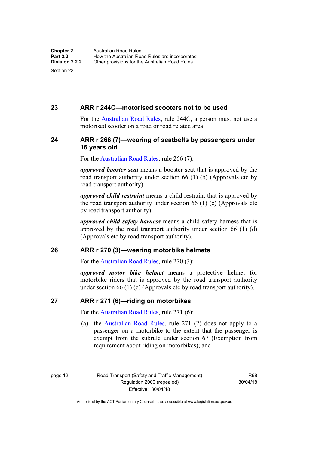#### <span id="page-30-0"></span>**23 ARR r 244C—motorised scooters not to be used**

For the [Australian Road Rules](http://www.legislation.act.gov.au//ni/db_37271/default.asp), rule 244C, a person must not use a motorised scooter on a road or road related area.

#### <span id="page-30-1"></span>**24 ARR r 266 (7)—wearing of seatbelts by passengers under 16 years old**

For the [Australian Road Rules,](http://www.legislation.act.gov.au//ni/db_37271/default.asp) rule 266 (7):

*approved booster seat* means a booster seat that is approved by the road transport authority under section 66 (1) (b) (Approvals etc by road transport authority).

*approved child restraint* means a child restraint that is approved by the road transport authority under section 66 (1) (c) (Approvals etc by road transport authority).

*approved child safety harness* means a child safety harness that is approved by the road transport authority under section 66 (1) (d) (Approvals etc by road transport authority).

#### <span id="page-30-2"></span>**26 ARR r 270 (3)—wearing motorbike helmets**

For the [Australian Road Rules,](http://www.legislation.act.gov.au//ni/db_37271/default.asp) rule 270 (3):

*approved motor bike helmet* means a protective helmet for motorbike riders that is approved by the road transport authority under section 66 (1) (e) (Approvals etc by road transport authority).

#### <span id="page-30-3"></span>**27 ARR r 271 (6)—riding on motorbikes**

For the [Australian Road Rules,](http://www.legislation.act.gov.au//ni/db_37271/default.asp) rule 271 (6):

 (a) the [Australian Road Rules](http://www.legislation.act.gov.au//ni/db_37271/default.asp), rule 271 (2) does not apply to a passenger on a motorbike to the extent that the passenger is exempt from the subrule under section 67 (Exemption from requirement about riding on motorbikes); and

page 12 Road Transport (Safety and Traffic Management) Regulation 2000 (repealed) Effective: 30/04/18

R68 30/04/18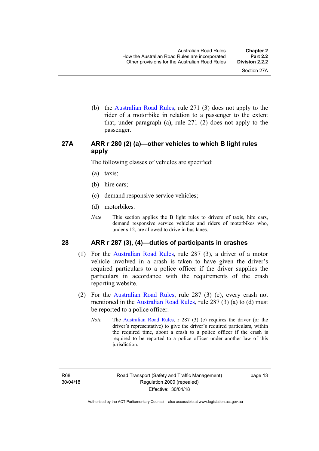(b) the [Australian Road Rules](http://www.legislation.act.gov.au//ni/db_37271/default.asp), rule 271 (3) does not apply to the rider of a motorbike in relation to a passenger to the extent that, under paragraph (a), rule 271 (2) does not apply to the passenger.

# <span id="page-31-0"></span>**27A ARR r 280 (2) (a)—other vehicles to which B light rules apply**

The following classes of vehicles are specified:

- (a) taxis;
- (b) hire cars;
- (c) demand responsive service vehicles;
- (d) motorbikes.
- *Note* This section applies the B light rules to drivers of taxis, hire cars, demand responsive service vehicles and riders of motorbikes who, under s 12, are allowed to drive in bus lanes.

#### <span id="page-31-1"></span>**28 ARR r 287 (3), (4)—duties of participants in crashes**

- (1) For the [Australian Road Rules,](http://www.legislation.act.gov.au//ni/db_37271/default.asp) rule 287 (3), a driver of a motor vehicle involved in a crash is taken to have given the driver's required particulars to a police officer if the driver supplies the particulars in accordance with the requirements of the crash reporting website.
- (2) For the [Australian Road Rules,](http://www.legislation.act.gov.au//ni/db_37271/default.asp) rule 287 (3) (e), every crash not mentioned in the [Australian Road Rules,](http://www.legislation.act.gov.au//ni/db_37271/default.asp) rule 287 (3) (a) to (d) must be reported to a police officer.
	- *Note* The [Australian Road Rules,](http://www.legislation.act.gov.au//ni/db_37271/default.asp) r 287 (3) (e) requires the driver (or the driver's representative) to give the driver's required particulars, within the required time, about a crash to a police officer if the crash is required to be reported to a police officer under another law of this jurisdiction.

R68 30/04/18 Road Transport (Safety and Traffic Management) Regulation 2000 (repealed) Effective: 30/04/18

page 13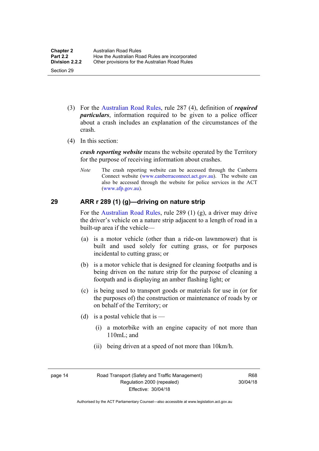- (3) For the [Australian Road Rules](http://www.legislation.act.gov.au//ni/db_37271/default.asp), rule 287 (4), definition of *required particulars*, information required to be given to a police officer about a crash includes an explanation of the circumstances of the crash.
- (4) In this section:

*crash reporting website* means the website operated by the Territory for the purpose of receiving information about crashes.

*Note* The crash reporting website can be accessed through the Canberra Connect website [\(www.canberraconnect.act.gov.au](http://www.canberraconnect.act.gov.au/)). The website can also be accessed through the website for police services in the ACT [\(www.afp.gov.au\)](http://www.afp.gov.au/).

# <span id="page-32-0"></span>**29 ARR r 289 (1) (g)—driving on nature strip**

For the [Australian Road Rules](http://www.legislation.act.gov.au//ni/db_37271/default.asp), rule 289 (1) (g), a driver may drive the driver's vehicle on a nature strip adjacent to a length of road in a built-up area if the vehicle—

- (a) is a motor vehicle (other than a ride-on lawnmower) that is built and used solely for cutting grass, or for purposes incidental to cutting grass; or
- (b) is a motor vehicle that is designed for cleaning footpaths and is being driven on the nature strip for the purpose of cleaning a footpath and is displaying an amber flashing light; or
- (c) is being used to transport goods or materials for use in (or for the purposes of) the construction or maintenance of roads by or on behalf of the Territory; or
- (d) is a postal vehicle that is  $-$ 
	- (i) a motorbike with an engine capacity of not more than 110mL; and
	- (ii) being driven at a speed of not more than 10km/h.

page 14 Road Transport (Safety and Traffic Management) Regulation 2000 (repealed) Effective: 30/04/18

R68 30/04/18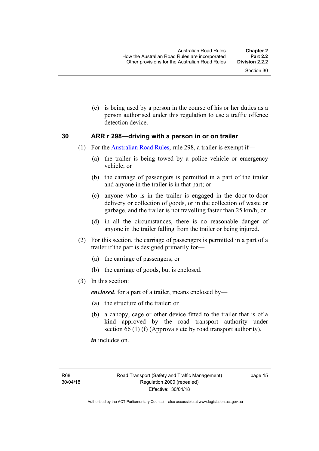(e) is being used by a person in the course of his or her duties as a person authorised under this regulation to use a traffic offence detection device.

#### <span id="page-33-0"></span>**30 ARR r 298—driving with a person in or on trailer**

- (1) For the [Australian Road Rules](http://www.legislation.act.gov.au//ni/db_37271/default.asp), rule 298, a trailer is exempt if—
	- (a) the trailer is being towed by a police vehicle or emergency vehicle; or
	- (b) the carriage of passengers is permitted in a part of the trailer and anyone in the trailer is in that part; or
	- (c) anyone who is in the trailer is engaged in the door-to-door delivery or collection of goods, or in the collection of waste or garbage, and the trailer is not travelling faster than 25 km/h; or
	- (d) in all the circumstances, there is no reasonable danger of anyone in the trailer falling from the trailer or being injured.
- (2) For this section, the carriage of passengers is permitted in a part of a trailer if the part is designed primarily for—
	- (a) the carriage of passengers; or
	- (b) the carriage of goods, but is enclosed.
- (3) In this section:

*enclosed*, for a part of a trailer, means enclosed by—

- (a) the structure of the trailer; or
- (b) a canopy, cage or other device fitted to the trailer that is of a kind approved by the road transport authority under section 66 (1) (f) (Approvals etc by road transport authority).

*in* includes on.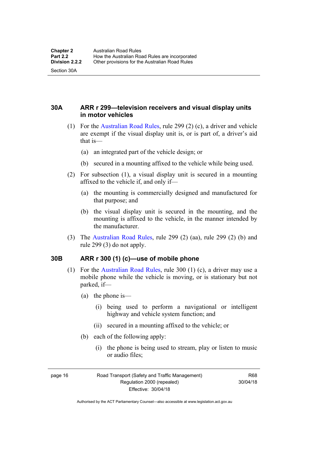Section 30A

<span id="page-34-0"></span>**30A ARR r 299—television receivers and visual display units in motor vehicles** 

- (1) For the [Australian Road Rules](http://www.legislation.act.gov.au//ni/db_37271/default.asp), rule 299 (2) (c), a driver and vehicle are exempt if the visual display unit is, or is part of, a driver's aid that is—
	- (a) an integrated part of the vehicle design; or
	- (b) secured in a mounting affixed to the vehicle while being used.
- (2) For subsection (1), a visual display unit is secured in a mounting affixed to the vehicle if, and only if—
	- (a) the mounting is commercially designed and manufactured for that purpose; and
	- (b) the visual display unit is secured in the mounting, and the mounting is affixed to the vehicle, in the manner intended by the manufacturer.
- (3) The [Australian Road Rules](http://www.legislation.act.gov.au//ni/db_37271/default.asp), rule 299 (2) (aa), rule 299 (2) (b) and rule 299 (3) do not apply.

## <span id="page-34-1"></span>**30B ARR r 300 (1) (c)—use of mobile phone**

- (1) For the [Australian Road Rules,](http://www.legislation.act.gov.au//ni/db_37271/default.asp) rule 300 (1) (c), a driver may use a mobile phone while the vehicle is moving, or is stationary but not parked, if—
	- (a) the phone is—
		- (i) being used to perform a navigational or intelligent highway and vehicle system function; and
		- (ii) secured in a mounting affixed to the vehicle; or
	- (b) each of the following apply:
		- (i) the phone is being used to stream, play or listen to music or audio files;

page 16 Road Transport (Safety and Traffic Management) Regulation 2000 (repealed) Effective: 30/04/18

R68 30/04/18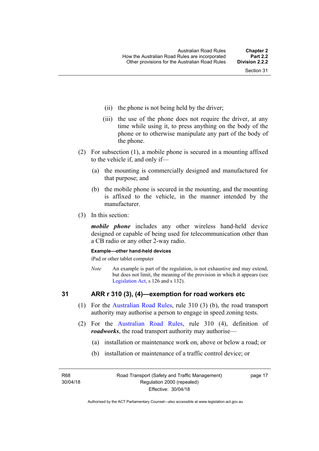- (ii) the phone is not being held by the driver;
- (iii) the use of the phone does not require the driver, at any time while using it, to press anything on the body of the phone or to otherwise manipulate any part of the body of the phone.
- (2) For subsection (1), a mobile phone is secured in a mounting affixed to the vehicle if, and only if—
	- (a) the mounting is commercially designed and manufactured for that purpose; and
	- (b) the mobile phone is secured in the mounting, and the mounting is affixed to the vehicle, in the manner intended by the manufacturer.
- (3) In this section:

*mobile phone* includes any other wireless hand-held device designed or capable of being used for telecommunication other than a CB radio or any other 2-way radio.

#### **Example—other hand-held devices**

iPad or other tablet computer

*Note* An example is part of the regulation, is not exhaustive and may extend, but does not limit, the meaning of the provision in which it appears (see [Legislation Act,](http://www.legislation.act.gov.au/a/2001-14) s 126 and s 132).

## <span id="page-35-0"></span>**31 ARR r 310 (3), (4)—exemption for road workers etc**

- (1) For the [Australian Road Rules](http://www.legislation.act.gov.au//ni/db_37271/default.asp), rule 310 (3) (b), the road transport authority may authorise a person to engage in speed zoning tests.
- (2) For the [Australian Road Rules](http://www.legislation.act.gov.au//ni/db_37271/default.asp), rule 310 (4), definition of *roadworks*, the road transport authority may authorise—
	- (a) installation or maintenance work on, above or below a road; or
	- (b) installation or maintenance of a traffic control device; or

R68 30/04/18 page 17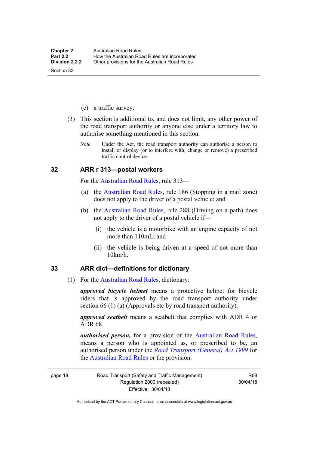- (c) a traffic survey.
- (3) This section is additional to, and does not limit, any other power of the road transport authority or anyone else under a territory law to authorise something mentioned in this section.
	- *Note* Under the Act, the road transport authority can authorise a person to install or display (or to interfere with, change or remove) a prescribed traffic control device.

#### **32 ARR r 313—postal workers**

For the [Australian Road Rules,](http://www.legislation.act.gov.au//ni/db_37271/default.asp) rule 313—

- (a) the [Australian Road Rules,](http://www.legislation.act.gov.au//ni/db_37271/default.asp) rule 186 (Stopping in a mail zone) does not apply to the driver of a postal vehicle; and
- (b) the [Australian Road Rules](http://www.legislation.act.gov.au//ni/db_37271/default.asp), rule 288 (Driving on a path) does not apply to the driver of a postal vehicle if—
	- (i) the vehicle is a motorbike with an engine capacity of not more than 110mL; and
	- (ii) the vehicle is being driven at a speed of not more than 10km/h.

#### **33 ARR dict—definitions for dictionary**

(1) For the [Australian Road Rules,](http://www.legislation.act.gov.au//ni/db_37271/default.asp) dictionary:

*approved bicycle helmet* means a protective helmet for bicycle riders that is approved by the road transport authority under section 66 (1) (a) (Approvals etc by road transport authority).

*approved seatbelt* means a seatbelt that complies with ADR 4 or ADR 68.

*authorised person,* for a provision of the [Australian Road Rules](http://www.legislation.act.gov.au//ni/db_37271/default.asp), means a person who is appointed as, or prescribed to be, an authorised person under the *[Road Transport \(General\) Act 1999](http://www.legislation.act.gov.au/a/1999-77)* for the [Australian Road Rules](http://www.legislation.act.gov.au//ni/db_37271/default.asp) or the provision.

page 18 Road Transport (Safety and Traffic Management) Regulation 2000 (repealed) Effective: 30/04/18

R68 30/04/18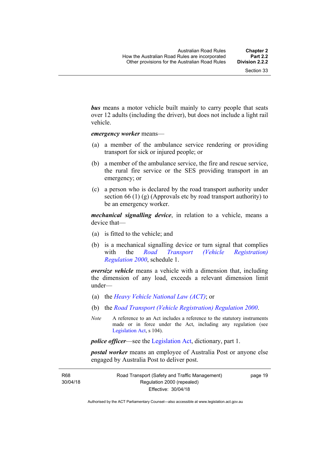*bus* means a motor vehicle built mainly to carry people that seats over 12 adults (including the driver), but does not include a light rail vehicle.

*emergency worker* means—

- (a) a member of the ambulance service rendering or providing transport for sick or injured people; or
- (b) a member of the ambulance service, the fire and rescue service, the rural fire service or the SES providing transport in an emergency; or
- (c) a person who is declared by the road transport authority under section 66 (1) (g) (Approvals etc by road transport authority) to be an emergency worker.

*mechanical signalling device*, in relation to a vehicle, means a device that—

- (a) is fitted to the vehicle; and
- (b) is a mechanical signalling device or turn signal that complies with the *[Road Transport \(Vehicle Registration\)](http://www.legislation.act.gov.au/sl/2000-12)  [Regulation 2000](http://www.legislation.act.gov.au/sl/2000-12)*, schedule 1.

*oversize vehicle* means a vehicle with a dimension that, including the dimension of any load, exceeds a relevant dimension limit under—

- (a) the *[Heavy Vehicle National Law \(ACT\)](http://www.legislation.act.gov.au/a/db_49155/default.asp)*; or
- (b) the *[Road Transport \(Vehicle Registration\) Regulation 2000](http://www.legislation.act.gov.au/sl/2000-12)*.
- *Note* A reference to an Act includes a reference to the statutory instruments made or in force under the Act, including any regulation (see [Legislation Act,](http://www.legislation.act.gov.au/a/2001-14) s 104).

*police officer*—see the [Legislation Act](http://www.legislation.act.gov.au/a/2001-14), dictionary, part 1.

*postal worker* means an employee of Australia Post or anyone else engaged by Australia Post to deliver post.

R68 30/04/18 Road Transport (Safety and Traffic Management) Regulation 2000 (repealed) Effective: 30/04/18

page 19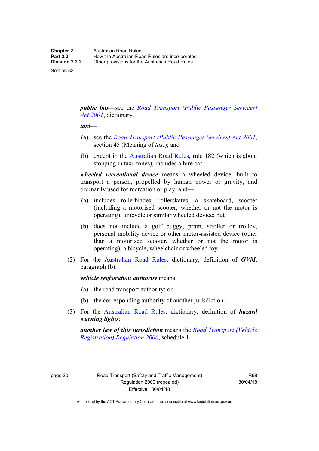Section 33

*public bus*—see the *[Road Transport \(Public Passenger Services\)](http://www.legislation.act.gov.au/a/2001-62)  [Act 2001](http://www.legislation.act.gov.au/a/2001-62)*, dictionary.

#### *taxi*—

- (a) see the *[Road Transport \(Public Passenger Services\) Act 2001](http://www.legislation.act.gov.au/a/2001-62)*, section 45 (Meaning of *taxi*); and
- (b) except in the [Australian Road Rules,](http://www.legislation.act.gov.au//ni/db_37271/default.asp) rule 182 (which is about stopping in taxi zones), includes a hire car.

*wheeled recreational device* means a wheeled device, built to transport a person, propelled by human power or gravity, and ordinarily used for recreation or play, and—

- (a) includes rollerblades, rollerskates, a skateboard, scooter (including a motorised scooter, whether or not the motor is operating), unicycle or similar wheeled device; but
- (b) does not include a golf buggy, pram, stroller or trolley, personal mobility device or other motor-assisted device (other than a motorised scooter, whether or not the motor is operating), a bicycle, wheelchair or wheeled toy.
- (2) For the [Australian Road Rules](http://www.legislation.act.gov.au//ni/db_37271/default.asp), dictionary, definition of *GVM*, paragraph (b):

*vehicle registration authority* means:

- (a) the road transport authority; or
- (b) the corresponding authority of another jurisdiction.
- (3) For the [Australian Road Rules](http://www.legislation.act.gov.au//ni/db_37271/default.asp), dictionary, definition of *hazard warning lights*:

*another law of this jurisdiction* means the *[Road Transport \(Vehicle](http://www.legislation.act.gov.au/sl/2000-12)  [Registration\) Regulation 2000](http://www.legislation.act.gov.au/sl/2000-12)*, schedule 1.

page 20 Road Transport (Safety and Traffic Management) Regulation 2000 (repealed) Effective: 30/04/18

R68 30/04/18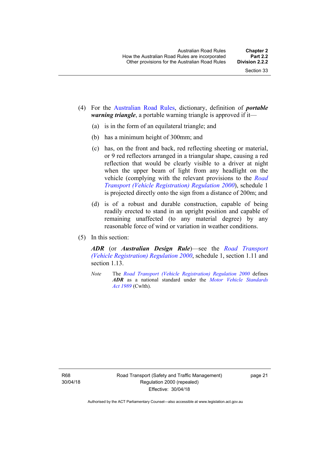- (4) For the [Australian Road Rules](http://www.legislation.act.gov.au//ni/db_37271/default.asp), dictionary, definition of *portable warning triangle*, a portable warning triangle is approved if it—
	- (a) is in the form of an equilateral triangle; and
	- (b) has a minimum height of 300mm; and
	- (c) has, on the front and back, red reflecting sheeting or material, or 9 red reflectors arranged in a triangular shape, causing a red reflection that would be clearly visible to a driver at night when the upper beam of light from any headlight on the vehicle (complying with the relevant provisions to the *[Road](http://www.legislation.act.gov.au/sl/2000-12)  [Transport \(Vehicle Registration\) Regulation 2000](http://www.legislation.act.gov.au/sl/2000-12)*), schedule 1 is projected directly onto the sign from a distance of 200m; and
	- (d) is of a robust and durable construction, capable of being readily erected to stand in an upright position and capable of remaining unaffected (to any material degree) by any reasonable force of wind or variation in weather conditions.
- (5) In this section:

*ADR* (or *Australian Design Rule*)—see the *[Road Transport](http://www.legislation.act.gov.au/sl/2000-12)  [\(Vehicle Registration\) Regulation 2000](http://www.legislation.act.gov.au/sl/2000-12)*, schedule 1, section 1.11 and section 1.13

*Note* The *[Road Transport \(Vehicle Registration\) Regulation 2000](http://www.legislation.act.gov.au/sl/2000-12)* defines *ADR* as a national standard under the *[Motor Vehicle Standards](http://www.comlaw.gov.au/Series/C2004A03813)  [Act 1989](http://www.comlaw.gov.au/Series/C2004A03813)* (Cwlth).

R68 30/04/18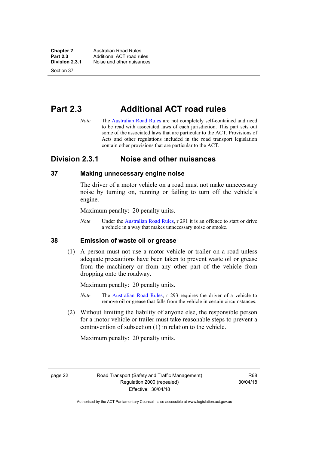**Chapter 2 Australian Road Rules**<br>**Part 2.3 Additional ACT road rules Part 2.3 Additional ACT road rules**<br>**Division 2.3.1** Noise and other nuisances **Division 2.3.1** Noise and other nuisances

Section 37

# **Part 2.3 Additional ACT road rules**

*Note* The [Australian Road Rules](http://www.legislation.act.gov.au//ni/db_37271/default.asp) are not completely self-contained and need to be read with associated laws of each jurisdiction. This part sets out some of the associated laws that are particular to the ACT. Provisions of Acts and other regulations included in the road transport legislation contain other provisions that are particular to the ACT.

## **Division 2.3.1 Noise and other nuisances**

#### **37 Making unnecessary engine noise**

The driver of a motor vehicle on a road must not make unnecessary noise by turning on, running or failing to turn off the vehicle's engine.

Maximum penalty: 20 penalty units.

*Note* Under the [Australian Road Rules,](http://www.legislation.act.gov.au//ni/db_37271/default.asp) r 291 it is an offence to start or drive a vehicle in a way that makes unnecessary noise or smoke.

#### **38 Emission of waste oil or grease**

 (1) A person must not use a motor vehicle or trailer on a road unless adequate precautions have been taken to prevent waste oil or grease from the machinery or from any other part of the vehicle from dropping onto the roadway.

Maximum penalty: 20 penalty units.

- *Note* The [Australian Road Rules,](http://www.legislation.act.gov.au//ni/db_37271/default.asp) r 293 requires the driver of a vehicle to remove oil or grease that falls from the vehicle in certain circumstances.
- (2) Without limiting the liability of anyone else, the responsible person for a motor vehicle or trailer must take reasonable steps to prevent a contravention of subsection (1) in relation to the vehicle.

Maximum penalty: 20 penalty units.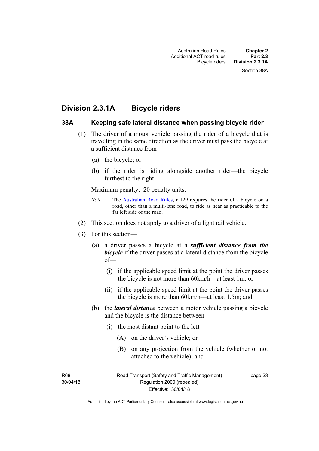# **Division 2.3.1A Bicycle riders**

#### **38A Keeping safe lateral distance when passing bicycle rider**

- (1) The driver of a motor vehicle passing the rider of a bicycle that is travelling in the same direction as the driver must pass the bicycle at a sufficient distance from—
	- (a) the bicycle; or
	- (b) if the rider is riding alongside another rider—the bicycle furthest to the right.

Maximum penalty: 20 penalty units.

- *Note* The [Australian Road Rules](http://www.legislation.act.gov.au//ni/db_37271/default.asp), r 129 requires the rider of a bicycle on a road, other than a multi-lane road, to ride as near as practicable to the far left side of the road.
- (2) This section does not apply to a driver of a light rail vehicle.
- (3) For this section—
	- (a) a driver passes a bicycle at a *sufficient distance from the*  **bicycle** if the driver passes at a lateral distance from the bicycle of—
		- (i) if the applicable speed limit at the point the driver passes the bicycle is not more than 60km/h—at least 1m; or
		- (ii) if the applicable speed limit at the point the driver passes the bicycle is more than 60km/h—at least 1.5m; and
	- (b) the *lateral distance* between a motor vehicle passing a bicycle and the bicycle is the distance between—
		- (i) the most distant point to the left—
			- (A) on the driver's vehicle; or
			- (B) on any projection from the vehicle (whether or not attached to the vehicle); and

R68 30/04/18 Road Transport (Safety and Traffic Management) Regulation 2000 (repealed) Effective: 30/04/18

page 23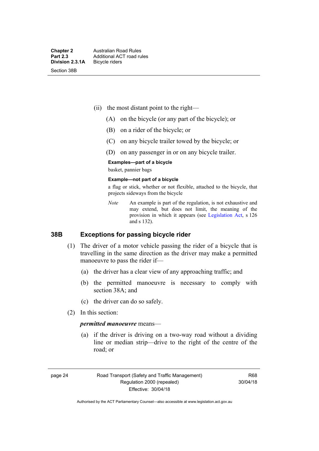- (ii) the most distant point to the right—
	- (A) on the bicycle (or any part of the bicycle); or
	- (B) on a rider of the bicycle; or
	- (C) on any bicycle trailer towed by the bicycle; or
	- (D) on any passenger in or on any bicycle trailer.

#### **Examples—part of a bicycle**

basket, pannier bags

#### **Example—not part of a bicycle**

a flag or stick, whether or not flexible, attached to the bicycle, that projects sideways from the bicycle

*Note* An example is part of the regulation, is not exhaustive and may extend, but does not limit, the meaning of the provision in which it appears (see [Legislation Act](http://www.legislation.act.gov.au/a/2001-14), s 126 and s 132).

#### **38B Exceptions for passing bicycle rider**

- (1) The driver of a motor vehicle passing the rider of a bicycle that is travelling in the same direction as the driver may make a permitted manoeuvre to pass the rider if—
	- (a) the driver has a clear view of any approaching traffic; and
	- (b) the permitted manoeuvre is necessary to comply with section 38A; and
	- (c) the driver can do so safely.
- (2) In this section:

#### *permitted manoeuvre* means—

 (a) if the driver is driving on a two-way road without a dividing line or median strip—drive to the right of the centre of the road; or

page 24 Road Transport (Safety and Traffic Management) Regulation 2000 (repealed) Effective: 30/04/18

R68 30/04/18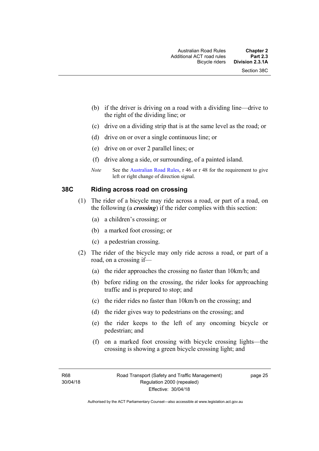- (b) if the driver is driving on a road with a dividing line—drive to the right of the dividing line; or
- (c) drive on a dividing strip that is at the same level as the road; or
- (d) drive on or over a single continuous line; or
- (e) drive on or over 2 parallel lines; or
- (f) drive along a side, or surrounding, of a painted island.
- *Note* See the [Australian Road Rules,](http://www.legislation.act.gov.au//ni/db_37271/default.asp) r 46 or r 48 for the requirement to give left or right change of direction signal.

#### **38C Riding across road on crossing**

- (1) The rider of a bicycle may ride across a road, or part of a road, on the following (a *crossing*) if the rider complies with this section:
	- (a) a children's crossing; or
	- (b) a marked foot crossing; or
	- (c) a pedestrian crossing.
- (2) The rider of the bicycle may only ride across a road, or part of a road, on a crossing if—
	- (a) the rider approaches the crossing no faster than 10km/h; and
	- (b) before riding on the crossing, the rider looks for approaching traffic and is prepared to stop; and
	- (c) the rider rides no faster than 10km/h on the crossing; and
	- (d) the rider gives way to pedestrians on the crossing; and
	- (e) the rider keeps to the left of any oncoming bicycle or pedestrian; and
	- (f) on a marked foot crossing with bicycle crossing lights—the crossing is showing a green bicycle crossing light; and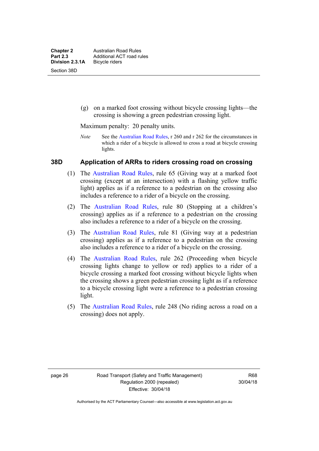(g) on a marked foot crossing without bicycle crossing lights—the crossing is showing a green pedestrian crossing light.

Maximum penalty: 20 penalty units.

*Note* See the [Australian Road Rules](http://www.legislation.act.gov.au//ni/db_37271/default.asp), r 260 and r 262 for the circumstances in which a rider of a bicycle is allowed to cross a road at bicycle crossing lights.

#### **38D Application of ARRs to riders crossing road on crossing**

- (1) The [Australian Road Rules,](http://www.legislation.act.gov.au//ni/db_37271/default.asp) rule 65 (Giving way at a marked foot crossing (except at an intersection) with a flashing yellow traffic light) applies as if a reference to a pedestrian on the crossing also includes a reference to a rider of a bicycle on the crossing.
- (2) The [Australian Road Rules](http://www.legislation.act.gov.au//ni/db_37271/default.asp), rule 80 (Stopping at a children's crossing) applies as if a reference to a pedestrian on the crossing also includes a reference to a rider of a bicycle on the crossing.
- (3) The [Australian Road Rules,](http://www.legislation.act.gov.au//ni/db_37271/default.asp) rule 81 (Giving way at a pedestrian crossing) applies as if a reference to a pedestrian on the crossing also includes a reference to a rider of a bicycle on the crossing.
- (4) The [Australian Road Rules](http://www.legislation.act.gov.au//ni/db_37271/default.asp), rule 262 (Proceeding when bicycle crossing lights change to yellow or red) applies to a rider of a bicycle crossing a marked foot crossing without bicycle lights when the crossing shows a green pedestrian crossing light as if a reference to a bicycle crossing light were a reference to a pedestrian crossing light.
- (5) The [Australian Road Rules](http://www.legislation.act.gov.au//ni/db_37271/default.asp), rule 248 (No riding across a road on a crossing) does not apply.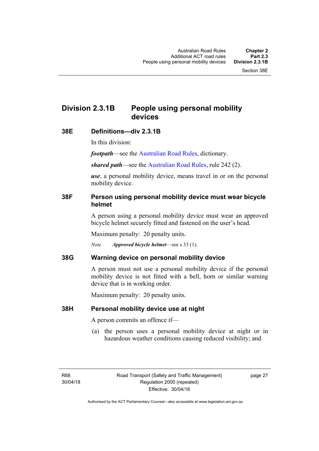# **Division 2.3.1B People using personal mobility devices**

#### **38E Definitions—div 2.3.1B**

In this division:

*footpath*—see the [Australian Road Rules](http://www.legislation.act.gov.au//ni/db_37271/default.asp), dictionary.

*shared path*—see the [Australian Road Rules](http://www.legislation.act.gov.au//ni/db_37271/default.asp), rule 242 (2).

*use*, a personal mobility device, means travel in or on the personal mobility device.

### **38F Person using personal mobility device must wear bicycle helmet**

A person using a personal mobility device must wear an approved bicycle helmet securely fitted and fastened on the user's head.

Maximum penalty: 20 penalty units.

*Note Approved bicycle helmet*—see s 33 (1).

#### **38G Warning device on personal mobility device**

A person must not use a personal mobility device if the personal mobility device is not fitted with a bell, horn or similar warning device that is in working order.

Maximum penalty: 20 penalty units.

#### **38H Personal mobility device use at night**

A person commits an offence if—

(a) the person uses a personal mobility device at night or in hazardous weather conditions causing reduced visibility; and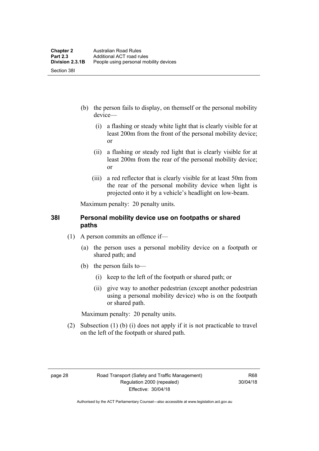- (b) the person fails to display, on themself or the personal mobility device—
	- (i) a flashing or steady white light that is clearly visible for at least 200m from the front of the personal mobility device; or
	- (ii) a flashing or steady red light that is clearly visible for at least 200m from the rear of the personal mobility device; or
	- (iii) a red reflector that is clearly visible for at least 50m from the rear of the personal mobility device when light is projected onto it by a vehicle's headlight on low-beam.

Maximum penalty: 20 penalty units.

### **38I Personal mobility device use on footpaths or shared paths**

- (1) A person commits an offence if—
	- (a) the person uses a personal mobility device on a footpath or shared path; and
	- (b) the person fails to—
		- (i) keep to the left of the footpath or shared path; or
		- (ii) give way to another pedestrian (except another pedestrian using a personal mobility device) who is on the footpath or shared path.

Maximum penalty: 20 penalty units.

 (2) Subsection (1) (b) (i) does not apply if it is not practicable to travel on the left of the footpath or shared path.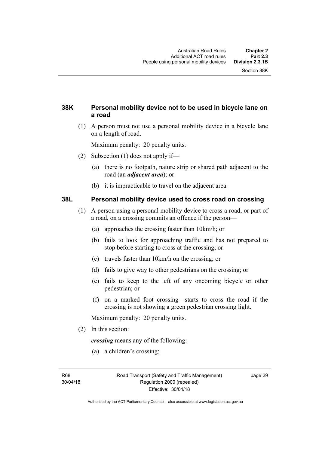## **38K Personal mobility device not to be used in bicycle lane on a road**

 (1) A person must not use a personal mobility device in a bicycle lane on a length of road.

Maximum penalty: 20 penalty units.

- (2) Subsection (1) does not apply if—
	- (a) there is no footpath, nature strip or shared path adjacent to the road (an *adjacent area*); or
	- (b) it is impracticable to travel on the adjacent area.

#### **38L Personal mobility device used to cross road on crossing**

- (1) A person using a personal mobility device to cross a road, or part of a road, on a crossing commits an offence if the person—
	- (a) approaches the crossing faster than 10km/h; or
	- (b) fails to look for approaching traffic and has not prepared to stop before starting to cross at the crossing; or
	- (c) travels faster than 10km/h on the crossing; or
	- (d) fails to give way to other pedestrians on the crossing; or
	- (e) fails to keep to the left of any oncoming bicycle or other pedestrian; or
	- (f) on a marked foot crossing—starts to cross the road if the crossing is not showing a green pedestrian crossing light.

Maximum penalty: 20 penalty units.

(2) In this section:

*crossing* means any of the following:

(a) a children's crossing;

R68 30/04/18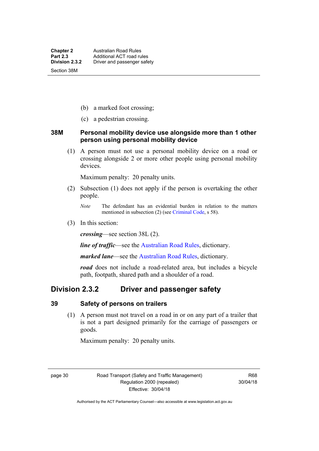- (b) a marked foot crossing;
- (c) a pedestrian crossing.

#### **38M Personal mobility device use alongside more than 1 other person using personal mobility device**

 (1) A person must not use a personal mobility device on a road or crossing alongside 2 or more other people using personal mobility devices.

Maximum penalty: 20 penalty units.

- (2) Subsection (1) does not apply if the person is overtaking the other people.
	- *Note* The defendant has an evidential burden in relation to the matters mentioned in subsection (2) (see [Criminal Code,](http://www.legislation.act.gov.au/a/2002-51) s 58).
- (3) In this section:

*crossing*—see section 38L (2).

*line of traffic*—see the [Australian Road Rules,](http://www.legislation.act.gov.au//ni/db_37271/default.asp) dictionary.

*marked lane*—see the [Australian Road Rules](http://www.legislation.act.gov.au//ni/db_37271/default.asp), dictionary.

*road* does not include a road-related area, but includes a bicycle path, footpath, shared path and a shoulder of a road.

## **Division 2.3.2 Driver and passenger safety**

#### **39 Safety of persons on trailers**

 (1) A person must not travel on a road in or on any part of a trailer that is not a part designed primarily for the carriage of passengers or goods.

Maximum penalty: 20 penalty units.

page 30 Road Transport (Safety and Traffic Management) Regulation 2000 (repealed) Effective: 30/04/18

R68 30/04/18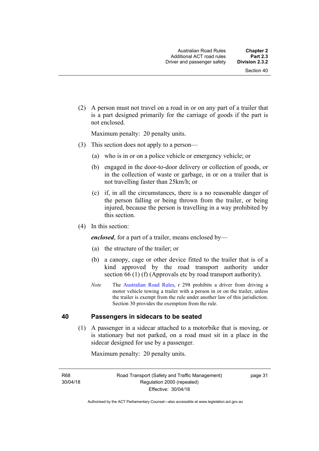(2) A person must not travel on a road in or on any part of a trailer that is a part designed primarily for the carriage of goods if the part is not enclosed.

Maximum penalty: 20 penalty units.

- (3) This section does not apply to a person—
	- (a) who is in or on a police vehicle or emergency vehicle; or
	- (b) engaged in the door-to-door delivery or collection of goods, or in the collection of waste or garbage, in or on a trailer that is not travelling faster than 25km/h; or
	- (c) if, in all the circumstances, there is a no reasonable danger of the person falling or being thrown from the trailer, or being injured, because the person is travelling in a way prohibited by this section.
- (4) In this section:

*enclosed*, for a part of a trailer, means enclosed by—

- (a) the structure of the trailer; or
- (b) a canopy, cage or other device fitted to the trailer that is of a kind approved by the road transport authority under section 66 (1) (f) (Approvals etc by road transport authority).
- *Note* The [Australian Road Rules](http://www.legislation.act.gov.au//ni/db_37271/default.asp), r 298 prohibits a driver from driving a motor vehicle towing a trailer with a person in or on the trailer, unless the trailer is exempt from the rule under another law of this jurisdiction. Section 30 provides the exemption from the rule.

#### **40 Passengers in sidecars to be seated**

 (1) A passenger in a sidecar attached to a motorbike that is moving, or is stationary but not parked, on a road must sit in a place in the sidecar designed for use by a passenger.

Maximum penalty: 20 penalty units.

R68 30/04/18 page 31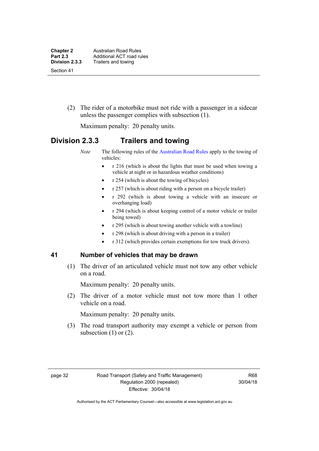(2) The rider of a motorbike must not ride with a passenger in a sidecar unless the passenger complies with subsection (1).

Maximum penalty: 20 penalty units.

## **Division 2.3.3 Trailers and towing**

*Note* The following rules of the [Australian Road Rules](http://www.legislation.act.gov.au//ni/db_37271/default.asp) apply to the towing of vehicles:

- r 216 (which is about the lights that must be used when towing a vehicle at night or in hazardous weather conditions)
- r 254 (which is about the towing of bicycles)
- $r 257$  (which is about riding with a person on a bicycle trailer)
- r 292 (which is about towing a vehicle with an insecure or overhanging load)
- r 294 (which is about keeping control of a motor vehicle or trailer being towed)
- r 295 (which is about towing another vehicle with a towline)
- r 298 (which is about driving with a person in a trailer)
- r 312 (which provides certain exemptions for tow truck drivers).

#### **41 Number of vehicles that may be drawn**

 (1) The driver of an articulated vehicle must not tow any other vehicle on a road.

Maximum penalty: 20 penalty units.

 (2) The driver of a motor vehicle must not tow more than 1 other vehicle on a road.

Maximum penalty: 20 penalty units.

 (3) The road transport authority may exempt a vehicle or person from subsection  $(1)$  or  $(2)$ .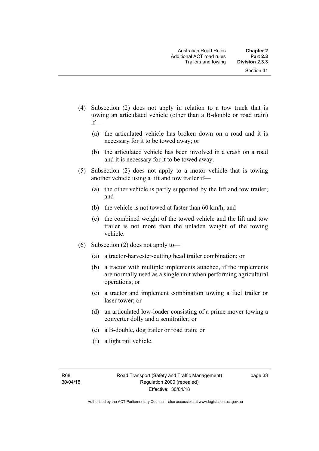- (4) Subsection (2) does not apply in relation to a tow truck that is towing an articulated vehicle (other than a B-double or road train) if—
	- (a) the articulated vehicle has broken down on a road and it is necessary for it to be towed away; or
	- (b) the articulated vehicle has been involved in a crash on a road and it is necessary for it to be towed away.
- (5) Subsection (2) does not apply to a motor vehicle that is towing another vehicle using a lift and tow trailer if—
	- (a) the other vehicle is partly supported by the lift and tow trailer; and
	- (b) the vehicle is not towed at faster than 60 km/h; and
	- (c) the combined weight of the towed vehicle and the lift and tow trailer is not more than the unladen weight of the towing vehicle.
- (6) Subsection (2) does not apply to—
	- (a) a tractor-harvester-cutting head trailer combination; or
	- (b) a tractor with multiple implements attached, if the implements are normally used as a single unit when performing agricultural operations; or
	- (c) a tractor and implement combination towing a fuel trailer or laser tower; or
	- (d) an articulated low-loader consisting of a prime mover towing a converter dolly and a semitrailer; or
	- (e) a B-double, dog trailer or road train; or
	- (f) a light rail vehicle.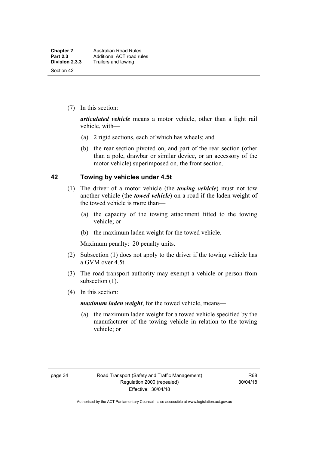(7) In this section:

*articulated vehicle* means a motor vehicle, other than a light rail vehicle, with—

- (a) 2 rigid sections, each of which has wheels; and
- (b) the rear section pivoted on, and part of the rear section (other than a pole, drawbar or similar device, or an accessory of the motor vehicle) superimposed on, the front section.

#### **42 Towing by vehicles under 4.5t**

- (1) The driver of a motor vehicle (the *towing vehicle*) must not tow another vehicle (the *towed vehicle*) on a road if the laden weight of the towed vehicle is more than—
	- (a) the capacity of the towing attachment fitted to the towing vehicle; or
	- (b) the maximum laden weight for the towed vehicle.

Maximum penalty: 20 penalty units.

- (2) Subsection (1) does not apply to the driver if the towing vehicle has a GVM over 4.5t.
- (3) The road transport authority may exempt a vehicle or person from subsection (1).
- (4) In this section:

*maximum laden weight*, for the towed vehicle, means—

 (a) the maximum laden weight for a towed vehicle specified by the manufacturer of the towing vehicle in relation to the towing vehicle; or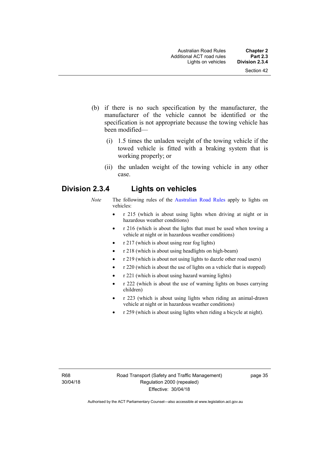- (b) if there is no such specification by the manufacturer, the manufacturer of the vehicle cannot be identified or the specification is not appropriate because the towing vehicle has been modified—
	- (i) 1.5 times the unladen weight of the towing vehicle if the towed vehicle is fitted with a braking system that is working properly; or
	- (ii) the unladen weight of the towing vehicle in any other case.

# **Division 2.3.4 Lights on vehicles**

- *Note* The following rules of the [Australian Road Rules](http://www.legislation.act.gov.au//ni/db_37271/default.asp) apply to lights on vehicles:
	- r 215 (which is about using lights when driving at night or in hazardous weather conditions)
	- r 216 (which is about the lights that must be used when towing a vehicle at night or in hazardous weather conditions)
	- r 217 (which is about using rear fog lights)
	- r 218 (which is about using headlights on high-beam)
	- r 219 (which is about not using lights to dazzle other road users)
	- r 220 (which is about the use of lights on a vehicle that is stopped)
	- r 221 (which is about using hazard warning lights)
	- r 222 (which is about the use of warning lights on buses carrying children)
	- r 223 (which is about using lights when riding an animal-drawn vehicle at night or in hazardous weather conditions)
	- r 259 (which is about using lights when riding a bicycle at night).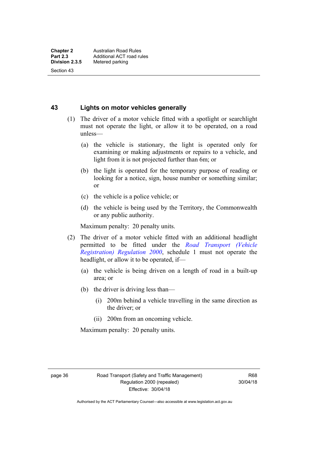Section 43

**43 Lights on motor vehicles generally**

- (1) The driver of a motor vehicle fitted with a spotlight or searchlight must not operate the light, or allow it to be operated, on a road unless—
	- (a) the vehicle is stationary, the light is operated only for examining or making adjustments or repairs to a vehicle, and light from it is not projected further than 6m; or
	- (b) the light is operated for the temporary purpose of reading or looking for a notice, sign, house number or something similar; or
	- (c) the vehicle is a police vehicle; or
	- (d) the vehicle is being used by the Territory, the Commonwealth or any public authority.

Maximum penalty: 20 penalty units.

- (2) The driver of a motor vehicle fitted with an additional headlight permitted to be fitted under the *[Road Transport \(Vehicle](http://www.legislation.act.gov.au/sl/2000-12)  [Registration\) Regulation 2000](http://www.legislation.act.gov.au/sl/2000-12)*, schedule 1 must not operate the headlight, or allow it to be operated, if—
	- (a) the vehicle is being driven on a length of road in a built-up area; or
	- (b) the driver is driving less than—
		- (i) 200m behind a vehicle travelling in the same direction as the driver; or
		- (ii) 200m from an oncoming vehicle.

Maximum penalty: 20 penalty units.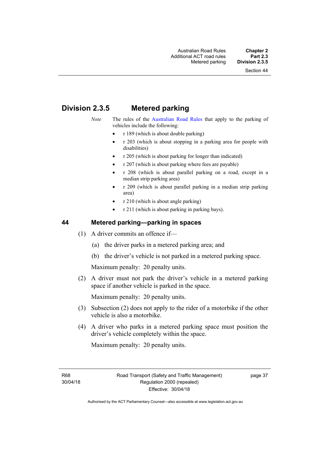# **Division 2.3.5 Metered parking**

- *Note* The rules of the [Australian Road Rules](http://www.legislation.act.gov.au//ni/db_37271/default.asp) that apply to the parking of vehicles include the following:
	- r 189 (which is about double parking)
	- r 203 (which is about stopping in a parking area for people with disabilities)
	- r 205 (which is about parking for longer than indicated)
	- r 207 (which is about parking where fees are payable)
	- r 208 (which is about parallel parking on a road, except in a median strip parking area)
	- r 209 (which is about parallel parking in a median strip parking area)
	- r 210 (which is about angle parking)
	- r 211 (which is about parking in parking bays).

### **44 Metered parking—parking in spaces**

- (1) A driver commits an offence if—
	- (a) the driver parks in a metered parking area; and
	- (b) the driver's vehicle is not parked in a metered parking space.

Maximum penalty: 20 penalty units.

 (2) A driver must not park the driver's vehicle in a metered parking space if another vehicle is parked in the space.

Maximum penalty: 20 penalty units.

- (3) Subsection (2) does not apply to the rider of a motorbike if the other vehicle is also a motorbike.
- (4) A driver who parks in a metered parking space must position the driver's vehicle completely within the space.

Maximum penalty: 20 penalty units.

R68 30/04/18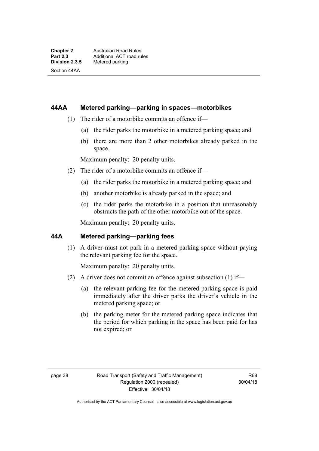Section 44AA

#### **44AA Metered parking—parking in spaces—motorbikes**

- (1) The rider of a motorbike commits an offence if—
	- (a) the rider parks the motorbike in a metered parking space; and
	- (b) there are more than 2 other motorbikes already parked in the space.

Maximum penalty: 20 penalty units.

- (2) The rider of a motorbike commits an offence if—
	- (a) the rider parks the motorbike in a metered parking space; and
	- (b) another motorbike is already parked in the space; and
	- (c) the rider parks the motorbike in a position that unreasonably obstructs the path of the other motorbike out of the space.

Maximum penalty: 20 penalty units.

#### **44A Metered parking—parking fees**

(1) A driver must not park in a metered parking space without paying the relevant parking fee for the space.

Maximum penalty: 20 penalty units.

- (2) A driver does not commit an offence against subsection (1) if—
	- (a) the relevant parking fee for the metered parking space is paid immediately after the driver parks the driver's vehicle in the metered parking space; or
	- (b) the parking meter for the metered parking space indicates that the period for which parking in the space has been paid for has not expired; or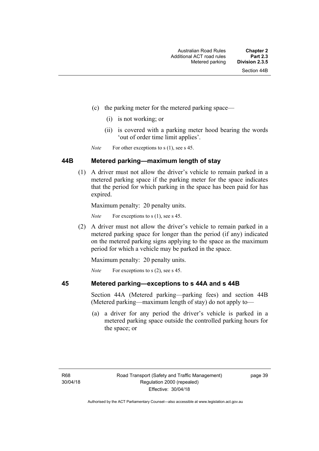- (c) the parking meter for the metered parking space—
	- (i) is not working; or
	- (ii) is covered with a parking meter hood bearing the words 'out of order time limit applies'.

*Note* For other exceptions to s (1), see s 45.

#### **44B Metered parking—maximum length of stay**

 (1) A driver must not allow the driver's vehicle to remain parked in a metered parking space if the parking meter for the space indicates that the period for which parking in the space has been paid for has expired.

Maximum penalty: 20 penalty units.

*Note* For exceptions to s (1), see s 45.

 (2) A driver must not allow the driver's vehicle to remain parked in a metered parking space for longer than the period (if any) indicated on the metered parking signs applying to the space as the maximum period for which a vehicle may be parked in the space.

Maximum penalty: 20 penalty units.

*Note* For exceptions to s (2), see s 45.

# **45 Metered parking—exceptions to s 44A and s 44B**

Section 44A (Metered parking—parking fees) and section 44B (Metered parking—maximum length of stay) do not apply to—

 (a) a driver for any period the driver's vehicle is parked in a metered parking space outside the controlled parking hours for the space; or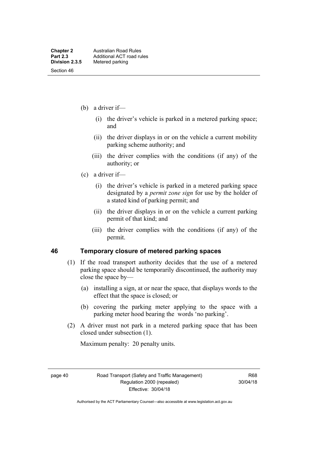- (b) a driver if—
	- (i) the driver's vehicle is parked in a metered parking space; and
	- (ii) the driver displays in or on the vehicle a current mobility parking scheme authority; and
	- (iii) the driver complies with the conditions (if any) of the authority; or
- (c) a driver if—
	- (i) the driver's vehicle is parked in a metered parking space designated by a *permit zone sign* for use by the holder of a stated kind of parking permit; and
	- (ii) the driver displays in or on the vehicle a current parking permit of that kind; and
	- (iii) the driver complies with the conditions (if any) of the permit.

#### **46 Temporary closure of metered parking spaces**

- (1) If the road transport authority decides that the use of a metered parking space should be temporarily discontinued, the authority may close the space by—
	- (a) installing a sign, at or near the space, that displays words to the effect that the space is closed; or
	- (b) covering the parking meter applying to the space with a parking meter hood bearing the words 'no parking'.
- (2) A driver must not park in a metered parking space that has been closed under subsection (1).

Maximum penalty: 20 penalty units.

page 40 Road Transport (Safety and Traffic Management) Regulation 2000 (repealed) Effective: 30/04/18

R68 30/04/18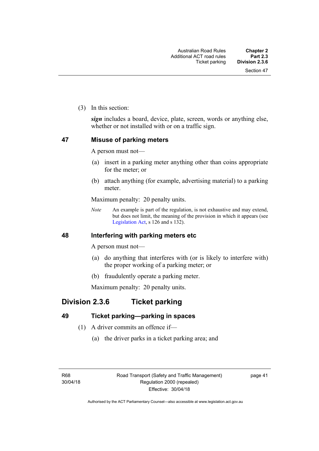(3) In this section:

*sign* includes a board, device, plate, screen, words or anything else, whether or not installed with or on a traffic sign.

#### **47 Misuse of parking meters**

A person must not—

- (a) insert in a parking meter anything other than coins appropriate for the meter; or
- (b) attach anything (for example, advertising material) to a parking meter.

Maximum penalty: 20 penalty units.

*Note* An example is part of the regulation, is not exhaustive and may extend, but does not limit, the meaning of the provision in which it appears (see [Legislation Act,](http://www.legislation.act.gov.au/a/2001-14) s 126 and s 132).

#### **48 Interfering with parking meters etc**

A person must not—

- (a) do anything that interferes with (or is likely to interfere with) the proper working of a parking meter; or
- (b) fraudulently operate a parking meter.

Maximum penalty: 20 penalty units.

## **Division 2.3.6 Ticket parking**

## **49 Ticket parking—parking in spaces**

- (1) A driver commits an offence if—
	- (a) the driver parks in a ticket parking area; and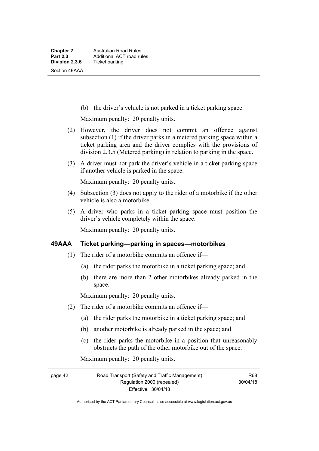(b) the driver's vehicle is not parked in a ticket parking space.

Maximum penalty: 20 penalty units.

- (2) However, the driver does not commit an offence against subsection (1) if the driver parks in a metered parking space within a ticket parking area and the driver complies with the provisions of division 2.3.5 (Metered parking) in relation to parking in the space.
- (3) A driver must not park the driver's vehicle in a ticket parking space if another vehicle is parked in the space.

Maximum penalty: 20 penalty units.

- (4) Subsection (3) does not apply to the rider of a motorbike if the other vehicle is also a motorbike.
- (5) A driver who parks in a ticket parking space must position the driver's vehicle completely within the space.

Maximum penalty: 20 penalty units.

#### **49AAA Ticket parking—parking in spaces—motorbikes**

- (1) The rider of a motorbike commits an offence if—
	- (a) the rider parks the motorbike in a ticket parking space; and
	- (b) there are more than 2 other motorbikes already parked in the space.

Maximum penalty: 20 penalty units.

- (2) The rider of a motorbike commits an offence if—
	- (a) the rider parks the motorbike in a ticket parking space; and
	- (b) another motorbike is already parked in the space; and
	- (c) the rider parks the motorbike in a position that unreasonably obstructs the path of the other motorbike out of the space.

Maximum penalty: 20 penalty units.

page 42 Road Transport (Safety and Traffic Management) Regulation 2000 (repealed) Effective: 30/04/18

R68 30/04/18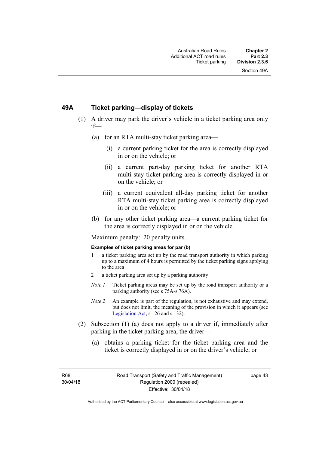#### **49A Ticket parking—display of tickets**

- (1) A driver may park the driver's vehicle in a ticket parking area only if—
	- (a) for an RTA multi-stay ticket parking area—
		- (i) a current parking ticket for the area is correctly displayed in or on the vehicle; or
		- (ii) a current part-day parking ticket for another RTA multi-stay ticket parking area is correctly displayed in or on the vehicle; or
		- (iii) a current equivalent all-day parking ticket for another RTA multi-stay ticket parking area is correctly displayed in or on the vehicle; or
	- (b) for any other ticket parking area—a current parking ticket for the area is correctly displayed in or on the vehicle.

Maximum penalty: 20 penalty units.

#### **Examples of ticket parking areas for par (b)**

- 1 a ticket parking area set up by the road transport authority in which parking up to a maximum of 4 hours is permitted by the ticket parking signs applying to the area
- 2 a ticket parking area set up by a parking authority
- *Note 1* Ticket parking areas may be set up by the road transport authority or a parking authority (see s 75A-s 76A).
- *Note 2* An example is part of the regulation, is not exhaustive and may extend, but does not limit, the meaning of the provision in which it appears (see [Legislation Act,](http://www.legislation.act.gov.au/a/2001-14) s 126 and s 132).
- (2) Subsection (1) (a) does not apply to a driver if, immediately after parking in the ticket parking area, the driver—
	- (a) obtains a parking ticket for the ticket parking area and the ticket is correctly displayed in or on the driver's vehicle; or

R68 30/04/18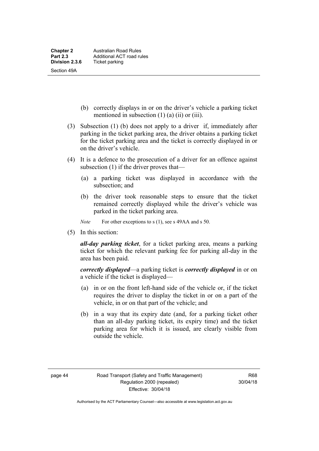- (b) correctly displays in or on the driver's vehicle a parking ticket mentioned in subsection (1) (a) (ii) or (iii).
- (3) Subsection (1) (b) does not apply to a driver if, immediately after parking in the ticket parking area, the driver obtains a parking ticket for the ticket parking area and the ticket is correctly displayed in or on the driver's vehicle.
- (4) It is a defence to the prosecution of a driver for an offence against subsection (1) if the driver proves that—
	- (a) a parking ticket was displayed in accordance with the subsection; and
	- (b) the driver took reasonable steps to ensure that the ticket remained correctly displayed while the driver's vehicle was parked in the ticket parking area.
	- *Note* For other exceptions to s (1), see s 49AA and s 50.
- (5) In this section:

*all-day parking ticket*, for a ticket parking area, means a parking ticket for which the relevant parking fee for parking all-day in the area has been paid.

*correctly displayed*—a parking ticket is *correctly displayed* in or on a vehicle if the ticket is displayed—

- (a) in or on the front left-hand side of the vehicle or, if the ticket requires the driver to display the ticket in or on a part of the vehicle, in or on that part of the vehicle; and
- (b) in a way that its expiry date (and, for a parking ticket other than an all-day parking ticket, its expiry time) and the ticket parking area for which it is issued, are clearly visible from outside the vehicle.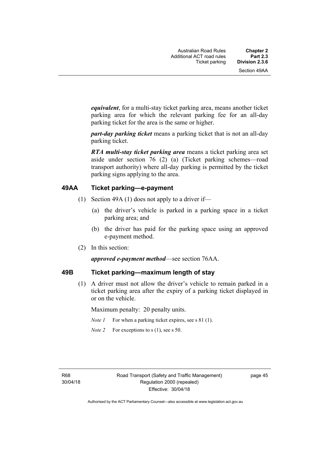*equivalent*, for a multi-stay ticket parking area, means another ticket parking area for which the relevant parking fee for an all-day parking ticket for the area is the same or higher.

*part-day parking ticket* means a parking ticket that is not an all-day parking ticket.

*RTA multi-stay ticket parking area* means a ticket parking area set aside under section 76 (2) (a) (Ticket parking schemes—road transport authority) where all-day parking is permitted by the ticket parking signs applying to the area.

#### **49AA Ticket parking—e-payment**

- (1) Section 49A (1) does not apply to a driver if—
	- (a) the driver's vehicle is parked in a parking space in a ticket parking area; and
	- (b) the driver has paid for the parking space using an approved e-payment method.
- (2) In this section:

#### *approved e-payment method*—see section 76AA.

#### **49B Ticket parking—maximum length of stay**

(1) A driver must not allow the driver's vehicle to remain parked in a ticket parking area after the expiry of a parking ticket displayed in or on the vehicle.

Maximum penalty: 20 penalty units.

- *Note 1* For when a parking ticket expires, see s 81 (1).
- *Note 2* For exceptions to s (1), see s 50.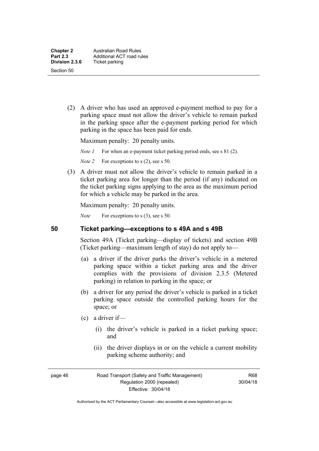(2) A driver who has used an approved e-payment method to pay for a parking space must not allow the driver's vehicle to remain parked in the parking space after the e-payment parking period for which parking in the space has been paid for ends.

Maximum penalty: 20 penalty units.

*Note 1* For when an e-payment ticket parking period ends, see s 81 (2).

*Note 2* For exceptions to s (2), see s 50.

 (3) A driver must not allow the driver's vehicle to remain parked in a ticket parking area for longer than the period (if any) indicated on the ticket parking signs applying to the area as the maximum period for which a vehicle may be parked in the area.

Maximum penalty: 20 penalty units.

*Note* For exceptions to s (3), see s 50.

#### **50 Ticket parking—exceptions to s 49A and s 49B**

Section 49A (Ticket parking—display of tickets) and section 49B (Ticket parking—maximum length of stay) do not apply to—

- (a) a driver if the driver parks the driver's vehicle in a metered parking space within a ticket parking area and the driver complies with the provisions of division 2.3.5 (Metered parking) in relation to parking in the space; or
- (b) a driver for any period the driver's vehicle is parked in a ticket parking space outside the controlled parking hours for the space; or
- (c) a driver if—
	- (i) the driver's vehicle is parked in a ticket parking space; and
	- (ii) the driver displays in or on the vehicle a current mobility parking scheme authority; and

page 46 Road Transport (Safety and Traffic Management) Regulation 2000 (repealed) Effective: 30/04/18

R68 30/04/18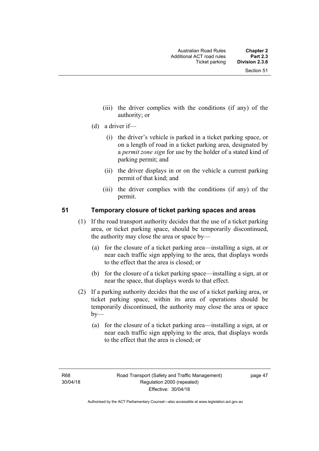- (iii) the driver complies with the conditions (if any) of the authority; or
- (d) a driver if—
	- (i) the driver's vehicle is parked in a ticket parking space, or on a length of road in a ticket parking area, designated by a *permit zone sign* for use by the holder of a stated kind of parking permit; and
	- (ii) the driver displays in or on the vehicle a current parking permit of that kind; and
	- (iii) the driver complies with the conditions (if any) of the permit.

#### **51 Temporary closure of ticket parking spaces and areas**

- (1) If the road transport authority decides that the use of a ticket parking area, or ticket parking space, should be temporarily discontinued, the authority may close the area or space by—
	- (a) for the closure of a ticket parking area—installing a sign, at or near each traffic sign applying to the area, that displays words to the effect that the area is closed; or
	- (b) for the closure of a ticket parking space—installing a sign, at or near the space, that displays words to that effect.
- (2) If a parking authority decides that the use of a ticket parking area, or ticket parking space, within its area of operations should be temporarily discontinued, the authority may close the area or space  $b$ v—
	- (a) for the closure of a ticket parking area—installing a sign, at or near each traffic sign applying to the area, that displays words to the effect that the area is closed; or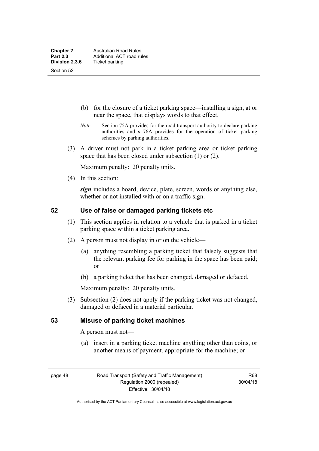(b) for the closure of a ticket parking space—installing a sign, at or near the space, that displays words to that effect.

- *Note* Section 75A provides for the road transport authority to declare parking authorities and s 76A provides for the operation of ticket parking schemes by parking authorities.
- (3) A driver must not park in a ticket parking area or ticket parking space that has been closed under subsection (1) or (2).

Maximum penalty: 20 penalty units.

(4) In this section:

*sign* includes a board, device, plate, screen, words or anything else, whether or not installed with or on a traffic sign.

### **52 Use of false or damaged parking tickets etc**

- (1) This section applies in relation to a vehicle that is parked in a ticket parking space within a ticket parking area.
- (2) A person must not display in or on the vehicle—
	- (a) anything resembling a parking ticket that falsely suggests that the relevant parking fee for parking in the space has been paid; or
	- (b) a parking ticket that has been changed, damaged or defaced.

Maximum penalty: 20 penalty units.

 (3) Subsection (2) does not apply if the parking ticket was not changed, damaged or defaced in a material particular.

#### **53 Misuse of parking ticket machines**

A person must not—

(a) insert in a parking ticket machine anything other than coins, or another means of payment, appropriate for the machine; or

page 48 Road Transport (Safety and Traffic Management) Regulation 2000 (repealed) Effective: 30/04/18

R68 30/04/18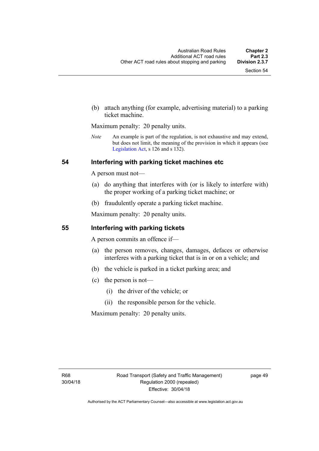(b) attach anything (for example, advertising material) to a parking ticket machine.

Maximum penalty: 20 penalty units.

*Note* An example is part of the regulation, is not exhaustive and may extend, but does not limit, the meaning of the provision in which it appears (see [Legislation Act,](http://www.legislation.act.gov.au/a/2001-14) s 126 and s 132).

### **54 Interfering with parking ticket machines etc**

A person must not—

- (a) do anything that interferes with (or is likely to interfere with) the proper working of a parking ticket machine; or
- (b) fraudulently operate a parking ticket machine.

Maximum penalty: 20 penalty units.

### **55 Interfering with parking tickets**

A person commits an offence if—

- (a) the person removes, changes, damages, defaces or otherwise interferes with a parking ticket that is in or on a vehicle; and
- (b) the vehicle is parked in a ticket parking area; and
- (c) the person is not—
	- (i) the driver of the vehicle; or
	- (ii) the responsible person for the vehicle.

Maximum penalty: 20 penalty units.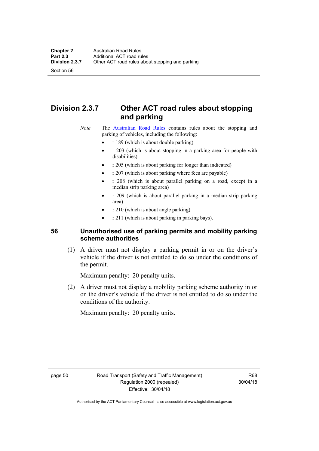Section 56

# **Division 2.3.7 Other ACT road rules about stopping and parking**

*Note* The [Australian Road Rules](http://www.legislation.act.gov.au//ni/db_37271/default.asp) contains rules about the stopping and parking of vehicles, including the following:

- r 189 (which is about double parking)
- r 203 (which is about stopping in a parking area for people with disabilities)
- r 205 (which is about parking for longer than indicated)
- r 207 (which is about parking where fees are payable)
- r 208 (which is about parallel parking on a road, except in a median strip parking area)
- r 209 (which is about parallel parking in a median strip parking area)
- r 210 (which is about angle parking)
- r 211 (which is about parking in parking bays).

#### **56 Unauthorised use of parking permits and mobility parking scheme authorities**

 (1) A driver must not display a parking permit in or on the driver's vehicle if the driver is not entitled to do so under the conditions of the permit.

Maximum penalty: 20 penalty units.

 (2) A driver must not display a mobility parking scheme authority in or on the driver's vehicle if the driver is not entitled to do so under the conditions of the authority.

Maximum penalty: 20 penalty units.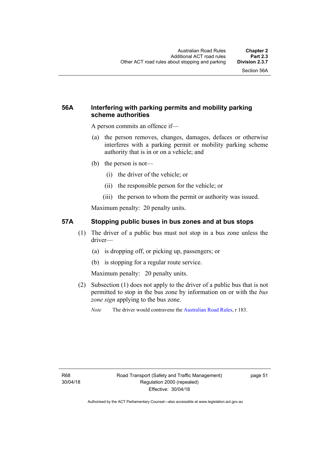## **56A Interfering with parking permits and mobility parking scheme authorities**

A person commits an offence if—

- (a) the person removes, changes, damages, defaces or otherwise interferes with a parking permit or mobility parking scheme authority that is in or on a vehicle; and
- (b) the person is not—
	- (i) the driver of the vehicle; or
	- (ii) the responsible person for the vehicle; or
	- (iii) the person to whom the permit or authority was issued.

Maximum penalty: 20 penalty units.

### **57A Stopping public buses in bus zones and at bus stops**

- (1) The driver of a public bus must not stop in a bus zone unless the driver—
	- (a) is dropping off, or picking up, passengers; or
	- (b) is stopping for a regular route service.

Maximum penalty: 20 penalty units.

- (2) Subsection (1) does not apply to the driver of a public bus that is not permitted to stop in the bus zone by information on or with the *bus zone sign* applying to the bus zone.
	- *Note* The driver would contravene the [Australian Road Rules,](http://www.legislation.act.gov.au//ni/db_37271/default.asp) r 183.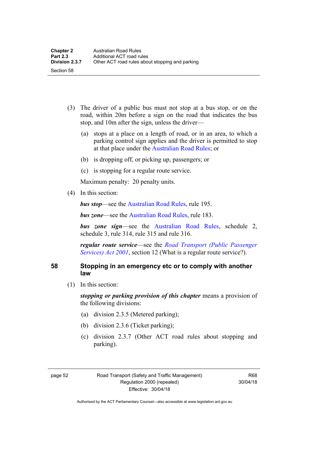- (3) The driver of a public bus must not stop at a bus stop, or on the road, within 20m before a sign on the road that indicates the bus stop, and 10m after the sign, unless the driver—
	- (a) stops at a place on a length of road, or in an area, to which a parking control sign applies and the driver is permitted to stop at that place under the [Australian Road Rules;](http://www.legislation.act.gov.au//ni/db_37271/default.asp) or
	- (b) is dropping off, or picking up, passengers; or
	- (c) is stopping for a regular route service.

Maximum penalty: 20 penalty units.

(4) In this section:

*bus stop***—see the Australian Road Rules**, rule 195.

*bus zone***—see the Australian Road Rules**, rule 183.

*bus zone sign*—see the [Australian Road Rules,](http://www.legislation.act.gov.au//ni/db_37271/default.asp) schedule 2, schedule 3, rule 314, rule 315 and rule 316.

*regular route service*—see the *[Road Transport \(Public Passenger](http://www.legislation.act.gov.au/a/2001-62)  [Services\) Act 2001](http://www.legislation.act.gov.au/a/2001-62)*, section 12 (What is a regular route service?).

#### **58 Stopping in an emergency etc or to comply with another law**

(1) In this section:

*stopping or parking provision of this chapter* means a provision of the following divisions:

- (a) division 2.3.5 (Metered parking);
- (b) division 2.3.6 (Ticket parking);
- (c) division 2.3.7 (Other ACT road rules about stopping and parking).

page 52 Road Transport (Safety and Traffic Management) Regulation 2000 (repealed) Effective: 30/04/18

R68 30/04/18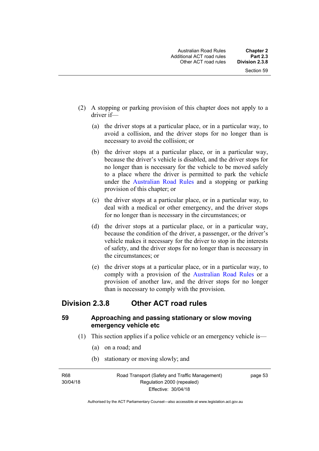- (2) A stopping or parking provision of this chapter does not apply to a driver if—
	- (a) the driver stops at a particular place, or in a particular way, to avoid a collision, and the driver stops for no longer than is necessary to avoid the collision; or
	- (b) the driver stops at a particular place, or in a particular way, because the driver's vehicle is disabled, and the driver stops for no longer than is necessary for the vehicle to be moved safely to a place where the driver is permitted to park the vehicle under the [Australian Road Rules](http://www.legislation.act.gov.au//ni/db_37271/default.asp) and a stopping or parking provision of this chapter; or
	- (c) the driver stops at a particular place, or in a particular way, to deal with a medical or other emergency, and the driver stops for no longer than is necessary in the circumstances; or
	- (d) the driver stops at a particular place, or in a particular way, because the condition of the driver, a passenger, or the driver's vehicle makes it necessary for the driver to stop in the interests of safety, and the driver stops for no longer than is necessary in the circumstances; or
	- (e) the driver stops at a particular place, or in a particular way, to comply with a provision of the [Australian Road Rules](http://www.legislation.act.gov.au//ni/db_37271/default.asp) or a provision of another law, and the driver stops for no longer than is necessary to comply with the provision.

## **Division 2.3.8 Other ACT road rules**

#### **59 Approaching and passing stationary or slow moving emergency vehicle etc**

- (1) This section applies if a police vehicle or an emergency vehicle is—
	- (a) on a road; and
	- (b) stationary or moving slowly; and

R68 30/04/18 Road Transport (Safety and Traffic Management) Regulation 2000 (repealed) Effective: 30/04/18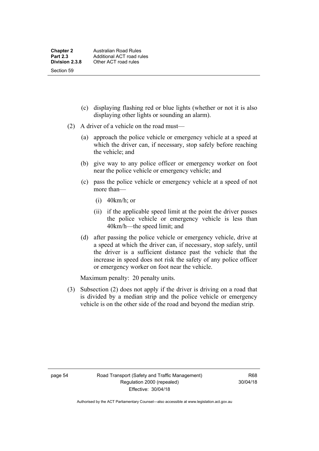- (c) displaying flashing red or blue lights (whether or not it is also displaying other lights or sounding an alarm).
- (2) A driver of a vehicle on the road must—
	- (a) approach the police vehicle or emergency vehicle at a speed at which the driver can, if necessary, stop safely before reaching the vehicle; and
	- (b) give way to any police officer or emergency worker on foot near the police vehicle or emergency vehicle; and
	- (c) pass the police vehicle or emergency vehicle at a speed of not more than—
		- (i) 40km/h; or
		- (ii) if the applicable speed limit at the point the driver passes the police vehicle or emergency vehicle is less than 40km/h—the speed limit; and
	- (d) after passing the police vehicle or emergency vehicle, drive at a speed at which the driver can, if necessary, stop safely, until the driver is a sufficient distance past the vehicle that the increase in speed does not risk the safety of any police officer or emergency worker on foot near the vehicle.

Maximum penalty: 20 penalty units.

 (3) Subsection (2) does not apply if the driver is driving on a road that is divided by a median strip and the police vehicle or emergency vehicle is on the other side of the road and beyond the median strip.

page 54 Road Transport (Safety and Traffic Management) Regulation 2000 (repealed) Effective: 30/04/18

R68 30/04/18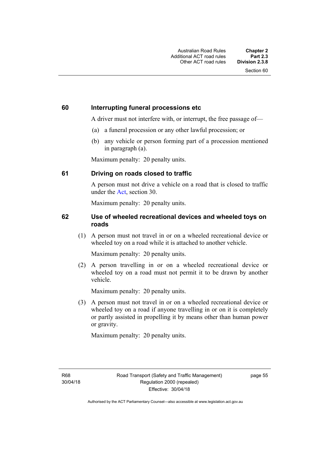### **60 Interrupting funeral processions etc**

A driver must not interfere with, or interrupt, the free passage of—

- (a) a funeral procession or any other lawful procession; or
- (b) any vehicle or person forming part of a procession mentioned in paragraph (a).

Maximum penalty: 20 penalty units.

#### **61 Driving on roads closed to traffic**

A person must not drive a vehicle on a road that is closed to traffic under the [Act](http://www.legislation.act.gov.au/a/1999-80/default.asp), section 30.

Maximum penalty: 20 penalty units.

#### **62 Use of wheeled recreational devices and wheeled toys on roads**

 (1) A person must not travel in or on a wheeled recreational device or wheeled toy on a road while it is attached to another vehicle.

Maximum penalty: 20 penalty units.

 (2) A person travelling in or on a wheeled recreational device or wheeled toy on a road must not permit it to be drawn by another vehicle.

Maximum penalty: 20 penalty units.

 (3) A person must not travel in or on a wheeled recreational device or wheeled toy on a road if anyone travelling in or on it is completely or partly assisted in propelling it by means other than human power or gravity.

Maximum penalty: 20 penalty units.

R68 30/04/18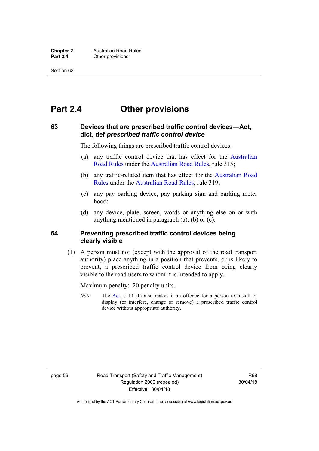# **Part 2.4 Other provisions**

#### **63 Devices that are prescribed traffic control devices—Act, dict, def** *prescribed traffic control device*

The following things are prescribed traffic control devices:

- (a) any traffic control device that has effect for the [Australian](http://www.legislation.act.gov.au//ni/db_37271/default.asp)  [Road Rules](http://www.legislation.act.gov.au//ni/db_37271/default.asp) under the [Australian Road Rules](http://www.legislation.act.gov.au//ni/db_37271/default.asp), rule 315;
- (b) any traffic-related item that has effect for the [Australian Road](http://www.legislation.act.gov.au//ni/db_37271/default.asp)  [Rules](http://www.legislation.act.gov.au//ni/db_37271/default.asp) under the [Australian Road Rules,](http://www.legislation.act.gov.au//ni/db_37271/default.asp) rule 319;
- (c) any pay parking device, pay parking sign and parking meter hood;
- (d) any device, plate, screen, words or anything else on or with anything mentioned in paragraph (a), (b) or (c).

#### **64 Preventing prescribed traffic control devices being clearly visible**

 (1) A person must not (except with the approval of the road transport authority) place anything in a position that prevents, or is likely to prevent, a prescribed traffic control device from being clearly visible to the road users to whom it is intended to apply.

Maximum penalty: 20 penalty units.

*Note* The [Act](http://www.legislation.act.gov.au/a/1999-80/default.asp), s 19 (1) also makes it an offence for a person to install or display (or interfere, change or remove) a prescribed traffic control device without appropriate authority.

page 56 Road Transport (Safety and Traffic Management) Regulation 2000 (repealed) Effective: 30/04/18

R68 30/04/18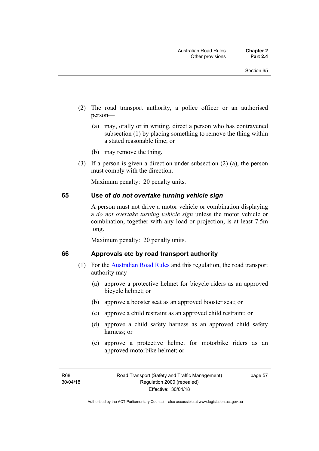- (2) The road transport authority, a police officer or an authorised person—
	- (a) may, orally or in writing, direct a person who has contravened subsection (1) by placing something to remove the thing within a stated reasonable time; or
	- (b) may remove the thing.
- (3) If a person is given a direction under subsection (2) (a), the person must comply with the direction.

Maximum penalty: 20 penalty units.

#### **65 Use of** *do not overtake turning vehicle sign*

A person must not drive a motor vehicle or combination displaying a *do not overtake turning vehicle sign* unless the motor vehicle or combination, together with any load or projection, is at least 7.5m long.

Maximum penalty: 20 penalty units.

#### **66 Approvals etc by road transport authority**

- (1) For the [Australian Road Rules](http://www.legislation.act.gov.au//ni/db_37271/default.asp) and this regulation, the road transport authority may—
	- (a) approve a protective helmet for bicycle riders as an approved bicycle helmet; or
	- (b) approve a booster seat as an approved booster seat; or
	- (c) approve a child restraint as an approved child restraint; or
	- (d) approve a child safety harness as an approved child safety harness; or
	- (e) approve a protective helmet for motorbike riders as an approved motorbike helmet; or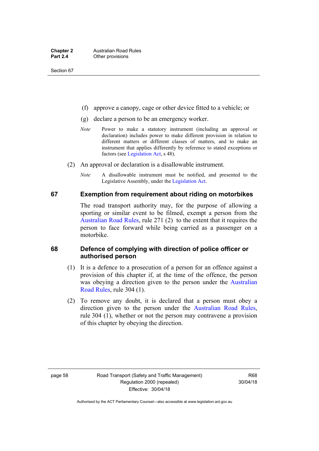- (f) approve a canopy, cage or other device fitted to a vehicle; or
- (g) declare a person to be an emergency worker.
- *Note* Power to make a statutory instrument (including an approval or declaration) includes power to make different provision in relation to different matters or different classes of matters, and to make an instrument that applies differently by reference to stated exceptions or factors (see [Legislation Act](http://www.legislation.act.gov.au/a/2001-14), s 48).
- (2) An approval or declaration is a disallowable instrument.
	- *Note* A disallowable instrument must be notified, and presented to the Legislative Assembly, under the [Legislation Act.](http://www.legislation.act.gov.au/a/2001-14)

#### **67 Exemption from requirement about riding on motorbikes**

The road transport authority may, for the purpose of allowing a sporting or similar event to be filmed, exempt a person from the [Australian Road Rules](http://www.legislation.act.gov.au//ni/db_37271/default.asp), rule 271 (2) to the extent that it requires the person to face forward while being carried as a passenger on a motorbike.

#### **68 Defence of complying with direction of police officer or authorised person**

- (1) It is a defence to a prosecution of a person for an offence against a provision of this chapter if, at the time of the offence, the person was obeying a direction given to the person under the [Australian](http://www.legislation.act.gov.au//ni/db_37271/default.asp)  [Road Rules,](http://www.legislation.act.gov.au//ni/db_37271/default.asp) rule 304 (1).
- (2) To remove any doubt, it is declared that a person must obey a direction given to the person under the [Australian Road Rules](http://www.legislation.act.gov.au//ni/db_37271/default.asp), rule 304 (1), whether or not the person may contravene a provision of this chapter by obeying the direction.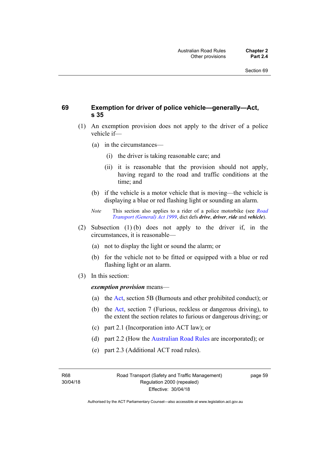### **69 Exemption for driver of police vehicle—generally—Act, s 35**

- (1) An exemption provision does not apply to the driver of a police vehicle if—
	- (a) in the circumstances—
		- (i) the driver is taking reasonable care; and
		- (ii) it is reasonable that the provision should not apply, having regard to the road and traffic conditions at the time; and
	- (b) if the vehicle is a motor vehicle that is moving—the vehicle is displaying a blue or red flashing light or sounding an alarm.
	- *Note* This section also applies to a rider of a police motorbike (see *[Road](http://www.legislation.act.gov.au/a/1999-77)  [Transport \(General\) Act 1999](http://www.legislation.act.gov.au/a/1999-77)*, dict defs *drive*, *driver*, *ride* and *vehicle*).
- (2) Subsection (1) (b) does not apply to the driver if, in the circumstances, it is reasonable—
	- (a) not to display the light or sound the alarm; or
	- (b) for the vehicle not to be fitted or equipped with a blue or red flashing light or an alarm.
- (3) In this section:

*exemption provision* means—

- (a) the [Act](http://www.legislation.act.gov.au/a/1999-80/default.asp), section 5B (Burnouts and other prohibited conduct); or
- (b) the [Act](http://www.legislation.act.gov.au/a/1999-80/default.asp), section 7 (Furious, reckless or dangerous driving), to the extent the section relates to furious or dangerous driving; or
- (c) part 2.1 (Incorporation into ACT law); or
- (d) part 2.2 (How the [Australian Road Rules](http://www.legislation.act.gov.au//ni/db_37271/default.asp) are incorporated); or
- (e) part 2.3 (Additional ACT road rules).

R68 30/04/18 Road Transport (Safety and Traffic Management) Regulation 2000 (repealed) Effective: 30/04/18

page 59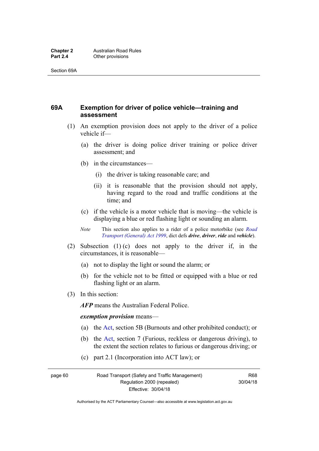### **69A Exemption for driver of police vehicle—training and assessment**

- (1) An exemption provision does not apply to the driver of a police vehicle if—
	- (a) the driver is doing police driver training or police driver assessment; and
	- (b) in the circumstances—
		- (i) the driver is taking reasonable care; and
		- (ii) it is reasonable that the provision should not apply, having regard to the road and traffic conditions at the time; and
	- (c) if the vehicle is a motor vehicle that is moving—the vehicle is displaying a blue or red flashing light or sounding an alarm.
	- *Note* This section also applies to a rider of a police motorbike (see *[Road](http://www.legislation.act.gov.au/a/1999-77)  [Transport \(General\) Act 1999](http://www.legislation.act.gov.au/a/1999-77)*, dict defs *drive*, *driver*, *ride* and *vehicle*).
- (2) Subsection (1) (c) does not apply to the driver if, in the circumstances, it is reasonable—
	- (a) not to display the light or sound the alarm; or
	- (b) for the vehicle not to be fitted or equipped with a blue or red flashing light or an alarm.
- (3) In this section:

*AFP* means the Australian Federal Police.

#### *exemption provision* means—

- (a) the [Act,](http://www.legislation.act.gov.au/a/1999-80/default.asp) section 5B (Burnouts and other prohibited conduct); or
- (b) the [Act](http://www.legislation.act.gov.au/a/1999-80/default.asp), section 7 (Furious, reckless or dangerous driving), to the extent the section relates to furious or dangerous driving; or
- (c) part 2.1 (Incorporation into ACT law); or

page 60 Road Transport (Safety and Traffic Management) Regulation 2000 (repealed) Effective: 30/04/18

R68 30/04/18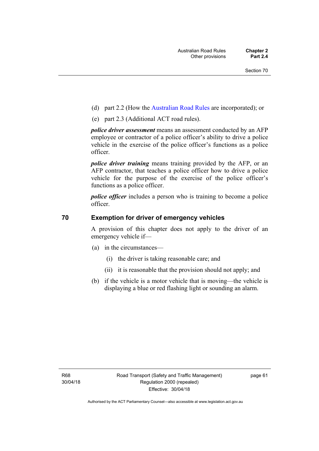- (d) part 2.2 (How the [Australian Road Rules](http://www.legislation.act.gov.au//ni/db_37271/default.asp) are incorporated); or
- (e) part 2.3 (Additional ACT road rules).

*police driver assessment* means an assessment conducted by an AFP employee or contractor of a police officer's ability to drive a police vehicle in the exercise of the police officer's functions as a police officer.

*police driver training* means training provided by the AFP, or an AFP contractor, that teaches a police officer how to drive a police vehicle for the purpose of the exercise of the police officer's functions as a police officer.

*police officer* includes a person who is training to become a police officer.

#### **70 Exemption for driver of emergency vehicles**

A provision of this chapter does not apply to the driver of an emergency vehicle if—

- (a) in the circumstances—
	- (i) the driver is taking reasonable care; and
	- (ii) it is reasonable that the provision should not apply; and
- (b) if the vehicle is a motor vehicle that is moving—the vehicle is displaying a blue or red flashing light or sounding an alarm.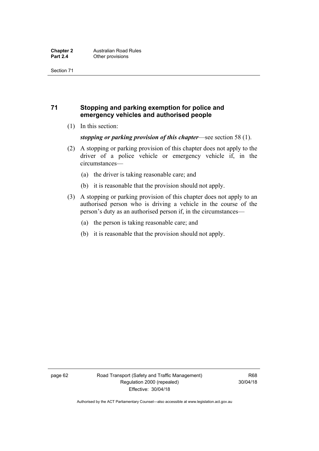### **71 Stopping and parking exemption for police and emergency vehicles and authorised people**

(1) In this section:

*stopping or parking provision of this chapter*—see section 58 (1).

- (2) A stopping or parking provision of this chapter does not apply to the driver of a police vehicle or emergency vehicle if, in the circumstances—
	- (a) the driver is taking reasonable care; and
	- (b) it is reasonable that the provision should not apply.
- (3) A stopping or parking provision of this chapter does not apply to an authorised person who is driving a vehicle in the course of the person's duty as an authorised person if, in the circumstances—
	- (a) the person is taking reasonable care; and
	- (b) it is reasonable that the provision should not apply.

page 62 Road Transport (Safety and Traffic Management) Regulation 2000 (repealed) Effective: 30/04/18

R68 30/04/18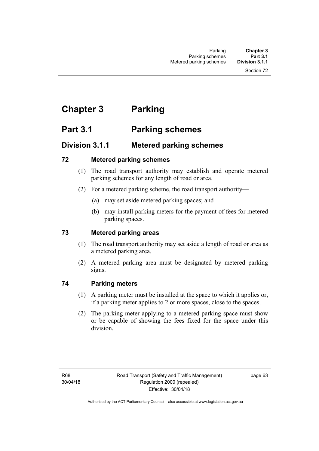# **Chapter 3 Parking**

# **Part 3.1 Parking schemes**

## **Division 3.1.1 Metered parking schemes**

### **72 Metered parking schemes**

- (1) The road transport authority may establish and operate metered parking schemes for any length of road or area.
- (2) For a metered parking scheme, the road transport authority—
	- (a) may set aside metered parking spaces; and
	- (b) may install parking meters for the payment of fees for metered parking spaces.

### **73 Metered parking areas**

- (1) The road transport authority may set aside a length of road or area as a metered parking area.
- (2) A metered parking area must be designated by metered parking signs.

### **74 Parking meters**

- (1) A parking meter must be installed at the space to which it applies or, if a parking meter applies to 2 or more spaces, close to the spaces.
- (2) The parking meter applying to a metered parking space must show or be capable of showing the fees fixed for the space under this division.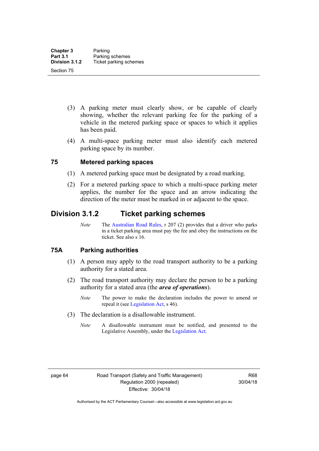- (3) A parking meter must clearly show, or be capable of clearly showing, whether the relevant parking fee for the parking of a vehicle in the metered parking space or spaces to which it applies has been paid.
- (4) A multi-space parking meter must also identify each metered parking space by its number.

#### **75 Metered parking spaces**

- (1) A metered parking space must be designated by a road marking.
- (2) For a metered parking space to which a multi-space parking meter applies, the number for the space and an arrow indicating the direction of the meter must be marked in or adjacent to the space.

## **Division 3.1.2 Ticket parking schemes**

*Note* The [Australian Road Rules](http://www.legislation.act.gov.au//ni/db_37271/default.asp), r 207 (2) provides that a driver who parks in a ticket parking area must pay the fee and obey the instructions on the ticket. See also s 16.

### **75A Parking authorities**

- (1) A person may apply to the road transport authority to be a parking authority for a stated area.
- (2) The road transport authority may declare the person to be a parking authority for a stated area (the *area of operations*).
	- *Note* The power to make the declaration includes the power to amend or repeal it (see [Legislation Act,](http://www.legislation.act.gov.au/a/2001-14) s 46).
- (3) The declaration is a disallowable instrument.
	- *Note* A disallowable instrument must be notified, and presented to the Legislative Assembly, under the [Legislation Act.](http://www.legislation.act.gov.au/a/2001-14)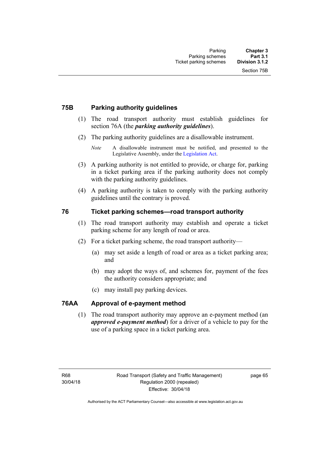### **75B Parking authority guidelines**

- (1) The road transport authority must establish guidelines for section 76A (the *parking authority guidelines*).
- (2) The parking authority guidelines are a disallowable instrument.

- (3) A parking authority is not entitled to provide, or charge for, parking in a ticket parking area if the parking authority does not comply with the parking authority guidelines.
- (4) A parking authority is taken to comply with the parking authority guidelines until the contrary is proved.

### **76 Ticket parking schemes—road transport authority**

- (1) The road transport authority may establish and operate a ticket parking scheme for any length of road or area.
- (2) For a ticket parking scheme, the road transport authority—
	- (a) may set aside a length of road or area as a ticket parking area; and
	- (b) may adopt the ways of, and schemes for, payment of the fees the authority considers appropriate; and
	- (c) may install pay parking devices.

#### **76AA Approval of e-payment method**

(1) The road transport authority may approve an e-payment method (an *approved e-payment method*) for a driver of a vehicle to pay for the use of a parking space in a ticket parking area.

*Note* A disallowable instrument must be notified, and presented to the Legislative Assembly, under the [Legislation Act.](http://www.legislation.act.gov.au/a/2001-14)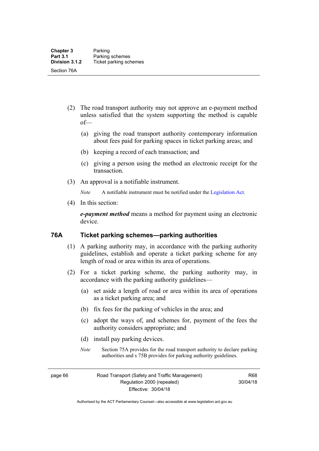- (2) The road transport authority may not approve an e-payment method unless satisfied that the system supporting the method is capable of—
	- (a) giving the road transport authority contemporary information about fees paid for parking spaces in ticket parking areas; and
	- (b) keeping a record of each transaction; and
	- (c) giving a person using the method an electronic receipt for the transaction.
- (3) An approval is a notifiable instrument.

*Note* A notifiable instrument must be notified under the [Legislation Act](http://www.legislation.act.gov.au/a/2001-14).

(4) In this section:

*e-payment method* means a method for payment using an electronic device.

#### **76A Ticket parking schemes—parking authorities**

- (1) A parking authority may, in accordance with the parking authority guidelines, establish and operate a ticket parking scheme for any length of road or area within its area of operations.
- (2) For a ticket parking scheme, the parking authority may, in accordance with the parking authority guidelines—
	- (a) set aside a length of road or area within its area of operations as a ticket parking area; and
	- (b) fix fees for the parking of vehicles in the area; and
	- (c) adopt the ways of, and schemes for, payment of the fees the authority considers appropriate; and
	- (d) install pay parking devices.
	- *Note* Section 75A provides for the road transport authority to declare parking authorities and s 75B provides for parking authority guidelines.

page 66 Road Transport (Safety and Traffic Management) Regulation 2000 (repealed) Effective: 30/04/18

R68 30/04/18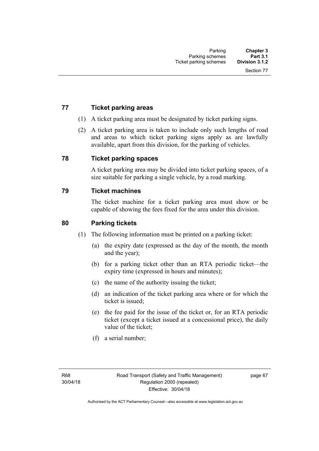### **77 Ticket parking areas**

- (1) A ticket parking area must be designated by ticket parking signs.
- (2) A ticket parking area is taken to include only such lengths of road and areas to which ticket parking signs apply as are lawfully available, apart from this division, for the parking of vehicles.

#### **78 Ticket parking spaces**

A ticket parking area may be divided into ticket parking spaces, of a size suitable for parking a single vehicle, by a road marking.

### **79 Ticket machines**

The ticket machine for a ticket parking area must show or be capable of showing the fees fixed for the area under this division.

#### **80 Parking tickets**

- (1) The following information must be printed on a parking ticket:
	- (a) the expiry date (expressed as the day of the month, the month and the year);
	- (b) for a parking ticket other than an RTA periodic ticket—the expiry time (expressed in hours and minutes);
	- (c) the name of the authority issuing the ticket;
	- (d) an indication of the ticket parking area where or for which the ticket is issued;
	- (e) the fee paid for the issue of the ticket or, for an RTA periodic ticket (except a ticket issued at a concessional price), the daily value of the ticket;
	- (f) a serial number;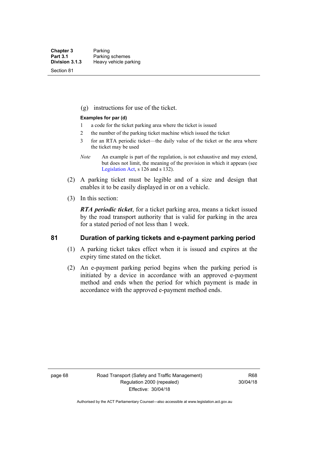Section 81

(g) instructions for use of the ticket.

#### **Examples for par (d)**

- 1 a code for the ticket parking area where the ticket is issued
- 2 the number of the parking ticket machine which issued the ticket
- 3 for an RTA periodic ticket—the daily value of the ticket or the area where the ticket may be used
- *Note* An example is part of the regulation, is not exhaustive and may extend, but does not limit, the meaning of the provision in which it appears (see [Legislation Act,](http://www.legislation.act.gov.au/a/2001-14) s 126 and s 132).
- (2) A parking ticket must be legible and of a size and design that enables it to be easily displayed in or on a vehicle.
- (3) In this section:

*RTA periodic ticket*, for a ticket parking area, means a ticket issued by the road transport authority that is valid for parking in the area for a stated period of not less than 1 week.

#### **81 Duration of parking tickets and e-payment parking period**

- (1) A parking ticket takes effect when it is issued and expires at the expiry time stated on the ticket.
- (2) An e-payment parking period begins when the parking period is initiated by a device in accordance with an approved e-payment method and ends when the period for which payment is made in accordance with the approved e-payment method ends.

page 68 Road Transport (Safety and Traffic Management) Regulation 2000 (repealed) Effective: 30/04/18

R68 30/04/18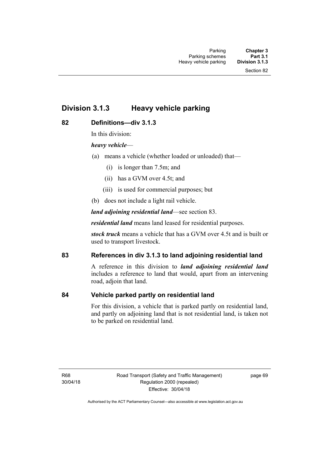## **Division 3.1.3 Heavy vehicle parking**

#### **82 Definitions—div 3.1.3**

In this division:

#### *heavy vehicle*—

- (a) means a vehicle (whether loaded or unloaded) that—
	- (i) is longer than 7.5m; and
	- (ii) has a GVM over 4.5t; and
	- (iii) is used for commercial purposes; but
- (b) does not include a light rail vehicle.

*land adjoining residential land*—see section 83.

*residential land* means land leased for residential purposes.

*stock truck* means a vehicle that has a GVM over 4.5t and is built or used to transport livestock.

## **83 References in div 3.1.3 to land adjoining residential land**

A reference in this division to *land adjoining residential land* includes a reference to land that would, apart from an intervening road, adjoin that land.

#### **84 Vehicle parked partly on residential land**

For this division, a vehicle that is parked partly on residential land, and partly on adjoining land that is not residential land, is taken not to be parked on residential land.

R68 30/04/18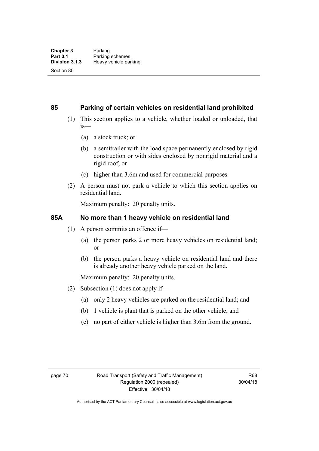#### **85 Parking of certain vehicles on residential land prohibited**

- (1) This section applies to a vehicle, whether loaded or unloaded, that is—
	- (a) a stock truck; or
	- (b) a semitrailer with the load space permanently enclosed by rigid construction or with sides enclosed by nonrigid material and a rigid roof; or
	- (c) higher than 3.6m and used for commercial purposes.
- (2) A person must not park a vehicle to which this section applies on residential land.

Maximum penalty: 20 penalty units.

#### **85A No more than 1 heavy vehicle on residential land**

- (1) A person commits an offence if—
	- (a) the person parks 2 or more heavy vehicles on residential land; or
	- (b) the person parks a heavy vehicle on residential land and there is already another heavy vehicle parked on the land.

Maximum penalty: 20 penalty units.

- (2) Subsection (1) does not apply if—
	- (a) only 2 heavy vehicles are parked on the residential land; and
	- (b) 1 vehicle is plant that is parked on the other vehicle; and
	- (c) no part of either vehicle is higher than 3.6m from the ground.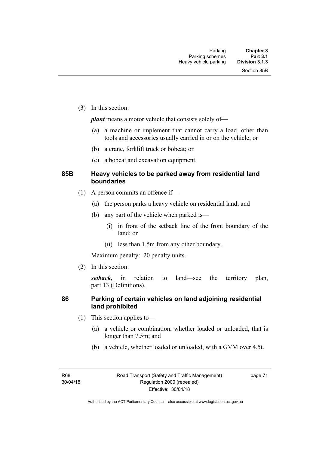(3) In this section:

*plant* means a motor vehicle that consists solely of-

- (a) a machine or implement that cannot carry a load, other than tools and accessories usually carried in or on the vehicle; or
- (b) a crane, forklift truck or bobcat; or
- (c) a bobcat and excavation equipment.

#### **85B Heavy vehicles to be parked away from residential land boundaries**

- (1) A person commits an offence if—
	- (a) the person parks a heavy vehicle on residential land; and
	- (b) any part of the vehicle when parked is—
		- (i) in front of the setback line of the front boundary of the land; or
		- (ii) less than 1.5m from any other boundary.

Maximum penalty: 20 penalty units.

(2) In this section:

*setback*, in relation to land—see the territory plan, part 13 (Definitions).

#### **86 Parking of certain vehicles on land adjoining residential land prohibited**

- (1) This section applies to—
	- (a) a vehicle or combination, whether loaded or unloaded, that is longer than 7.5m; and
	- (b) a vehicle, whether loaded or unloaded, with a GVM over 4.5t.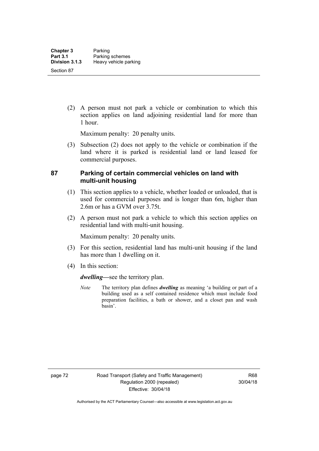(2) A person must not park a vehicle or combination to which this section applies on land adjoining residential land for more than 1 hour.

Maximum penalty: 20 penalty units.

 (3) Subsection (2) does not apply to the vehicle or combination if the land where it is parked is residential land or land leased for commercial purposes.

#### **87 Parking of certain commercial vehicles on land with multi-unit housing**

- (1) This section applies to a vehicle, whether loaded or unloaded, that is used for commercial purposes and is longer than 6m, higher than 2.6m or has a GVM over 3.75t.
- (2) A person must not park a vehicle to which this section applies on residential land with multi-unit housing.

Maximum penalty: 20 penalty units.

- (3) For this section, residential land has multi-unit housing if the land has more than 1 dwelling on it.
- (4) In this section:

*dwelling—*see the territory plan.

*Note* The territory plan defines *dwelling* as meaning 'a building or part of a building used as a self contained residence which must include food preparation facilities, a bath or shower, and a closet pan and wash basin'.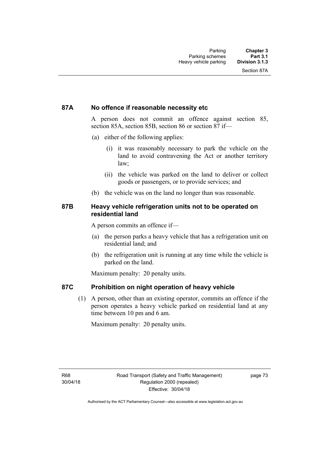#### **87A No offence if reasonable necessity etc**

A person does not commit an offence against section 85, section 85A, section 85B, section 86 or section 87 if—

- (a) either of the following applies:
	- (i) it was reasonably necessary to park the vehicle on the land to avoid contravening the Act or another territory law;
	- (ii) the vehicle was parked on the land to deliver or collect goods or passengers, or to provide services; and
- (b) the vehicle was on the land no longer than was reasonable.

#### **87B Heavy vehicle refrigeration units not to be operated on residential land**

A person commits an offence if—

- (a) the person parks a heavy vehicle that has a refrigeration unit on residential land; and
- (b) the refrigeration unit is running at any time while the vehicle is parked on the land.

Maximum penalty: 20 penalty units.

#### **87C Prohibition on night operation of heavy vehicle**

 (1) A person, other than an existing operator, commits an offence if the person operates a heavy vehicle parked on residential land at any time between 10 pm and 6 am.

Maximum penalty: 20 penalty units.

R68 30/04/18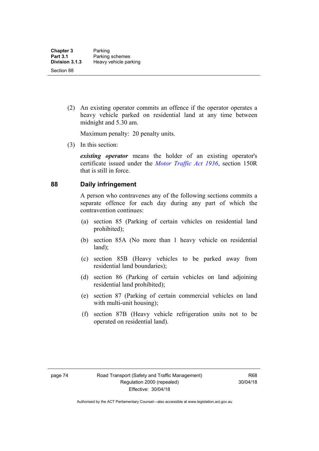(2) An existing operator commits an offence if the operator operates a heavy vehicle parked on residential land at any time between midnight and 5.30 am.

Maximum penalty: 20 penalty units.

(3) In this section:

*existing operator* means the holder of an existing operator's certificate issued under the *[Motor Traffic Act 1936](http://www.legislation.act.gov.au/a/1936-45)*, section 150R that is still in force.

#### **88 Daily infringement**

A person who contravenes any of the following sections commits a separate offence for each day during any part of which the contravention continues:

- (a) section 85 (Parking of certain vehicles on residential land prohibited);
- (b) section 85A (No more than 1 heavy vehicle on residential land);
- (c) section 85B (Heavy vehicles to be parked away from residential land boundaries);
- (d) section 86 (Parking of certain vehicles on land adjoining residential land prohibited);
- (e) section 87 (Parking of certain commercial vehicles on land with multi-unit housing);
- (f) section 87B (Heavy vehicle refrigeration units not to be operated on residential land).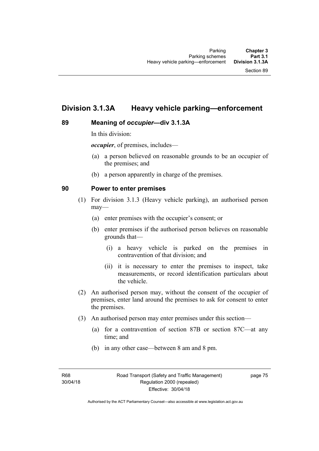## **Division 3.1.3A Heavy vehicle parking—enforcement**

#### **89 Meaning of** *occupier***—div 3.1.3A**

In this division:

*occupier*, of premises, includes—

- (a) a person believed on reasonable grounds to be an occupier of the premises; and
- (b) a person apparently in charge of the premises.

#### **90 Power to enter premises**

- (1) For division 3.1.3 (Heavy vehicle parking), an authorised person may—
	- (a) enter premises with the occupier's consent; or
	- (b) enter premises if the authorised person believes on reasonable grounds that—
		- (i) a heavy vehicle is parked on the premises in contravention of that division; and
		- (ii) it is necessary to enter the premises to inspect, take measurements, or record identification particulars about the vehicle.
- (2) An authorised person may, without the consent of the occupier of premises, enter land around the premises to ask for consent to enter the premises.
- (3) An authorised person may enter premises under this section––
	- (a) for a contravention of section 87B or section 87C––at any time; and
	- (b) in any other case––between 8 am and 8 pm.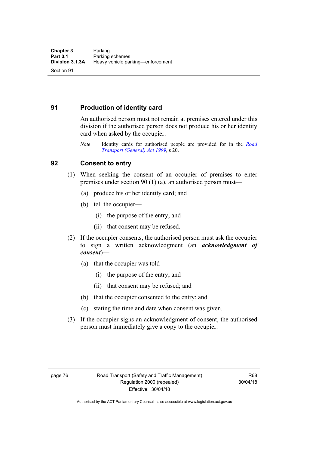### **91 Production of identity card**

An authorised person must not remain at premises entered under this division if the authorised person does not produce his or her identity card when asked by the occupier.

*Note* Identity cards for authorised people are provided for in the *[Road](http://www.legislation.act.gov.au/a/1999-77)  [Transport \(General\) Act 1999](http://www.legislation.act.gov.au/a/1999-77)*, s 20.

### **92 Consent to entry**

- (1) When seeking the consent of an occupier of premises to enter premises under section 90 (1) (a), an authorised person must—
	- (a) produce his or her identity card; and
	- (b) tell the occupier—
		- (i) the purpose of the entry; and
		- (ii) that consent may be refused.
- (2) If the occupier consents, the authorised person must ask the occupier to sign a written acknowledgment (an *acknowledgment of consent*)—
	- (a) that the occupier was told—
		- (i) the purpose of the entry; and
		- (ii) that consent may be refused; and
	- (b) that the occupier consented to the entry; and
	- (c) stating the time and date when consent was given.
- (3) If the occupier signs an acknowledgment of consent, the authorised person must immediately give a copy to the occupier.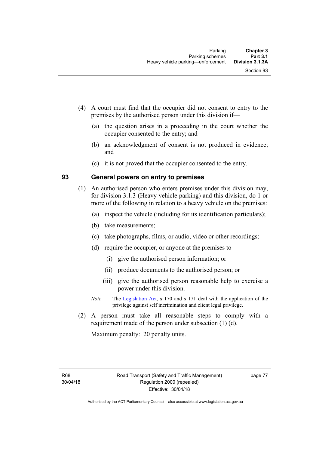- (4) A court must find that the occupier did not consent to entry to the premises by the authorised person under this division if—
	- (a) the question arises in a proceeding in the court whether the occupier consented to the entry; and
	- (b) an acknowledgment of consent is not produced in evidence; and
	- (c) it is not proved that the occupier consented to the entry.

#### **93 General powers on entry to premises**

- (1) An authorised person who enters premises under this division may, for division 3.1.3 (Heavy vehicle parking) and this division, do 1 or more of the following in relation to a heavy vehicle on the premises:
	- (a) inspect the vehicle (including for its identification particulars);
	- (b) take measurements;
	- (c) take photographs, films, or audio, video or other recordings;
	- (d) require the occupier, or anyone at the premises to—
		- (i) give the authorised person information; or
		- (ii) produce documents to the authorised person; or
		- (iii) give the authorised person reasonable help to exercise a power under this division.
	- *Note* The [Legislation Act,](http://www.legislation.act.gov.au/a/2001-14) s 170 and s 171 deal with the application of the privilege against self incrimination and client legal privilege.
- (2) A person must take all reasonable steps to comply with a requirement made of the person under subsection (1) (d).

Maximum penalty: 20 penalty units.

R68 30/04/18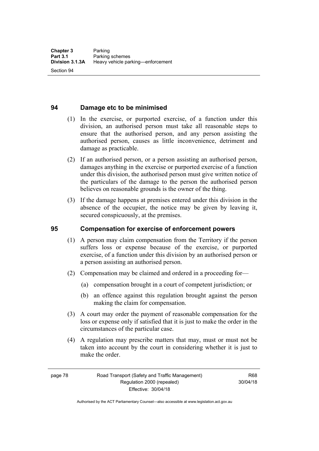Section 94

### **94 Damage etc to be minimised**

- (1) In the exercise, or purported exercise, of a function under this division, an authorised person must take all reasonable steps to ensure that the authorised person, and any person assisting the authorised person, causes as little inconvenience, detriment and damage as practicable.
- (2) If an authorised person, or a person assisting an authorised person, damages anything in the exercise or purported exercise of a function under this division, the authorised person must give written notice of the particulars of the damage to the person the authorised person believes on reasonable grounds is the owner of the thing.
- (3) If the damage happens at premises entered under this division in the absence of the occupier, the notice may be given by leaving it, secured conspicuously, at the premises.

#### **95 Compensation for exercise of enforcement powers**

- (1) A person may claim compensation from the Territory if the person suffers loss or expense because of the exercise, or purported exercise, of a function under this division by an authorised person or a person assisting an authorised person.
- (2) Compensation may be claimed and ordered in a proceeding for—
	- (a) compensation brought in a court of competent jurisdiction; or
	- (b) an offence against this regulation brought against the person making the claim for compensation.
- (3) A court may order the payment of reasonable compensation for the loss or expense only if satisfied that it is just to make the order in the circumstances of the particular case.
- (4) A regulation may prescribe matters that may, must or must not be taken into account by the court in considering whether it is just to make the order.

page 78 Road Transport (Safety and Traffic Management) Regulation 2000 (repealed) Effective: 30/04/18

R68 30/04/18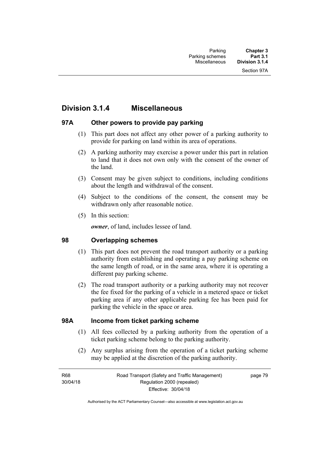# **Division 3.1.4 Miscellaneous**

### **97A Other powers to provide pay parking**

- (1) This part does not affect any other power of a parking authority to provide for parking on land within its area of operations.
- (2) A parking authority may exercise a power under this part in relation to land that it does not own only with the consent of the owner of the land.
- (3) Consent may be given subject to conditions, including conditions about the length and withdrawal of the consent.
- (4) Subject to the conditions of the consent, the consent may be withdrawn only after reasonable notice.
- (5) In this section:

*owner*, of land, includes lessee of land.

### **98 Overlapping schemes**

- (1) This part does not prevent the road transport authority or a parking authority from establishing and operating a pay parking scheme on the same length of road, or in the same area, where it is operating a different pay parking scheme.
- (2) The road transport authority or a parking authority may not recover the fee fixed for the parking of a vehicle in a metered space or ticket parking area if any other applicable parking fee has been paid for parking the vehicle in the space or area.

#### **98A Income from ticket parking scheme**

- (1) All fees collected by a parking authority from the operation of a ticket parking scheme belong to the parking authority.
- (2) Any surplus arising from the operation of a ticket parking scheme may be applied at the discretion of the parking authority.

R68 30/04/18 Road Transport (Safety and Traffic Management) Regulation 2000 (repealed) Effective: 30/04/18

page 79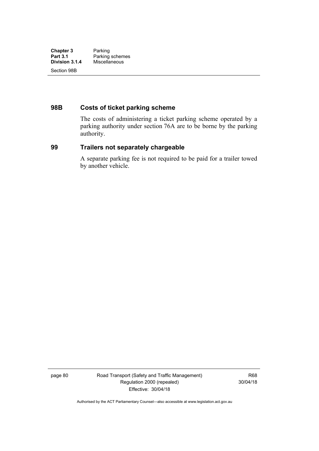## **98B Costs of ticket parking scheme**

The costs of administering a ticket parking scheme operated by a parking authority under section 76A are to be borne by the parking authority.

#### **99 Trailers not separately chargeable**

A separate parking fee is not required to be paid for a trailer towed by another vehicle.

page 80 Road Transport (Safety and Traffic Management) Regulation 2000 (repealed) Effective: 30/04/18

R68 30/04/18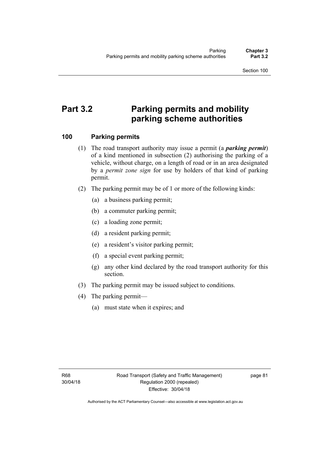# **Part 3.2 Parking permits and mobility parking scheme authorities**

### **100 Parking permits**

- (1) The road transport authority may issue a permit (a *parking permit*) of a kind mentioned in subsection (2) authorising the parking of a vehicle, without charge, on a length of road or in an area designated by a *permit zone sign* for use by holders of that kind of parking permit.
- (2) The parking permit may be of 1 or more of the following kinds:
	- (a) a business parking permit;
	- (b) a commuter parking permit;
	- (c) a loading zone permit;
	- (d) a resident parking permit;
	- (e) a resident's visitor parking permit;
	- (f) a special event parking permit;
	- (g) any other kind declared by the road transport authority for this section.
- (3) The parking permit may be issued subject to conditions.
- (4) The parking permit—
	- (a) must state when it expires; and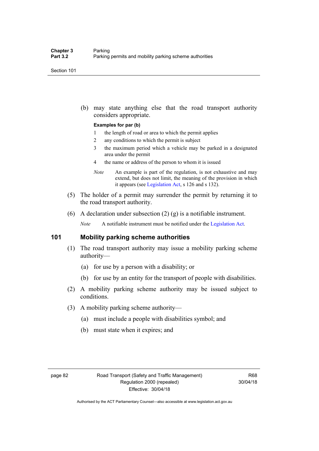(b) may state anything else that the road transport authority considers appropriate.

#### **Examples for par (b)**

- 1 the length of road or area to which the permit applies
- 2 any conditions to which the permit is subject
- 3 the maximum period which a vehicle may be parked in a designated area under the permit
- 4 the name or address of the person to whom it is issued
- *Note* An example is part of the regulation, is not exhaustive and may extend, but does not limit, the meaning of the provision in which it appears (see [Legislation Act,](http://www.legislation.act.gov.au/a/2001-14) s 126 and s 132).
- (5) The holder of a permit may surrender the permit by returning it to the road transport authority.
- (6) A declaration under subsection  $(2)$   $(g)$  is a notifiable instrument.

*Note* A notifiable instrument must be notified under the [Legislation Act](http://www.legislation.act.gov.au/a/2001-14).

#### **101 Mobility parking scheme authorities**

- (1) The road transport authority may issue a mobility parking scheme authority—
	- (a) for use by a person with a disability; or
	- (b) for use by an entity for the transport of people with disabilities.
- (2) A mobility parking scheme authority may be issued subject to conditions.
- (3) A mobility parking scheme authority—
	- (a) must include a people with disabilities symbol; and
	- (b) must state when it expires; and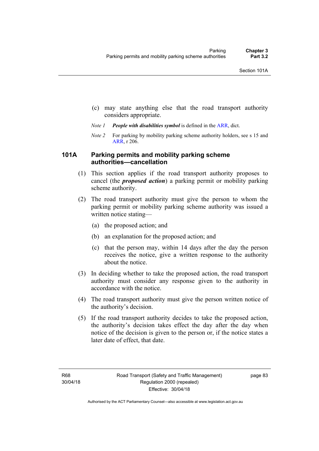- (c) may state anything else that the road transport authority considers appropriate.
- *Note 1 People with disabilities symbol* is defined in the [ARR,](http://www.legislation.act.gov.au//ni/db_37271/default.asp) dict.
- *Note 2* For parking by mobility parking scheme authority holders, see s 15 and [ARR,](http://www.legislation.act.gov.au//ni/db_37271/default.asp) r 206.

#### **101A Parking permits and mobility parking scheme authorities—cancellation**

- (1) This section applies if the road transport authority proposes to cancel (the *proposed action*) a parking permit or mobility parking scheme authority.
- (2) The road transport authority must give the person to whom the parking permit or mobility parking scheme authority was issued a written notice stating—
	- (a) the proposed action; and
	- (b) an explanation for the proposed action; and
	- (c) that the person may, within 14 days after the day the person receives the notice, give a written response to the authority about the notice.
- (3) In deciding whether to take the proposed action, the road transport authority must consider any response given to the authority in accordance with the notice.
- (4) The road transport authority must give the person written notice of the authority's decision.
- (5) If the road transport authority decides to take the proposed action, the authority's decision takes effect the day after the day when notice of the decision is given to the person or, if the notice states a later date of effect, that date.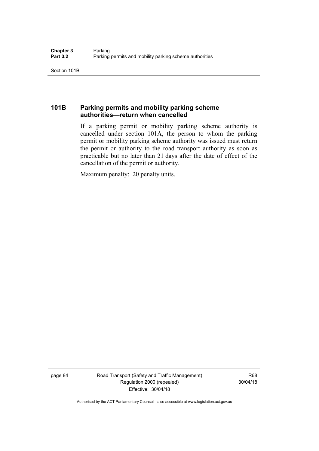### **101B Parking permits and mobility parking scheme authorities—return when cancelled**

If a parking permit or mobility parking scheme authority is cancelled under section 101A, the person to whom the parking permit or mobility parking scheme authority was issued must return the permit or authority to the road transport authority as soon as practicable but no later than 21 days after the date of effect of the cancellation of the permit or authority.

Maximum penalty: 20 penalty units.

page 84 Road Transport (Safety and Traffic Management) Regulation 2000 (repealed) Effective: 30/04/18

R68 30/04/18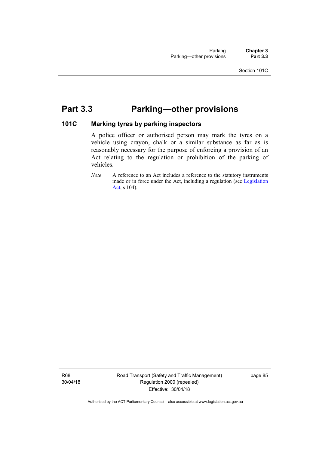# **Part 3.3 Parking—other provisions**

#### **101C Marking tyres by parking inspectors**

A police officer or authorised person may mark the tyres on a vehicle using crayon, chalk or a similar substance as far as is reasonably necessary for the purpose of enforcing a provision of an Act relating to the regulation or prohibition of the parking of vehicles.

*Note* A reference to an Act includes a reference to the statutory instruments made or in force under the Act, including a regulation (see [Legislation](http://www.legislation.act.gov.au/a/2001-14)  [Act,](http://www.legislation.act.gov.au/a/2001-14) s 104).

R68 30/04/18 Road Transport (Safety and Traffic Management) Regulation 2000 (repealed) Effective: 30/04/18

page 85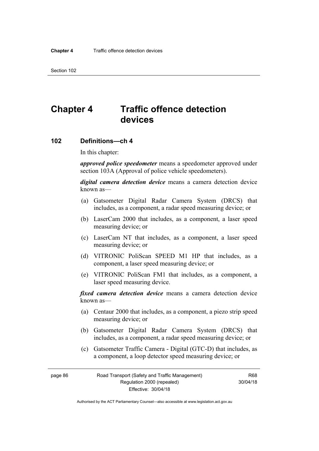# **Chapter 4 Traffic offence detection devices**

#### **102 Definitions—ch 4**

In this chapter:

*approved police speedometer* means a speedometer approved under section 103A (Approval of police vehicle speedometers).

*digital camera detection device* means a camera detection device known as—

- (a) Gatsometer Digital Radar Camera System (DRCS) that includes, as a component, a radar speed measuring device; or
- (b) LaserCam 2000 that includes, as a component, a laser speed measuring device; or
- (c) LaserCam NT that includes, as a component, a laser speed measuring device; or
- (d) VITRONIC PoliScan SPEED M1 HP that includes, as a component, a laser speed measuring device; or
- (e) VITRONIC PoliScan FM1 that includes, as a component, a laser speed measuring device.

*fixed camera detection device* means a camera detection device known as—

- (a) Centaur 2000 that includes, as a component, a piezo strip speed measuring device; or
- (b) Gatsometer Digital Radar Camera System (DRCS) that includes, as a component, a radar speed measuring device; or
- (c) Gatsometer Traffic Camera Digital (GTC-D) that includes, as a component, a loop detector speed measuring device; or

page 86 Road Transport (Safety and Traffic Management) Regulation 2000 (repealed) Effective: 30/04/18

R68 30/04/18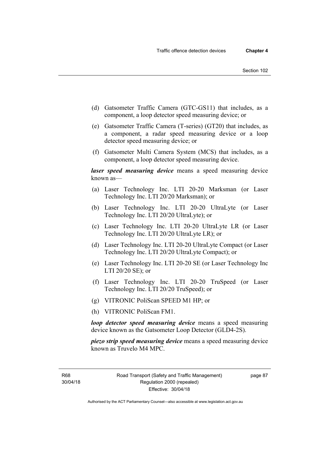- (d) Gatsometer Traffic Camera (GTC-GS11) that includes, as a component, a loop detector speed measuring device; or
- (e) Gatsometer Traffic Camera (T-series) (GT20) that includes, as a component, a radar speed measuring device or a loop detector speed measuring device; or
- (f) Gatsometer Multi Camera System (MCS) that includes, as a component, a loop detector speed measuring device.

*laser speed measuring device* means a speed measuring device known as—

- (a) Laser Technology Inc. LTI 20-20 Marksman (or Laser Technology Inc. LTI 20/20 Marksman); or
- (b) Laser Technology Inc. LTI 20-20 UltraLyte (or Laser Technology Inc. LTI 20/20 UltraLyte); or
- (c) Laser Technology Inc. LTI 20-20 UltraLyte LR (or Laser Technology Inc. LTI 20/20 UltraLyte LR); or
- (d) Laser Technology Inc. LTI 20-20 UltraLyte Compact (or Laser Technology Inc. LTI 20/20 UltraLyte Compact); or
- (e) Laser Technology Inc. LTI 20-20 SE (or Laser Technology Inc LTI 20/20 SE); or
- (f) Laser Technology Inc. LTI 20-20 TruSpeed (or Laser Technology Inc. LTI 20/20 TruSpeed); or
- (g) VITRONIC PoliScan SPEED M1 HP; or
- (h) VITRONIC PoliScan FM1.

*loop detector speed measuring device* means a speed measuring device known as the Gatsometer Loop Detector (GLD4-2S).

*piezo strip speed measuring device* means a speed measuring device known as Truvelo M4 MPC.

R68 30/04/18 Road Transport (Safety and Traffic Management) Regulation 2000 (repealed) Effective: 30/04/18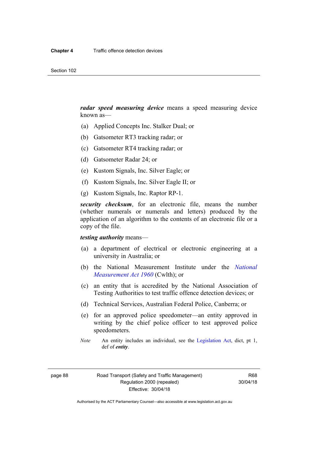*radar speed measuring device* means a speed measuring device known as—

- (a) Applied Concepts Inc. Stalker Dual; or
- (b) Gatsometer RT3 tracking radar; or
- (c) Gatsometer RT4 tracking radar; or
- (d) Gatsometer Radar 24; or
- (e) Kustom Signals, Inc. Silver Eagle; or
- (f) Kustom Signals, Inc. Silver Eagle II; or
- (g) Kustom Signals, Inc. Raptor RP-1.

*security checksum*, for an electronic file, means the number (whether numerals or numerals and letters) produced by the application of an algorithm to the contents of an electronic file or a copy of the file.

*testing authority* means—

- (a) a department of electrical or electronic engineering at a university in Australia; or
- (b) the National Measurement Institute under the *[National](http://www.comlaw.gov.au/Series/C2004A07405)  [Measurement Act 1960](http://www.comlaw.gov.au/Series/C2004A07405)* (Cwlth); or
- (c) an entity that is accredited by the National Association of Testing Authorities to test traffic offence detection devices; or
- (d) Technical Services, Australian Federal Police, Canberra; or
- (e) for an approved police speedometer—an entity approved in writing by the chief police officer to test approved police speedometers.
- *Note* An entity includes an individual, see the [Legislation Act](http://www.legislation.act.gov.au/a/2001-14), dict, pt 1, def of *entity*.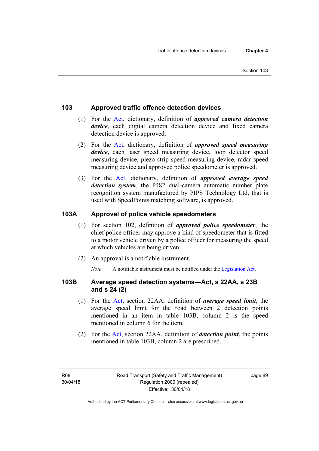#### **103 Approved traffic offence detection devices**

- (1) For the [Act,](http://www.legislation.act.gov.au/a/1999-80/default.asp) dictionary, definition of *approved camera detection device*, each digital camera detection device and fixed camera detection device is approved.
- (2) For the [Act,](http://www.legislation.act.gov.au/a/1999-80/default.asp) dictionary, definition of *approved speed measuring device*, each laser speed measuring device, loop detector speed measuring device, piezo strip speed measuring device, radar speed measuring device and approved police speedometer is approved.
- (3) For the [Act](http://www.legislation.act.gov.au/a/1999-80/default.asp), dictionary, definition of *approved average speed detection system*, the P482 dual-camera automatic number plate recognition system manufactured by PIPS Technology Ltd, that is used with SpeedPoints matching software, is approved.

#### **103A Approval of police vehicle speedometers**

- (1) For section 102, definition of *approved police speedometer*, the chief police officer may approve a kind of speedometer that is fitted to a motor vehicle driven by a police officer for measuring the speed at which vehicles are being driven.
- (2) An approval is a notifiable instrument.

*Note* A notifiable instrument must be notified under the [Legislation Act](http://www.legislation.act.gov.au/a/2001-14).

#### **103B Average speed detection systems—Act, s 22AA, s 23B and s 24 (2)**

- (1) For the [Act,](http://www.legislation.act.gov.au/a/1999-80/default.asp) section 22AA, definition of *average speed limit*, the average speed limit for the road between 2 detection points mentioned in an item in table 103B, column 2 is the speed mentioned in column 6 for the item.
- (2) For the [Act](http://www.legislation.act.gov.au/a/1999-80/default.asp), section 22AA, definition of *detection point*, the points mentioned in table 103B, column 2 are prescribed.

R68 30/04/18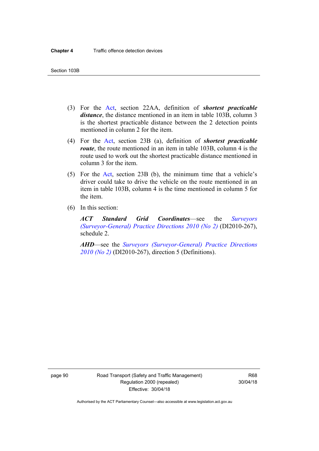- (3) For the [Act](http://www.legislation.act.gov.au/a/1999-80/default.asp), section 22AA, definition of *shortest practicable distance*, the distance mentioned in an item in table 103B, column 3 is the shortest practicable distance between the 2 detection points mentioned in column 2 for the item.
- (4) For the [Act,](http://www.legislation.act.gov.au/a/1999-80/default.asp) section 23B (a), definition of *shortest practicable route*, the route mentioned in an item in table 103B, column 4 is the route used to work out the shortest practicable distance mentioned in column 3 for the item.
- (5) For the [Act](http://www.legislation.act.gov.au/a/1999-80/default.asp), section 23B (b), the minimum time that a vehicle's driver could take to drive the vehicle on the route mentioned in an item in table 103B, column 4 is the time mentioned in column 5 for the item.
- (6) In this section:

*ACT Standard Grid Coordinates*—see the *[Surveyors](http://www.legislation.act.gov.au/di/2010-267/default.asp)  [\(Surveyor-General\) Practice Directions 2010 \(No 2\)](http://www.legislation.act.gov.au/di/2010-267/default.asp)* (DI2010-267), schedule 2.

*AHD*—see the *[Surveyors \(Surveyor-General\) Practice Directions](http://www.legislation.act.gov.au/di/2010-267/default.asp)  [2010 \(No 2\)](http://www.legislation.act.gov.au/di/2010-267/default.asp)* (DI2010-267), direction 5 (Definitions).

page 90 Road Transport (Safety and Traffic Management) Regulation 2000 (repealed) Effective: 30/04/18

R68 30/04/18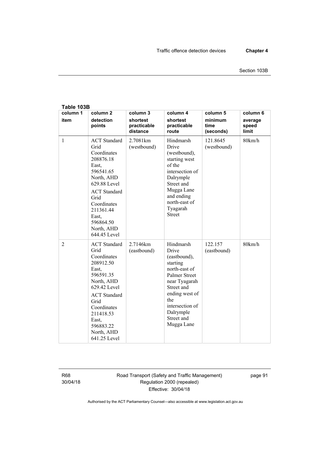| Table 103B       |                                                                                                                                                                                                                            |                                                 |                                                                                                                                                                                                             |                                          |                                       |  |  |  |  |
|------------------|----------------------------------------------------------------------------------------------------------------------------------------------------------------------------------------------------------------------------|-------------------------------------------------|-------------------------------------------------------------------------------------------------------------------------------------------------------------------------------------------------------------|------------------------------------------|---------------------------------------|--|--|--|--|
| column 1<br>item | column <sub>2</sub><br>detection<br>points                                                                                                                                                                                 | column 3<br>shortest<br>practicable<br>distance | column 4<br>shortest<br>practicable<br>route                                                                                                                                                                | column 5<br>minimum<br>time<br>(seconds) | column 6<br>average<br>speed<br>limit |  |  |  |  |
| $\mathbf{1}$     | <b>ACT</b> Standard<br>Grid<br>Coordinates<br>208876.18<br>East,<br>596541.65<br>North, AHD<br>629.88 Level<br><b>ACT</b> Standard<br>Grid<br>Coordinates<br>211361.44<br>East,<br>596864.50<br>North, AHD<br>644.45 Level | 2.7081km<br>(westbound)                         | Hindmarsh<br>Drive<br>(westbound),<br>starting west<br>of the<br>intersection of<br>Dalrymple<br>Street and<br>Mugga Lane<br>and ending<br>north-east of<br>Tyagarah<br><b>Street</b>                       | 121.8645<br>(westbound)                  | 80km/h                                |  |  |  |  |
| $\overline{2}$   | <b>ACT</b> Standard<br>Grid<br>Coordinates<br>208912.50<br>East,<br>596591.35<br>North, AHD<br>629.42 Level<br><b>ACT</b> Standard<br>Grid<br>Coordinates<br>211418.53<br>East,<br>596883.22<br>North, AHD<br>641.25 Level | 2.7146km<br>(eastbound)                         | Hindmarsh<br>Drive<br>(eastbound),<br>starting<br>north-east of<br><b>Palmer Street</b><br>near Tyagarah<br>Street and<br>ending west of<br>the<br>intersection of<br>Dalrymple<br>Street and<br>Mugga Lane | 122.157<br>(eastbound)                   | 80km/h                                |  |  |  |  |

R68 30/04/18 Road Transport (Safety and Traffic Management) Regulation 2000 (repealed) Effective: 30/04/18

page 91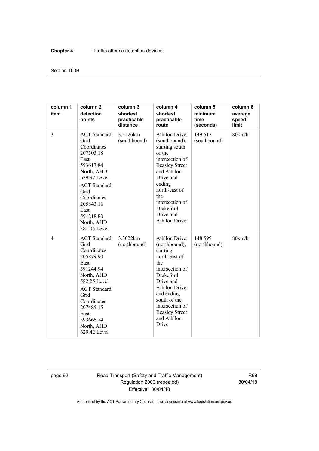#### Section 103B

| column 1<br>item | column <sub>2</sub><br>detection<br>points                                                                                                                                                                                 | column 3<br>shortest<br>practicable<br>distance | column 4<br>shortest<br>practicable<br>route                                                                                                                                                                                                            | column 5<br>minimum<br>time<br>(seconds) | column 6<br>average<br>speed<br>limit |
|------------------|----------------------------------------------------------------------------------------------------------------------------------------------------------------------------------------------------------------------------|-------------------------------------------------|---------------------------------------------------------------------------------------------------------------------------------------------------------------------------------------------------------------------------------------------------------|------------------------------------------|---------------------------------------|
| 3                | <b>ACT</b> Standard<br>Grid<br>Coordinates<br>207503.18<br>East,<br>593617.84<br>North, AHD<br>629.92 Level<br><b>ACT</b> Standard<br>Grid<br>Coordinates<br>205843.16<br>East.<br>591218.80<br>North, AHD<br>581.95 Level | 3.3226km<br>(southbound)                        | <b>Athllon Drive</b><br>(southbound),<br>starting south<br>of the<br>intersection of<br><b>Beasley Street</b><br>and Athllon<br>Drive and<br>ending<br>north-east of<br>the<br>intersection of<br><b>Drakeford</b><br>Drive and<br><b>Athllon Drive</b> | 149.517<br>(southbound)                  | 80km/h                                |
| $\overline{4}$   | <b>ACT</b> Standard<br>Grid<br>Coordinates<br>205879.90<br>East.<br>591244.94<br>North, AHD<br>582.25 Level<br><b>ACT</b> Standard<br>Grid<br>Coordinates<br>207485.15<br>East,<br>593666.74<br>North, AHD<br>629.42 Level | 3.3022km<br>(northbound)                        | <b>Athllon Drive</b><br>(northbound),<br>starting<br>north-east of<br>the<br>intersection of<br><b>Drakeford</b><br>Drive and<br><b>Athllon Drive</b><br>and ending<br>south of the<br>intersection of<br><b>Beasley Street</b><br>and Athllon<br>Drive | 148.599<br>(northbound)                  | 80km/h                                |

page 92 Road Transport (Safety and Traffic Management) Regulation 2000 (repealed) Effective: 30/04/18

R68 30/04/18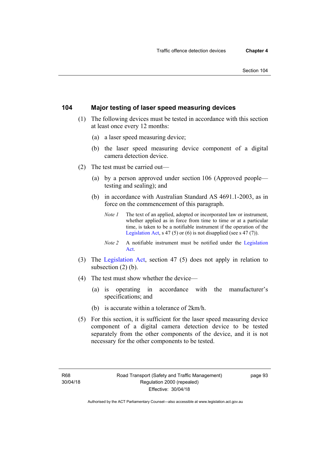### **104 Major testing of laser speed measuring devices**

- (1) The following devices must be tested in accordance with this section at least once every 12 months:
	- (a) a laser speed measuring device;
	- (b) the laser speed measuring device component of a digital camera detection device.
- (2) The test must be carried out—
	- (a) by a person approved under section 106 (Approved people testing and sealing); and
	- (b) in accordance with Australian Standard AS 4691.1-2003, as in force on the commencement of this paragraph.
		- *Note 1* The text of an applied, adopted or incorporated law or instrument, whether applied as in force from time to time or at a particular time, is taken to be a notifiable instrument if the operation of the [Legislation Act,](http://www.legislation.act.gov.au/a/2001-14) s 47 (5) or (6) is not disapplied (see s 47 (7)).
		- *Note 2* A notifiable instrument must be notified under the [Legislation](http://www.legislation.act.gov.au/a/2001-14)  [Act.](http://www.legislation.act.gov.au/a/2001-14)
- (3) The [Legislation Act,](http://www.legislation.act.gov.au/a/2001-14) section 47 (5) does not apply in relation to subsection (2) (b).
- (4) The test must show whether the device—
	- (a) is operating in accordance with the manufacturer's specifications; and
	- (b) is accurate within a tolerance of 2km/h.
- (5) For this section, it is sufficient for the laser speed measuring device component of a digital camera detection device to be tested separately from the other components of the device, and it is not necessary for the other components to be tested.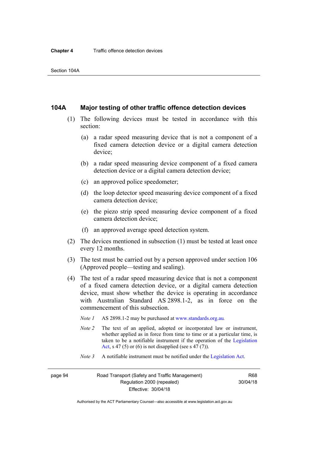### **104A Major testing of other traffic offence detection devices**

- (1) The following devices must be tested in accordance with this section:
	- (a) a radar speed measuring device that is not a component of a fixed camera detection device or a digital camera detection device;
	- (b) a radar speed measuring device component of a fixed camera detection device or a digital camera detection device;
	- (c) an approved police speedometer;
	- (d) the loop detector speed measuring device component of a fixed camera detection device;
	- (e) the piezo strip speed measuring device component of a fixed camera detection device;
	- (f) an approved average speed detection system.
- (2) The devices mentioned in subsection (1) must be tested at least once every 12 months.
- (3) The test must be carried out by a person approved under section 106 (Approved people—testing and sealing).
- (4) The test of a radar speed measuring device that is not a component of a fixed camera detection device, or a digital camera detection device, must show whether the device is operating in accordance with Australian Standard AS 2898.1-2, as in force on the commencement of this subsection.
	- *Note 1* AS 2898.1-2 may be purchased at [www.standards.org.au](http://www.standards.org.au/Pages/default.aspx)*.*
	- *Note 2* The text of an applied, adopted or incorporated law or instrument, whether applied as in force from time to time or at a particular time, is taken to be a notifiable instrument if the operation of the [Legislation](http://www.legislation.act.gov.au/a/2001-14)  [Act](http://www.legislation.act.gov.au/a/2001-14), s 47 (5) or (6) is not disapplied (see s 47 (7)).
	- *Note 3* A notifiable instrument must be notified under the [Legislation Act](http://www.legislation.act.gov.au/a/2001-14).

page 94 Road Transport (Safety and Traffic Management) Regulation 2000 (repealed) Effective: 30/04/18

R68 30/04/18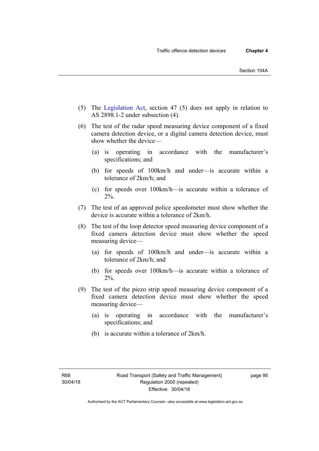- (5) The [Legislation Act,](http://www.legislation.act.gov.au/a/2001-14) section 47 (5) does not apply in relation to AS 2898.1-2 under subsection (4).
- (6) The test of the radar speed measuring device component of a fixed camera detection device, or a digital camera detection device, must show whether the device—
	- (a) is operating in accordance with the manufacturer's specifications; and
	- (b) for speeds of 100km/h and under—is accurate within a tolerance of 2km/h; and
	- (c) for speeds over 100km/h—is accurate within a tolerance of 2%.
- (7) The test of an approved police speedometer must show whether the device is accurate within a tolerance of 2km/h.
- (8) The test of the loop detector speed measuring device component of a fixed camera detection device must show whether the speed measuring device—
	- (a) for speeds of 100km/h and under—is accurate within a tolerance of 2km/h; and
	- (b) for speeds over 100km/h—is accurate within a tolerance of 2%.
- (9) The test of the piezo strip speed measuring device component of a fixed camera detection device must show whether the speed measuring device—
	- (a) is operating in accordance with the manufacturer's specifications; and
	- (b) is accurate within a tolerance of 2km/h.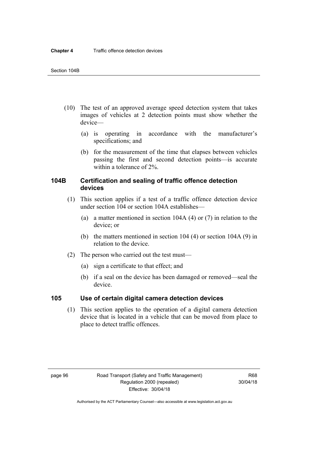- (10) The test of an approved average speed detection system that takes images of vehicles at 2 detection points must show whether the device—
	- (a) is operating in accordance with the manufacturer's specifications; and
	- (b) for the measurement of the time that elapses between vehicles passing the first and second detection points—is accurate within a tolerance of 2%.

### **104B Certification and sealing of traffic offence detection devices**

- (1) This section applies if a test of a traffic offence detection device under section 104 or section 104A establishes—
	- (a) a matter mentioned in section 104A (4) or (7) in relation to the device; or
	- (b) the matters mentioned in section 104 (4) or section 104A (9) in relation to the device.
- (2) The person who carried out the test must—
	- (a) sign a certificate to that effect; and
	- (b) if a seal on the device has been damaged or removed—seal the device.

### **105 Use of certain digital camera detection devices**

(1) This section applies to the operation of a digital camera detection device that is located in a vehicle that can be moved from place to place to detect traffic offences.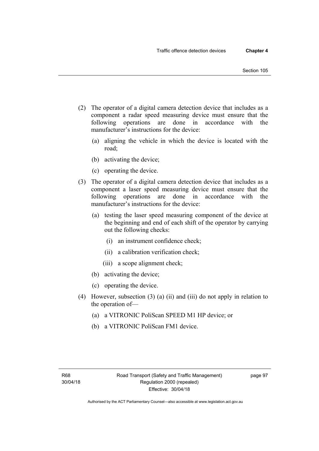- (2) The operator of a digital camera detection device that includes as a component a radar speed measuring device must ensure that the following operations are done in accordance with the manufacturer's instructions for the device:
	- (a) aligning the vehicle in which the device is located with the road;
	- (b) activating the device;
	- (c) operating the device.
- (3) The operator of a digital camera detection device that includes as a component a laser speed measuring device must ensure that the following operations are done in accordance with the manufacturer's instructions for the device:
	- (a) testing the laser speed measuring component of the device at the beginning and end of each shift of the operator by carrying out the following checks:
		- (i) an instrument confidence check;
		- (ii) a calibration verification check;
		- (iii) a scope alignment check;
	- (b) activating the device;
	- (c) operating the device.
- (4) However, subsection (3) (a) (ii) and (iii) do not apply in relation to the operation of—
	- (a) a VITRONIC PoliScan SPEED M1 HP device; or
	- (b) a VITRONIC PoliScan FM1 device.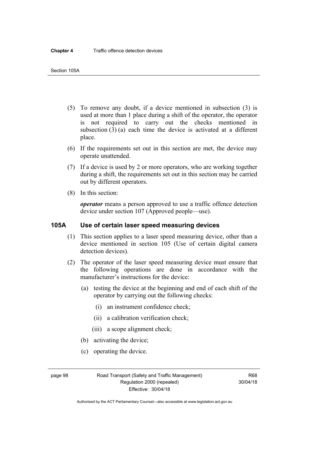- (5) To remove any doubt, if a device mentioned in subsection (3) is used at more than 1 place during a shift of the operator, the operator is not required to carry out the checks mentioned in subsection (3) (a) each time the device is activated at a different place.
- (6) If the requirements set out in this section are met, the device may operate unattended.
- (7) If a device is used by 2 or more operators, who are working together during a shift, the requirements set out in this section may be carried out by different operators.
- (8) In this section:

*operator* means a person approved to use a traffic offence detection device under section 107 (Approved people—use).

### **105A Use of certain laser speed measuring devices**

- (1) This section applies to a laser speed measuring device, other than a device mentioned in section 105 (Use of certain digital camera detection devices).
- (2) The operator of the laser speed measuring device must ensure that the following operations are done in accordance with the manufacturer's instructions for the device:
	- (a) testing the device at the beginning and end of each shift of the operator by carrying out the following checks:
		- (i) an instrument confidence check;
		- (ii) a calibration verification check;
		- (iii) a scope alignment check;
	- (b) activating the device;
	- (c) operating the device.

page 98 Road Transport (Safety and Traffic Management) Regulation 2000 (repealed) Effective: 30/04/18

R68 30/04/18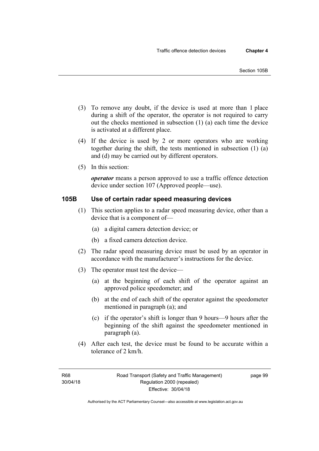- (3) To remove any doubt, if the device is used at more than 1 place during a shift of the operator, the operator is not required to carry out the checks mentioned in subsection (1) (a) each time the device is activated at a different place.
- (4) If the device is used by 2 or more operators who are working together during the shift, the tests mentioned in subsection (1) (a) and (d) may be carried out by different operators.
- (5) In this section:

*operator* means a person approved to use a traffic offence detection device under section 107 (Approved people—use).

### **105B Use of certain radar speed measuring devices**

- (1) This section applies to a radar speed measuring device, other than a device that is a component of—
	- (a) a digital camera detection device; or
	- (b) a fixed camera detection device.
- (2) The radar speed measuring device must be used by an operator in accordance with the manufacturer's instructions for the device.
- (3) The operator must test the device—
	- (a) at the beginning of each shift of the operator against an approved police speedometer; and
	- (b) at the end of each shift of the operator against the speedometer mentioned in paragraph (a); and
	- (c) if the operator's shift is longer than 9 hours—9 hours after the beginning of the shift against the speedometer mentioned in paragraph (a).
- (4) After each test, the device must be found to be accurate within a tolerance of 2 km/h.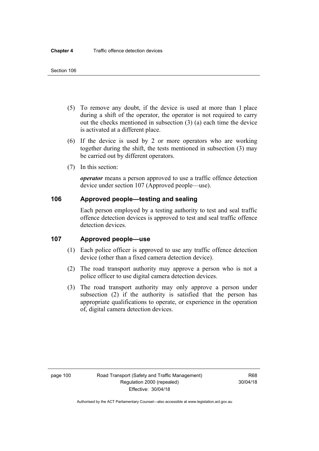- (5) To remove any doubt, if the device is used at more than 1 place during a shift of the operator, the operator is not required to carry out the checks mentioned in subsection (3) (a) each time the device is activated at a different place.
- (6) If the device is used by 2 or more operators who are working together during the shift, the tests mentioned in subsection (3) may be carried out by different operators.
- (7) In this section:

*operator* means a person approved to use a traffic offence detection device under section 107 (Approved people—use).

### **106 Approved people—testing and sealing**

Each person employed by a testing authority to test and seal traffic offence detection devices is approved to test and seal traffic offence detection devices.

### **107 Approved people—use**

- (1) Each police officer is approved to use any traffic offence detection device (other than a fixed camera detection device).
- (2) The road transport authority may approve a person who is not a police officer to use digital camera detection devices.
- (3) The road transport authority may only approve a person under subsection (2) if the authority is satisfied that the person has appropriate qualifications to operate, or experience in the operation of, digital camera detection devices.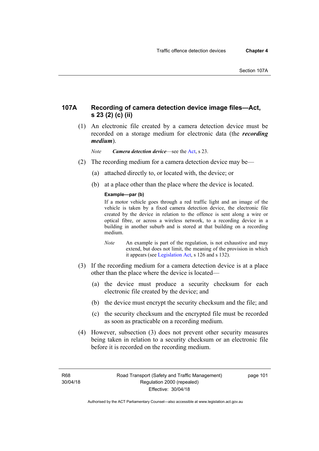### **107A Recording of camera detection device image files—Act, s 23 (2) (c) (ii)**

 (1) An electronic file created by a camera detection device must be recorded on a storage medium for electronic data (the *recording medium*).

*Note Camera detection device*—see the [Act](http://www.legislation.act.gov.au/a/1999-80/default.asp), s 23.

- (2) The recording medium for a camera detection device may be—
	- (a) attached directly to, or located with, the device; or
	- (b) at a place other than the place where the device is located.

### **Example—par (b)**

If a motor vehicle goes through a red traffic light and an image of the vehicle is taken by a fixed camera detection device, the electronic file created by the device in relation to the offence is sent along a wire or optical fibre, or across a wireless network, to a recording device in a building in another suburb and is stored at that building on a recording medium.

- *Note* An example is part of the regulation, is not exhaustive and may extend, but does not limit, the meaning of the provision in which it appears (see [Legislation Act,](http://www.legislation.act.gov.au/a/2001-14) s 126 and s 132).
- (3) If the recording medium for a camera detection device is at a place other than the place where the device is located—
	- (a) the device must produce a security checksum for each electronic file created by the device; and
	- (b) the device must encrypt the security checksum and the file; and
	- (c) the security checksum and the encrypted file must be recorded as soon as practicable on a recording medium.
- (4) However, subsection (3) does not prevent other security measures being taken in relation to a security checksum or an electronic file before it is recorded on the recording medium.

R68 30/04/18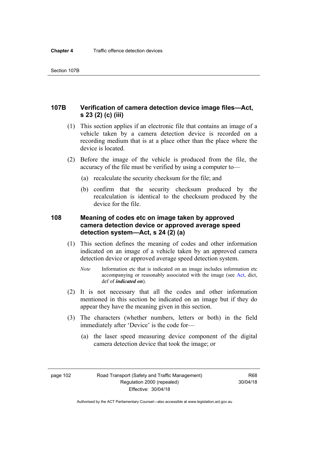### **107B Verification of camera detection device image files—Act, s 23 (2) (c) (iii)**

- (1) This section applies if an electronic file that contains an image of a vehicle taken by a camera detection device is recorded on a recording medium that is at a place other than the place where the device is located.
- (2) Before the image of the vehicle is produced from the file, the accuracy of the file must be verified by using a computer to—
	- (a) recalculate the security checksum for the file; and
	- (b) confirm that the security checksum produced by the recalculation is identical to the checksum produced by the device for the file.

### **108 Meaning of codes etc on image taken by approved camera detection device or approved average speed detection system—Act, s 24 (2) (a)**

- (1) This section defines the meaning of codes and other information indicated on an image of a vehicle taken by an approved camera detection device or approved average speed detection system.
	- *Note* Information etc that is indicated on an image includes information etc accompanying or reasonably associated with the image (see [Act](http://www.legislation.act.gov.au/a/1999-80/default.asp), dict, def of *indicated on*).
- (2) It is not necessary that all the codes and other information mentioned in this section be indicated on an image but if they do appear they have the meaning given in this section.
- (3) The characters (whether numbers, letters or both) in the field immediately after 'Device' is the code for—
	- (a) the laser speed measuring device component of the digital camera detection device that took the image; or

page 102 Road Transport (Safety and Traffic Management) Regulation 2000 (repealed) Effective: 30/04/18

R68 30/04/18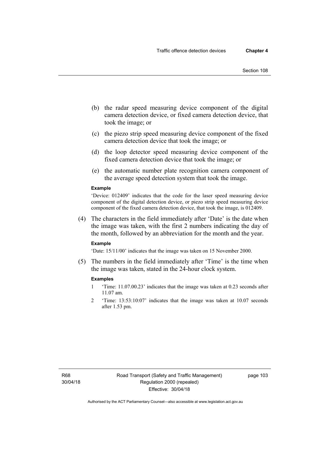- (b) the radar speed measuring device component of the digital camera detection device, or fixed camera detection device, that took the image; or
- (c) the piezo strip speed measuring device component of the fixed camera detection device that took the image; or
- (d) the loop detector speed measuring device component of the fixed camera detection device that took the image; or
- (e) the automatic number plate recognition camera component of the average speed detection system that took the image.

#### **Example**

'Device: 012409' indicates that the code for the laser speed measuring device component of the digital detection device, or piezo strip speed measuring device component of the fixed camera detection device, that took the image, is 012409.

 (4) The characters in the field immediately after 'Date' is the date when the image was taken, with the first 2 numbers indicating the day of the month, followed by an abbreviation for the month and the year.

#### **Example**

'Date: 15/11/00' indicates that the image was taken on 15 November 2000.

 (5) The numbers in the field immediately after 'Time' is the time when the image was taken, stated in the 24-hour clock system.

#### **Examples**

- 1 'Time: 11.07.00.23' indicates that the image was taken at 0.23 seconds after 11.07 am.
- 2 'Time: 13:53:10:07' indicates that the image was taken at 10.07 seconds after 1.53 pm.

R68 30/04/18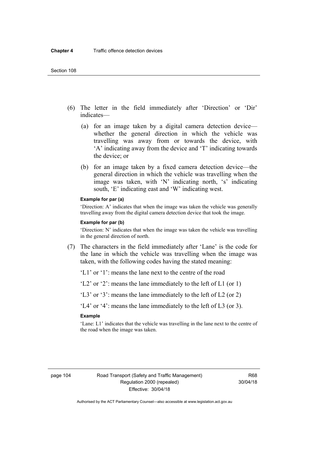- (6) The letter in the field immediately after 'Direction' or 'Dir' indicates—
	- (a) for an image taken by a digital camera detection device whether the general direction in which the vehicle was travelling was away from or towards the device, with 'A' indicating away from the device and 'T' indicating towards the device; or
	- (b) for an image taken by a fixed camera detection device—the general direction in which the vehicle was travelling when the image was taken, with 'N' indicating north, 's' indicating south, 'E' indicating east and 'W' indicating west.

#### **Example for par (a)**

'Direction: A' indicates that when the image was taken the vehicle was generally travelling away from the digital camera detection device that took the image.

#### **Example for par (b)**

'Direction: N' indicates that when the image was taken the vehicle was travelling in the general direction of north.

 (7) The characters in the field immediately after 'Lane' is the code for the lane in which the vehicle was travelling when the image was taken, with the following codes having the stated meaning:

'L1' or '1': means the lane next to the centre of the road

'L2' or '2': means the lane immediately to the left of L1 (or 1)

'L3' or '3': means the lane immediately to the left of L2 (or 2)

'L4' or '4': means the lane immediately to the left of L3 (or 3).

#### **Example**

'Lane: L1' indicates that the vehicle was travelling in the lane next to the centre of the road when the image was taken.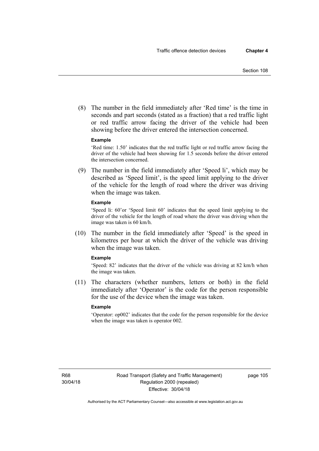(8) The number in the field immediately after 'Red time' is the time in seconds and part seconds (stated as a fraction) that a red traffic light or red traffic arrow facing the driver of the vehicle had been showing before the driver entered the intersection concerned.

#### **Example**

'Red time: 1.50' indicates that the red traffic light or red traffic arrow facing the driver of the vehicle had been showing for 1.5 seconds before the driver entered the intersection concerned.

 (9) The number in the field immediately after 'Speed li', which may be described as 'Speed limit', is the speed limit applying to the driver of the vehicle for the length of road where the driver was driving when the image was taken.

#### **Example**

'Speed li: 60'or 'Speed limit 60' indicates that the speed limit applying to the driver of the vehicle for the length of road where the driver was driving when the image was taken is 60 km/h.

 (10) The number in the field immediately after 'Speed' is the speed in kilometres per hour at which the driver of the vehicle was driving when the image was taken.

#### **Example**

'Speed: 82' indicates that the driver of the vehicle was driving at 82 km/h when the image was taken.

 (11) The characters (whether numbers, letters or both) in the field immediately after 'Operator' is the code for the person responsible for the use of the device when the image was taken.

#### **Example**

'Operator: op002' indicates that the code for the person responsible for the device when the image was taken is operator 002.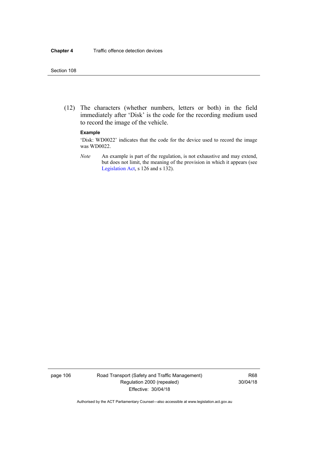(12) The characters (whether numbers, letters or both) in the field immediately after 'Disk' is the code for the recording medium used to record the image of the vehicle.

#### **Example**

'Disk: WD0022' indicates that the code for the device used to record the image was WD0022.

*Note* An example is part of the regulation, is not exhaustive and may extend, but does not limit, the meaning of the provision in which it appears (see [Legislation Act,](http://www.legislation.act.gov.au/a/2001-14) s 126 and s 132).

page 106 Road Transport (Safety and Traffic Management) Regulation 2000 (repealed) Effective: 30/04/18

R68 30/04/18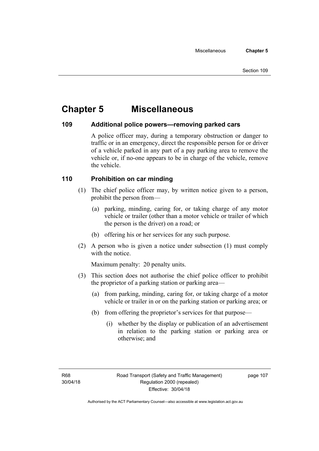# **Chapter 5 Miscellaneous**

### **109 Additional police powers—removing parked cars**

A police officer may, during a temporary obstruction or danger to traffic or in an emergency, direct the responsible person for or driver of a vehicle parked in any part of a pay parking area to remove the vehicle or, if no-one appears to be in charge of the vehicle, remove the vehicle.

### **110 Prohibition on car minding**

- (1) The chief police officer may, by written notice given to a person, prohibit the person from—
	- (a) parking, minding, caring for, or taking charge of any motor vehicle or trailer (other than a motor vehicle or trailer of which the person is the driver) on a road; or
	- (b) offering his or her services for any such purpose.
- (2) A person who is given a notice under subsection (1) must comply with the notice.

Maximum penalty: 20 penalty units.

- (3) This section does not authorise the chief police officer to prohibit the proprietor of a parking station or parking area—
	- (a) from parking, minding, caring for, or taking charge of a motor vehicle or trailer in or on the parking station or parking area; or
	- (b) from offering the proprietor's services for that purpose—
		- (i) whether by the display or publication of an advertisement in relation to the parking station or parking area or otherwise; and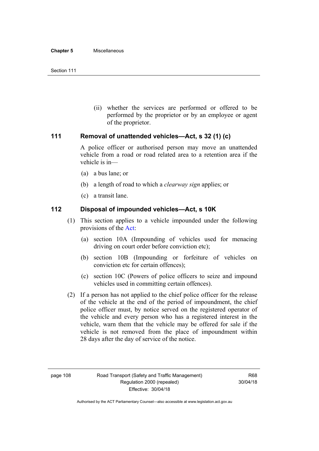(ii) whether the services are performed or offered to be performed by the proprietor or by an employee or agent of the proprietor.

### **111 Removal of unattended vehicles—Act, s 32 (1) (c)**

A police officer or authorised person may move an unattended vehicle from a road or road related area to a retention area if the vehicle is in—

- (a) a bus lane; or
- (b) a length of road to which a *clearway sign* applies; or
- (c) a transit lane.

### **112 Disposal of impounded vehicles—Act, s 10K**

- (1) This section applies to a vehicle impounded under the following provisions of the [Act:](http://www.legislation.act.gov.au/a/1999-80/default.asp)
	- (a) section 10A (Impounding of vehicles used for menacing driving on court order before conviction etc);
	- (b) section 10B (Impounding or forfeiture of vehicles on conviction etc for certain offences);
	- (c) section 10C (Powers of police officers to seize and impound vehicles used in committing certain offences).
- (2) If a person has not applied to the chief police officer for the release of the vehicle at the end of the period of impoundment, the chief police officer must, by notice served on the registered operator of the vehicle and every person who has a registered interest in the vehicle, warn them that the vehicle may be offered for sale if the vehicle is not removed from the place of impoundment within 28 days after the day of service of the notice.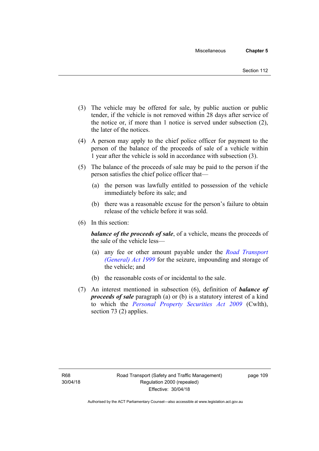- (3) The vehicle may be offered for sale, by public auction or public tender, if the vehicle is not removed within 28 days after service of the notice or, if more than 1 notice is served under subsection (2), the later of the notices.
- (4) A person may apply to the chief police officer for payment to the person of the balance of the proceeds of sale of a vehicle within 1 year after the vehicle is sold in accordance with subsection (3).
- (5) The balance of the proceeds of sale may be paid to the person if the person satisfies the chief police officer that—
	- (a) the person was lawfully entitled to possession of the vehicle immediately before its sale; and
	- (b) there was a reasonable excuse for the person's failure to obtain release of the vehicle before it was sold.
- (6) In this section:

*balance of the proceeds of sale*, of a vehicle, means the proceeds of the sale of the vehicle less—

- (a) any fee or other amount payable under the *[Road Transport](http://www.legislation.act.gov.au/a/1999-77)  [\(General\) Act 1999](http://www.legislation.act.gov.au/a/1999-77)* for the seizure, impounding and storage of the vehicle; and
- (b) the reasonable costs of or incidental to the sale.
- (7) An interest mentioned in subsection (6), definition of *balance of proceeds of sale* paragraph (a) or (b) is a statutory interest of a kind to which the *[Personal Property Securities Act 2009](http://www.comlaw.gov.au/Series/C2009A00130)* (Cwlth), section 73 (2) applies.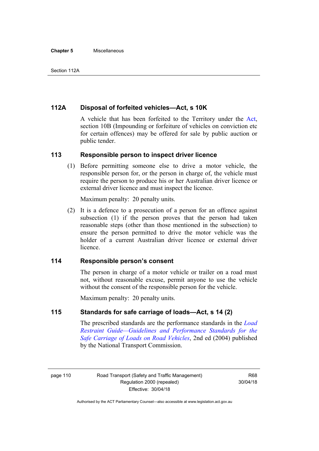### **112A Disposal of forfeited vehicles—Act, s 10K**

A vehicle that has been forfeited to the Territory under the [Act](http://www.legislation.act.gov.au/a/1999-80/default.asp), section 10B (Impounding or forfeiture of vehicles on conviction etc for certain offences) may be offered for sale by public auction or public tender.

### **113 Responsible person to inspect driver licence**

(1) Before permitting someone else to drive a motor vehicle, the responsible person for, or the person in charge of, the vehicle must require the person to produce his or her Australian driver licence or external driver licence and must inspect the licence.

Maximum penalty: 20 penalty units.

 (2) It is a defence to a prosecution of a person for an offence against subsection (1) if the person proves that the person had taken reasonable steps (other than those mentioned in the subsection) to ensure the person permitted to drive the motor vehicle was the holder of a current Australian driver licence or external driver **licence** 

### **114 Responsible person's consent**

The person in charge of a motor vehicle or trailer on a road must not, without reasonable excuse, permit anyone to use the vehicle without the consent of the responsible person for the vehicle.

Maximum penalty: 20 penalty units.

### **115 Standards for safe carriage of loads—Act, s 14 (2)**

The prescribed standards are the performance standards in the *[Load](http://www.ntc.gov.au/viewpage.aspx?documentid=862)  [Restraint Guide—Guidelines and Performance Standards for the](http://www.ntc.gov.au/viewpage.aspx?documentid=862)  [Safe Carriage of Loads on Road Vehicles](http://www.ntc.gov.au/viewpage.aspx?documentid=862)*, 2nd ed (2004) published by the National Transport Commission.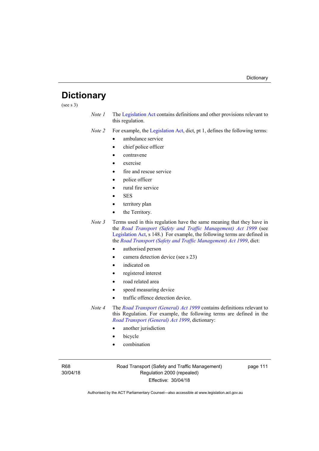# **Dictionary**

(see s 3)

*Note 1* The [Legislation Act](http://www.legislation.act.gov.au/a/2001-14) contains definitions and other provisions relevant to this regulation.

*Note 2* For example, the [Legislation Act,](http://www.legislation.act.gov.au/a/2001-14) dict, pt 1, defines the following terms:

- ambulance service
- chief police officer
- contravene
- exercise
- fire and rescue service
- police officer
- rural fire service
- SES
- territory plan
- the Territory.
- *Note* 3 Terms used in this regulation have the same meaning that they have in the *[Road Transport \(Safety and Traffic Management\) Act 1999](http://www.legislation.act.gov.au/a/1999-80)* (see [Legislation Act,](http://www.legislation.act.gov.au/a/2001-14) s 148.) For example, the following terms are defined in the *[Road Transport \(Safety and Traffic Management\) Act 1999](http://www.legislation.act.gov.au/a/1999-80)*, dict:
	- authorised person
	- camera detection device (see s 23)
	- indicated on
	- registered interest
	- road related area
	- speed measuring device
	- traffic offence detection device.
- *Note 4* The *[Road Transport \(General\) Act 1999](http://www.legislation.act.gov.au/a/1999-77)* contains definitions relevant to this Regulation. For example, the following terms are defined in the *[Road Transport \(General\) Act 1999](http://www.legislation.act.gov.au/a/1999-77)*, dictionary:
	- another jurisdiction
	- bicycle
	- combination

R68 30/04/18 Road Transport (Safety and Traffic Management) Regulation 2000 (repealed) Effective: 30/04/18

page 111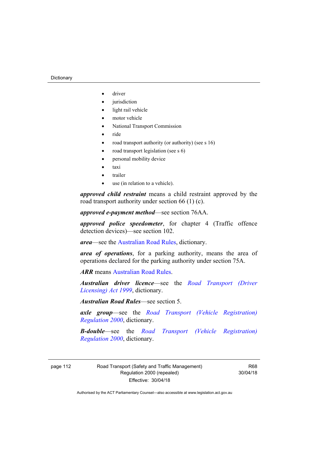#### **Dictionary**

- driver
- jurisdiction
- light rail vehicle
- motor vehicle
- National Transport Commission
- $\bullet$  ride
- road transport authority (or authority) (see s 16)
- road transport legislation (see s 6)
- personal mobility device
- taxi
- trailer
- use (in relation to a vehicle).

*approved child restraint* means a child restraint approved by the road transport authority under section 66 (1) (c).

*approved e-payment method*—see section 76AA.

*approved police speedometer*, for chapter 4 (Traffic offence detection devices)—see section 102.

*area*—see the [Australian Road Rules,](http://www.legislation.act.gov.au//ni/db_37271/default.asp) dictionary.

*area of operations*, for a parking authority, means the area of operations declared for the parking authority under section 75A.

*ARR* means [Australian Road Rules](http://www.legislation.act.gov.au//ni/db_37271/default.asp).

*Australian driver licence*—see the *[Road Transport \(Driver](http://www.legislation.act.gov.au/a/1999-78)  [Licensing\) Act 1999](http://www.legislation.act.gov.au/a/1999-78)*, dictionary.

*Australian Road Rules*—see section 5.

*axle group*—see the *[Road Transport \(Vehicle Registration\)](http://www.legislation.act.gov.au/sl/2000-12)  [Regulation 2000](http://www.legislation.act.gov.au/sl/2000-12)*, dictionary.

*B-double*—see the *[Road Transport \(Vehicle Registration\)](http://www.legislation.act.gov.au/sl/2000-12)  [Regulation 2000](http://www.legislation.act.gov.au/sl/2000-12)*, dictionary.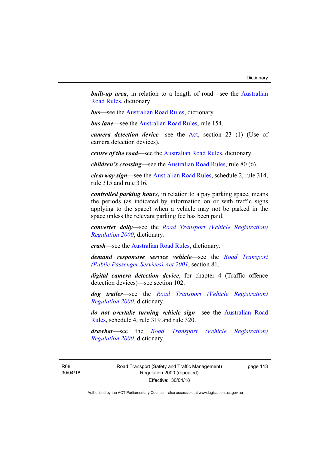**built-up area**, in relation to a length of road—see the Australian [Road Rules,](http://www.legislation.act.gov.au//ni/db_37271/default.asp) dictionary.

*bus*—see the [Australian Road Rules](http://www.legislation.act.gov.au//ni/db_37271/default.asp), dictionary.

*bus lane*—see the [Australian Road Rules](http://www.legislation.act.gov.au//ni/db_37271/default.asp), rule 154.

*camera detection device*—see the [Act,](http://www.legislation.act.gov.au/a/1999-80/default.asp) section 23 (1) (Use of camera detection devices).

*centre of the road*—see the [Australian Road Rules](http://www.legislation.act.gov.au//ni/db_37271/default.asp), dictionary.

*children's crossing*—see the [Australian Road Rules](http://www.legislation.act.gov.au//ni/db_37271/default.asp), rule 80 (6).

*clearway sign*—see the [Australian Road Rules,](http://www.legislation.act.gov.au//ni/db_37271/default.asp) schedule 2, rule 314, rule 315 and rule 316.

*controlled parking hours*, in relation to a pay parking space, means the periods (as indicated by information on or with traffic signs applying to the space) when a vehicle may not be parked in the space unless the relevant parking fee has been paid.

*converter dolly*—see the *[Road Transport \(Vehicle Registration\)](http://www.legislation.act.gov.au/sl/2000-12)  [Regulation 2000](http://www.legislation.act.gov.au/sl/2000-12)*, dictionary.

*crash*—see the [Australian Road Rules](http://www.legislation.act.gov.au//ni/db_37271/default.asp), dictionary.

*demand responsive service vehicle*—see the *[Road Transport](http://www.legislation.act.gov.au/a/2001-62)  [\(Public Passenger Services\) Act 2001](http://www.legislation.act.gov.au/a/2001-62)*, section 81.

*digital camera detection device*, for chapter 4 (Traffic offence detection devices)—see section 102.

*dog trailer*—see the *[Road Transport \(Vehicle Registration\)](http://www.legislation.act.gov.au/sl/2000-12)  [Regulation 2000](http://www.legislation.act.gov.au/sl/2000-12)*, dictionary.

*do not overtake turning vehicle sign*—see the [Australian Road](http://www.legislation.act.gov.au//ni/db_37271/default.asp)  [Rules](http://www.legislation.act.gov.au//ni/db_37271/default.asp), schedule 4, rule 319 and rule 320.

*drawbar*—see the *[Road Transport \(Vehicle Registration\)](http://www.legislation.act.gov.au/sl/2000-12)  [Regulation 2000](http://www.legislation.act.gov.au/sl/2000-12)*, dictionary.

R68 30/04/18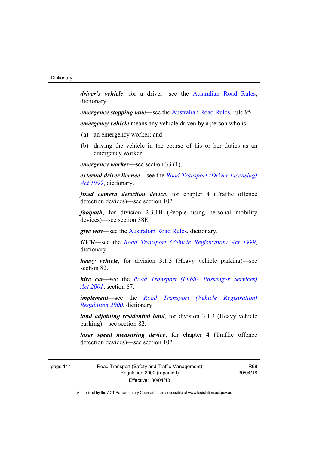*driver's vehicle*, for a driver*—*see the [Australian Road Rules](http://www.legislation.act.gov.au//ni/db_37271/default.asp), dictionary.

*emergency stopping lane—see the [Australian Road Rules](http://www.legislation.act.gov.au//ni/db_37271/default.asp), rule 95.* 

*emergency vehicle* means any vehicle driven by a person who is—

- (a) an emergency worker; and
- (b) driving the vehicle in the course of his or her duties as an emergency worker.

*emergency worker*—see section 33 (1).

*external driver licence*—see the *[Road Transport \(Driver Licensing\)](http://www.legislation.act.gov.au/a/1999-78)  [Act 1999](http://www.legislation.act.gov.au/a/1999-78)*, dictionary.

*fixed camera detection device*, for chapter 4 (Traffic offence detection devices)—see section 102.

*footpath*, for division 2.3.1B (People using personal mobility devices)—see section 38E.

*give way*—see the [Australian Road Rules,](http://www.legislation.act.gov.au//ni/db_37271/default.asp) dictionary.

*GVM*—see the *[Road Transport \(Vehicle Registration\) Act 1999](http://www.legislation.act.gov.au/a/1999-81)*, dictionary.

*heavy vehicle*, for division 3.1.3 (Heavy vehicle parking)—see section 82.

*hire car*—see the *[Road Transport \(Public Passenger Services\)](http://www.legislation.act.gov.au/a/2001-62)  [Act 2001](http://www.legislation.act.gov.au/a/2001-62)*, section 67.

*implement*—see the *[Road Transport \(Vehicle Registration\)](http://www.legislation.act.gov.au/sl/2000-12)  [Regulation 2000](http://www.legislation.act.gov.au/sl/2000-12)*, dictionary.

*land adjoining residential land*, for division 3.1.3 (Heavy vehicle parking)—see section 82.

*laser speed measuring device*, for chapter 4 (Traffic offence detection devices)—see section 102.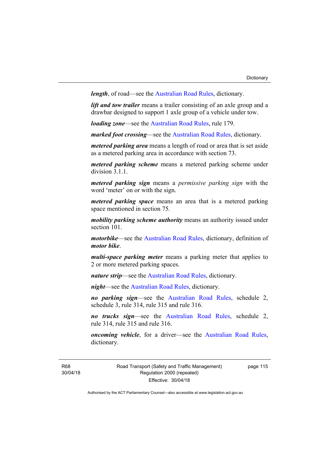*length*, of road—see the [Australian Road Rules](http://www.legislation.act.gov.au//ni/db_37271/default.asp), dictionary.

*lift and tow trailer* means a trailer consisting of an axle group and a drawbar designed to support 1 axle group of a vehicle under tow.

*loading zone*—see the [Australian Road Rules,](http://www.legislation.act.gov.au//ni/db_37271/default.asp) rule 179.

*marked foot crossing*—see the [Australian Road Rules,](http://www.legislation.act.gov.au//ni/db_37271/default.asp) dictionary.

*metered parking area* means a length of road or area that is set aside as a metered parking area in accordance with section 73.

*metered parking scheme* means a metered parking scheme under division 3.1.1.

*metered parking sign* means a *permissive parking sign* with the word 'meter' on or with the sign.

*metered parking space* means an area that is a metered parking space mentioned in section 75.

*mobility parking scheme authority* means an authority issued under section 101.

*motorbike*—see the [Australian Road Rules,](http://www.legislation.act.gov.au//ni/db_37271/default.asp) dictionary, definition of *motor bike*.

*multi-space parking meter* means a parking meter that applies to 2 or more metered parking spaces.

*nature strip*—see the [Australian Road Rules](http://www.legislation.act.gov.au//ni/db_37271/default.asp), dictionary.

*night*—see the [Australian Road Rules,](http://www.legislation.act.gov.au//ni/db_37271/default.asp) dictionary.

*no parking sign*—see the [Australian Road Rules](http://www.legislation.act.gov.au//ni/db_37271/default.asp), schedule 2, schedule 3, rule 314, rule 315 and rule 316.

*no trucks sign*—see the [Australian Road Rules,](http://www.legislation.act.gov.au//ni/db_37271/default.asp) schedule 2, rule 314, rule 315 and rule 316.

*oncoming vehicle*, for a driver—see the [Australian Road Rules](http://www.legislation.act.gov.au//ni/db_37271/default.asp), dictionary.

R68 30/04/18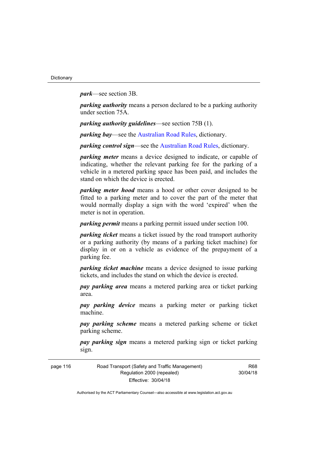*park*—see section 3B.

*parking authority* means a person declared to be a parking authority under section 75A.

*parking authority guidelines*—see section 75B (1).

*parking bay*—see the [Australian Road Rules,](http://www.legislation.act.gov.au//ni/db_37271/default.asp) dictionary.

*parking control sign*—see the [Australian Road Rules](http://www.legislation.act.gov.au//ni/db_37271/default.asp), dictionary.

*parking meter* means a device designed to indicate, or capable of indicating, whether the relevant parking fee for the parking of a vehicle in a metered parking space has been paid, and includes the stand on which the device is erected.

*parking meter hood* means a hood or other cover designed to be fitted to a parking meter and to cover the part of the meter that would normally display a sign with the word 'expired' when the meter is not in operation.

*parking permit* means a parking permit issued under section 100.

*parking ticket* means a ticket issued by the road transport authority or a parking authority (by means of a parking ticket machine) for display in or on a vehicle as evidence of the prepayment of a parking fee.

*parking ticket machine* means a device designed to issue parking tickets, and includes the stand on which the device is erected.

*pay parking area* means a metered parking area or ticket parking area.

*pay parking device* means a parking meter or parking ticket machine.

*pay parking scheme* means a metered parking scheme or ticket parking scheme.

*pay parking sign* means a metered parking sign or ticket parking sign.

R68 30/04/18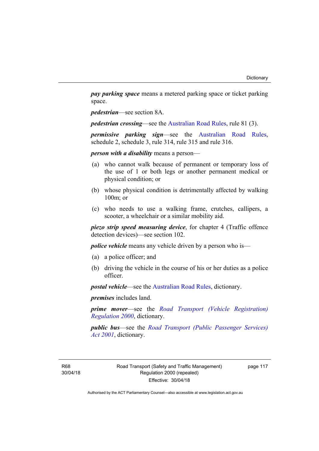*pay parking space* means a metered parking space or ticket parking space.

*pedestrian*—see section 8A.

*pedestrian crossing*—see the [Australian Road Rules](http://www.legislation.act.gov.au//ni/db_37271/default.asp), rule 81 (3).

*permissive parking sign*—see the [Australian Road Rules](http://www.legislation.act.gov.au//ni/db_37271/default.asp), schedule 2, schedule 3, rule 314, rule 315 and rule 316.

*person with a disability* means a person—

- (a) who cannot walk because of permanent or temporary loss of the use of 1 or both legs or another permanent medical or physical condition; or
- (b) whose physical condition is detrimentally affected by walking 100m; or
- (c) who needs to use a walking frame, crutches, callipers, a scooter, a wheelchair or a similar mobility aid.

*piezo strip speed measuring device*, for chapter 4 (Traffic offence detection devices)—see section 102.

*police vehicle* means any vehicle driven by a person who is—

- (a) a police officer; and
- (b) driving the vehicle in the course of his or her duties as a police officer.

*postal vehicle*—see the [Australian Road Rules,](http://www.legislation.act.gov.au//ni/db_37271/default.asp) dictionary.

*premises* includes land.

*prime mover*—see the *[Road Transport \(Vehicle Registration\)](http://www.legislation.act.gov.au/sl/2000-12)  [Regulation 2000](http://www.legislation.act.gov.au/sl/2000-12)*, dictionary.

*public bus*—see the *[Road Transport \(Public Passenger Services\)](http://www.legislation.act.gov.au/a/2001-62)  [Act 2001](http://www.legislation.act.gov.au/a/2001-62)*, dictionary.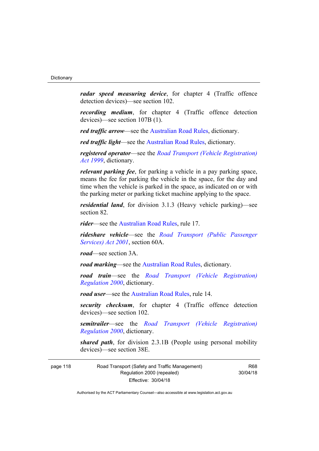*radar speed measuring device*, for chapter 4 (Traffic offence detection devices)—see section 102.

*recording medium*, for chapter 4 (Traffic offence detection devices)—see section 107B (1).

*red traffic arrow*—see the [Australian Road Rules,](http://www.legislation.act.gov.au//ni/db_37271/default.asp) dictionary.

*red traffic light*—see the [Australian Road Rules,](http://www.legislation.act.gov.au//ni/db_37271/default.asp) dictionary.

*registered operator*—see the *[Road Transport \(Vehicle Registration\)](http://www.legislation.act.gov.au/a/1999-81)  [Act 1999](http://www.legislation.act.gov.au/a/1999-81)*, dictionary.

*relevant parking fee*, for parking a vehicle in a pay parking space, means the fee for parking the vehicle in the space, for the day and time when the vehicle is parked in the space, as indicated on or with the parking meter or parking ticket machine applying to the space.

*residential land*, for division 3.1.3 (Heavy vehicle parking)—see section 82.

*rider*—see the [Australian Road Rules,](http://www.legislation.act.gov.au//ni/db_37271/default.asp) rule 17.

*rideshare vehicle*—see the *[Road Transport \(Public Passenger](http://www.legislation.act.gov.au/a/2001-62)  [Services\) Act 2001](http://www.legislation.act.gov.au/a/2001-62)*, section 60A.

*road*—see section 3A.

*road marking*—see the [Australian Road Rules](http://www.legislation.act.gov.au//ni/db_37271/default.asp), dictionary.

*road train*—see the *[Road Transport \(Vehicle Registration\)](http://www.legislation.act.gov.au/sl/2000-12)  [Regulation 2000](http://www.legislation.act.gov.au/sl/2000-12)*, dictionary.

*road user*—see the [Australian Road Rules,](http://www.legislation.act.gov.au//ni/db_37271/default.asp) rule 14.

*security checksum*, for chapter 4 (Traffic offence detection devices)—see section 102.

*semitrailer*—see the *[Road Transport \(Vehicle Registration\)](http://www.legislation.act.gov.au/sl/2000-12)  [Regulation 2000](http://www.legislation.act.gov.au/sl/2000-12)*, dictionary.

*shared path*, for division 2.3.1B (People using personal mobility devices)—see section 38E.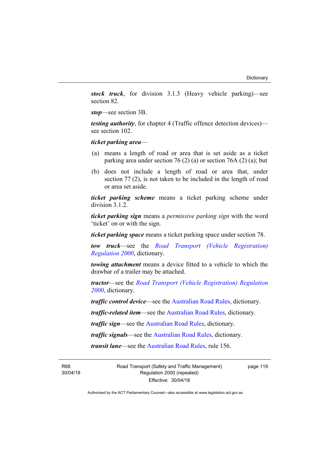*stock truck*, for division 3.1.3 (Heavy vehicle parking)—see section 82.

*stop*—see section 3B.

*testing authority*, for chapter 4 (Traffic offence detection devices) see section 102.

*ticket parking area*—

- (a) means a length of road or area that is set aside as a ticket parking area under section 76 (2) (a) or section 76A (2) (a); but
- (b) does not include a length of road or area that, under section 77 (2), is not taken to be included in the length of road or area set aside.

*ticket parking scheme* means a ticket parking scheme under division 3.1.2.

*ticket parking sign* means a *permissive parking sign* with the word 'ticket' on or with the sign.

*ticket parking space* means a ticket parking space under section 78.

*tow truck*—see the *[Road Transport \(Vehicle Registration\)](http://www.legislation.act.gov.au/sl/2000-12)  [Regulation 2000](http://www.legislation.act.gov.au/sl/2000-12)*, dictionary.

*towing attachment* means a device fitted to a vehicle to which the drawbar of a trailer may be attached.

*tractor*—see the *[Road Transport \(Vehicle Registration\) Regulation](http://www.legislation.act.gov.au/sl/2000-12)  [2000](http://www.legislation.act.gov.au/sl/2000-12)*, dictionary.

*traffic control device*—see the [Australian Road Rules](http://www.legislation.act.gov.au//ni/db_37271/default.asp), dictionary.

*traffic-related item*—see the [Australian Road Rules,](http://www.legislation.act.gov.au//ni/db_37271/default.asp) dictionary.

*traffic sign*—see the [Australian Road Rules](http://www.legislation.act.gov.au//ni/db_37271/default.asp), dictionary.

*traffic signals*—see the [Australian Road Rules](http://www.legislation.act.gov.au//ni/db_37271/default.asp), dictionary.

*transit lane*—see the [Australian Road Rules](http://www.legislation.act.gov.au//ni/db_37271/default.asp), rule 156.

R68 30/04/18 page 119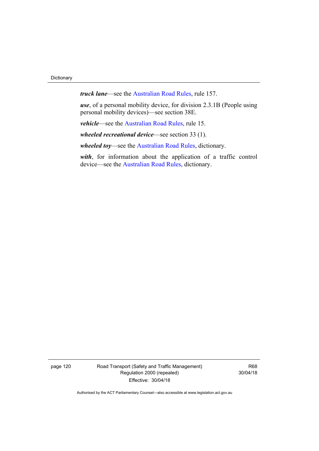*truck lane*—see the [Australian Road Rules,](http://www.legislation.act.gov.au//ni/db_37271/default.asp) rule 157.

*use*, of a personal mobility device, for division 2.3.1B (People using personal mobility devices)—see section 38E.

*vehicle*—see the [Australian Road Rules](http://www.legislation.act.gov.au//ni/db_37271/default.asp), rule 15.

*wheeled recreational device*—see section 33 (1).

*wheeled toy*—see the [Australian Road Rules](http://www.legislation.act.gov.au//ni/db_37271/default.asp), dictionary.

*with*, for information about the application of a traffic control device—see the [Australian Road Rules,](http://www.legislation.act.gov.au//ni/db_37271/default.asp) dictionary.

page 120 Road Transport (Safety and Traffic Management) Regulation 2000 (repealed) Effective: 30/04/18

R68 30/04/18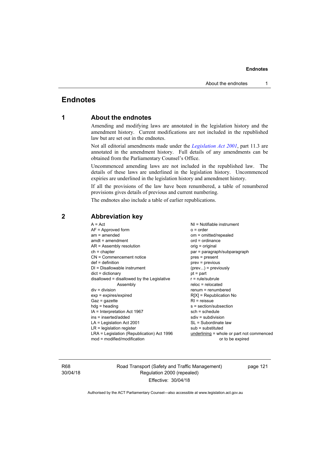### **Endnotes**

### **1 About the endnotes**

Amending and modifying laws are annotated in the legislation history and the amendment history. Current modifications are not included in the republished law but are set out in the endnotes.

Not all editorial amendments made under the *[Legislation Act 2001](http://www.legislation.act.gov.au/a/2001-14)*, part 11.3 are annotated in the amendment history. Full details of any amendments can be obtained from the Parliamentary Counsel's Office.

Uncommenced amending laws are not included in the republished law. The details of these laws are underlined in the legislation history. Uncommenced expiries are underlined in the legislation history and amendment history.

If all the provisions of the law have been renumbered, a table of renumbered provisions gives details of previous and current numbering.

The endnotes also include a table of earlier republications.

### **2 Abbreviation key**

R68 30/04/18 Road Transport (Safety and Traffic Management) Regulation 2000 (repealed) Effective: 30/04/18

page 121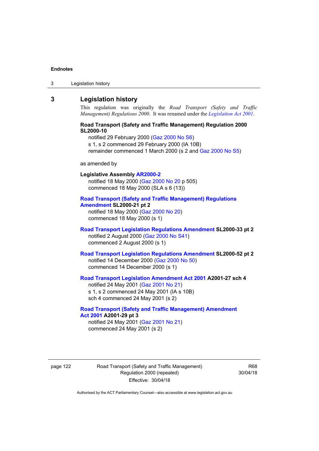3 Legislation history

### **3 Legislation history**

This regulation was originally the *Road Transport (Safety and Traffic Management) Regulations 2000*. It was renamed under the *[Legislation Act 2001](http://www.legislation.act.gov.au/a/2001-14)*.

### **Road Transport (Safety and Traffic Management) Regulation 2000 SL2000-10**

notified 29 February 2000 [\(Gaz 2000 No S6\)](http://www.legislation.act.gov.au/gaz/2000-S6/default.asp) s 1, s 2 commenced 29 February 2000 (IA 10B) remainder commenced 1 March 2000 (s 2 and [Gaz 2000 No S5\)](http://www.legislation.act.gov.au/gaz/2000-S5/default.asp)

#### as amended by

## **Legislative Assembly [AR2000-2](http://www.legislation.act.gov.au/ar/2000-2/default.asp)** notified 18 May 2000 ([Gaz 2000 No 20 p](http://www.legislation.act.gov.au/gaz/2000-20/default.asp) 505) commenced 18 May 2000 (SLA s 6 (13))

### **[Road Transport \(Safety and Traffic Management\) Regulations](http://www.legislation.act.gov.au/sl/2000-21/default.asp)  [Amendment](http://www.legislation.act.gov.au/sl/2000-21/default.asp) SL2000-21 pt 2**

notified 18 May 2000 ([Gaz 2000 No 20\)](http://www.legislation.act.gov.au/gaz/2000-20/default.asp) commenced 18 May 2000 (s 1)

#### **[Road Transport Legislation Regulations Amendment](http://www.legislation.act.gov.au/sl/2000-33/default.asp) SL2000-33 pt 2**  notified 2 August 2000 ([Gaz 2000 No S41](http://www.legislation.act.gov.au/gaz/2000-S41/default.asp)) commenced 2 August 2000 (s 1)

#### **[Road Transport Legislation Regulations Amendment](http://www.legislation.act.gov.au/sl/2000-52/default.asp) SL2000-52 pt 2**  notified 14 December 2000 [\(Gaz 2000 No 50](http://www.legislation.act.gov.au/gaz/2000-50/default.asp)) commenced 14 December 2000 (s 1)

#### **[Road Transport Legislation Amendment Act 2001](http://www.legislation.act.gov.au/a/2001-27) A2001-27 sch 4**  notified 24 May 2001 ([Gaz 2001 No 21\)](http://www.legislation.act.gov.au/gaz/2001-21/default.asp)

s 1, s 2 commenced 24 May 2001 (IA s 10B) sch 4 commenced 24 May 2001 (s 2)

### **[Road Transport \(Safety and Traffic Management\) Amendment](http://www.legislation.act.gov.au/a/2001-29)  [Act 2001](http://www.legislation.act.gov.au/a/2001-29) A2001-29 pt 3**

notified 24 May 2001 ([Gaz 2001 No 21\)](http://www.legislation.act.gov.au/gaz/2001-21/default.asp) commenced 24 May 2001 (s 2)

page 122 Road Transport (Safety and Traffic Management) Regulation 2000 (repealed) Effective: 30/04/18

R68 30/04/18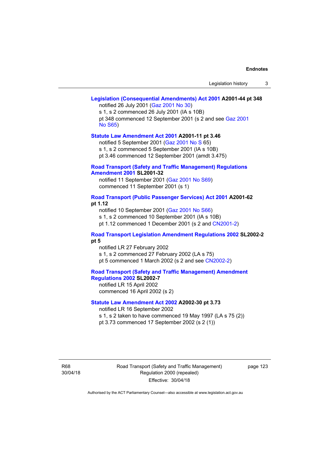#### **[Legislation \(Consequential Amendments\) Act 2001](http://www.legislation.act.gov.au/a/2001-44) A2001-44 pt 348**  notified 26 July 2001 ([Gaz 2001 No 30\)](http://www.legislation.act.gov.au/gaz/2001-30/default.asp)

s 1, s 2 commenced 26 July 2001 (IA s 10B) pt 348 commenced 12 September 2001 (s 2 and see [Gaz 2001](http://www.legislation.act.gov.au/gaz/2001-S65/default.asp)  [No S65](http://www.legislation.act.gov.au/gaz/2001-S65/default.asp))

#### **[Statute Law Amendment Act 2001](http://www.legislation.act.gov.au/a/2001-11) A2001-11 pt 3.46**

notified 5 September 2001 [\(Gaz 2001 No S 6](http://www.legislation.act.gov.au/gaz/2001-S/default.asp)5)

s 1, s 2 commenced 5 September 2001 (IA s 10B)

pt 3.46 commenced 12 September 2001 (amdt 3.475)

#### **[Road Transport \(Safety and Traffic Management\) Regulations](http://www.legislation.act.gov.au/sl/2001-32)  [Amendment 2001](http://www.legislation.act.gov.au/sl/2001-32) SL2001-32**

notified 11 September 2001 [\(Gaz 2001 No S69\)](http://www.legislation.act.gov.au/gaz/2001-S69/default.asp) commenced 11 September 2001 (s 1)

#### **[Road Transport \(Public Passenger Services\) Act 2001](http://www.legislation.act.gov.au/a/2001-62) A2001-62 pt 1.12**

notified 10 September 2001 [\(Gaz 2001 No S66\)](http://www.legislation.act.gov.au/gaz/2001-S66/default.asp)

s 1, s 2 commenced 10 September 2001 (IA s 10B)

pt 1.12 commenced 1 December 2001 (s 2 and [CN2001-2](http://www.legislation.act.gov.au/cn/2001-2/default.asp))

#### **[Road Transport Legislation Amendment Regulations 2002](http://www.legislation.act.gov.au/sl/2002-2) SL2002-2 pt 5**

notified LR 27 February 2002 s 1, s 2 commenced 27 February 2002 (LA s 75) pt 5 commenced 1 March 2002 (s 2 and see [CN2002-2](http://www.legislation.act.gov.au/cn/2002-2/default.asp))

**[Road Transport \(Safety and Traffic Management\) Amendment](http://www.legislation.act.gov.au/sl/2002-7)  [Regulations 2002](http://www.legislation.act.gov.au/sl/2002-7) SL2002-7** 

notified LR 15 April 2002 commenced 16 April 2002 (s 2)

### **[Statute Law Amendment Act 2002](http://www.legislation.act.gov.au/a/2002-30) A2002-30 pt 3.73**

notified LR 16 September 2002

s 1, s 2 taken to have commenced 19 May 1997 (LA s 75 (2))

pt 3.73 commenced 17 September 2002 (s 2 (1))

R68 30/04/18 Road Transport (Safety and Traffic Management) Regulation 2000 (repealed) Effective: 30/04/18

page 123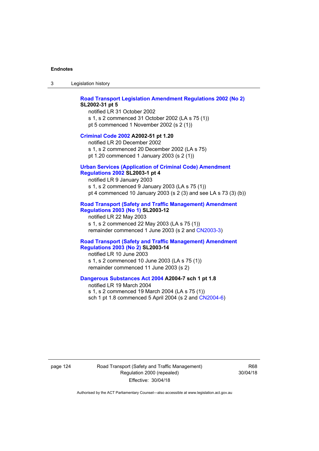3 Legislation history

#### **[Road Transport Legislation Amendment Regulations 2002 \(No 2\)](http://www.legislation.act.gov.au/sl/2002-31) SL2002-31 pt 5**

notified LR 31 October 2002 s 1, s 2 commenced 31 October 2002 (LA s 75 (1)) pt 5 commenced 1 November 2002 (s 2 (1))

#### **[Criminal Code 2002](http://www.legislation.act.gov.au/a/2002-51) A2002-51 pt 1.20**

notified LR 20 December 2002 s 1, s 2 commenced 20 December 2002 (LA s 75) pt 1.20 commenced 1 January 2003 (s 2 (1))

#### **[Urban Services \(Application of Criminal Code\) Amendment](http://www.legislation.act.gov.au/sl/2003-1)**

#### **[Regulations 2002](http://www.legislation.act.gov.au/sl/2003-1) SL2003-1 pt 4**

notified LR 9 January 2003 s 1, s 2 commenced 9 January 2003 (LA s 75 (1)) pt 4 commenced 10 January 2003 (s 2 (3) and see LA s 73 (3) (b))

#### **[Road Transport \(Safety and Traffic Management\) Amendment](http://www.legislation.act.gov.au/sl/2003-12)  [Regulations 2003 \(No 1\)](http://www.legislation.act.gov.au/sl/2003-12) SL2003-12**

notified LR 22 May 2003 s 1, s 2 commenced 22 May 2003 (LA s 75 (1)) remainder commenced 1 June 2003 (s 2 and [CN2003-3](http://www.legislation.act.gov.au/cn/2003-3/default.asp))

#### **[Road Transport \(Safety and Traffic Management\) Amendment](http://www.legislation.act.gov.au/sl/2003-14)  [Regulations 2003 \(No 2\)](http://www.legislation.act.gov.au/sl/2003-14) SL2003-14**

notified LR 10 June 2003 s 1, s 2 commenced 10 June 2003 (LA s 75 (1)) remainder commenced 11 June 2003 (s 2)

#### **[Dangerous Substances Act 2004](http://www.legislation.act.gov.au/a/2004-7) A2004-7 sch 1 pt 1.8**

notified LR 19 March 2004 s 1, s 2 commenced 19 March 2004 (LA s 75 (1)) sch 1 pt 1.8 commenced 5 April 2004 (s 2 and [CN2004-6](http://www.legislation.act.gov.au/cn/2004-6/default.asp))

page 124 Road Transport (Safety and Traffic Management) Regulation 2000 (repealed) Effective: 30/04/18

R68 30/04/18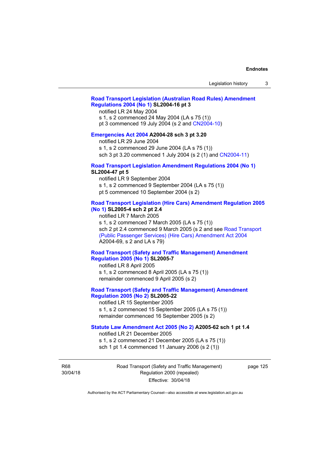## **[Road Transport Legislation \(Australian Road Rules\) Amendment](http://www.legislation.act.gov.au/sl/2004-16)  [Regulations 2004 \(No 1\)](http://www.legislation.act.gov.au/sl/2004-16) SL2004-16 pt 3**

notified LR 24 May 2004

s 1, s 2 commenced 24 May 2004 (LA s 75 (1))

pt 3 commenced 19 July 2004 (s 2 and [CN2004-10](http://www.legislation.act.gov.au/cn/2004-10/default.asp))

## **[Emergencies Act 2004](http://www.legislation.act.gov.au/a/2004-28) A2004-28 sch 3 pt 3.20**

notified LR 29 June 2004

s 1, s 2 commenced 29 June 2004 (LA s 75 (1))

sch 3 pt 3.20 commenced 1 July 2004 (s 2 (1) and [CN2004-11](http://www.legislation.act.gov.au/cn/2004-11/default.asp))

## **[Road Transport Legislation Amendment Regulations 2004 \(No 1\)](http://www.legislation.act.gov.au/sl/2004-47) SL2004-47 pt 5**

notified LR 9 September 2004

s 1, s 2 commenced 9 September 2004 (LA s 75 (1))

pt 5 commenced 10 September 2004 (s 2)

## **[Road Transport Legislation \(Hire Cars\) Amendment Regulation 2005](http://www.legislation.act.gov.au/sl/2005-4)  [\(No 1\)](http://www.legislation.act.gov.au/sl/2005-4) SL2005-4 sch 2 pt 2.4**

notified LR 7 March 2005

s 1, s 2 commenced 7 March 2005 (LA s 75 (1))

sch 2 pt 2.4 commenced 9 March 2005 (s 2 and see Road Transport [\(Public Passenger Services\) \(Hire Cars\) Amendment Act 2004](http://www.legislation.act.gov.au/a/2004-69) A2004-69, s 2 and LA s 79)

## **[Road Transport \(Safety and Traffic Management\) Amendment](http://www.legislation.act.gov.au/sl/2005-7)  [Regulation 2005 \(No 1\)](http://www.legislation.act.gov.au/sl/2005-7) SL2005-7**

notified LR 8 April 2005 s 1, s 2 commenced 8 April 2005 (LA s 75 (1)) remainder commenced 9 April 2005 (s 2)

## **[Road Transport \(Safety and Traffic Management\) Amendment](http://www.legislation.act.gov.au/sl/2005-22)  [Regulation 2005 \(No 2\)](http://www.legislation.act.gov.au/sl/2005-22) SL2005-22**

notified LR 15 September 2005 s 1, s 2 commenced 15 September 2005 (LA s 75 (1)) remainder commenced 16 September 2005 (s 2)

### **[Statute Law Amendment Act 2005 \(No 2\)](http://www.legislation.act.gov.au/a/2005-62) A2005-62 sch 1 pt 1.4**

notified LR 21 December 2005 s 1, s 2 commenced 21 December 2005 (LA s 75 (1)) sch 1 pt 1.4 commenced 11 January 2006 (s 2 (1))

R68 30/04/18 Road Transport (Safety and Traffic Management) Regulation 2000 (repealed) Effective: 30/04/18

page 125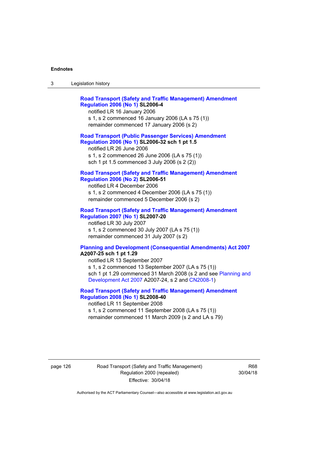| Legislation history<br>-3 |  |
|---------------------------|--|
|---------------------------|--|

| <b>Road Transport (Safety and Traffic Management) Amendment</b><br><b>Regulation 2006 (No 1) SL2006-4</b><br>notified LR 16 January 2006<br>s 1, s 2 commenced 16 January 2006 (LA s 75 (1))<br>remainder commenced 17 January 2006 (s 2)  |
|--------------------------------------------------------------------------------------------------------------------------------------------------------------------------------------------------------------------------------------------|
| <b>Road Transport (Public Passenger Services) Amendment</b><br>Regulation 2006 (No 1) SL2006-32 sch 1 pt 1.5<br>notified LR 26 June 2006<br>s 1, s 2 commenced 26 June 2006 (LA s 75 (1))<br>sch 1 pt 1.5 commenced 3 July 2006 (s 2 (2))  |
| <b>Road Transport (Safety and Traffic Management) Amendment</b><br><b>Regulation 2006 (No 2) SL2006-51</b><br>notified LR 4 December 2006<br>s 1, s 2 commenced 4 December 2006 (LA s 75 (1))<br>remainder commenced 5 December 2006 (s 2) |
| <b>Road Transport (Safety and Traffic Management) Amendment</b><br><b>Regulation 2007 (No 1) SL2007-20</b><br>notified LR 30 July 2007<br>s 1, s 2 commenced 30 July 2007 (LA s 75 (1))<br>remainder commenced 31 July 2007 (s 2)          |
| <b>Planning and Development (Consequential Amendments) Act 2007</b><br>A2007-25 sch 1 pt 1.29<br>notified LR 13 September 2007                                                                                                             |

s 1, s 2 commenced 13 September 2007 (LA s 75 (1)) sch 1 pt 1.29 commenced 31 March 2008 (s 2 and see [Planning and](http://www.legislation.act.gov.au/a/2007-24)  [Development Act 2007](http://www.legislation.act.gov.au/a/2007-24) A2007-24, s 2 and [CN2008-1](http://www.legislation.act.gov.au/cn/2008-1/default.asp))

## **[Road Transport \(Safety and Traffic Management\) Amendment](http://www.legislation.act.gov.au/sl/2008-40)  [Regulation 2008 \(No 1\)](http://www.legislation.act.gov.au/sl/2008-40) SL2008-40**  notified LR 11 September 2008

s 1, s 2 commenced 11 September 2008 (LA s 75 (1)) remainder commenced 11 March 2009 (s 2 and LA s 79)

page 126 Road Transport (Safety and Traffic Management) Regulation 2000 (repealed) Effective: 30/04/18

R68 30/04/18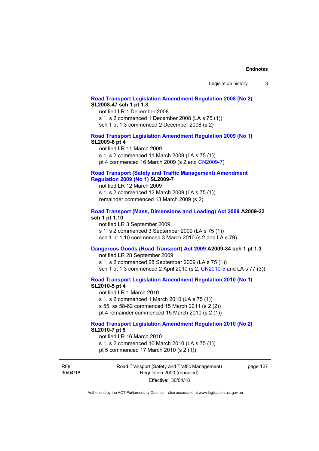### **[Road Transport Legislation Amendment Regulation 2008 \(No 2\)](http://www.legislation.act.gov.au/sl/2008-47) SL2008-47 sch 1 pt 1.3**

notified LR 1 December 2008 s 1, s 2 commenced 1 December 2008 (LA s 75 (1)) sch 1 pt 1.3 commenced 2 December 2008 (s 2)

### **[Road Transport Legislation Amendment Regulation 2009 \(No 1\)](http://www.legislation.act.gov.au/sl/2009-6) SL2009-6 pt 4**

notified LR 11 March 2009 s 1, s 2 commenced 11 March 2009 (LA s 75 (1)) pt 4 commenced 16 March 2009 (s 2 and [CN2009-7\)](http://www.legislation.act.gov.au/cn/2009-7/default.asp)

### **[Road Transport \(Safety and Traffic Management\) Amendment](http://www.legislation.act.gov.au/sl/2009-7)  [Regulation 2009 \(No 1\)](http://www.legislation.act.gov.au/sl/2009-7) SL2009-7**

notified LR 12 March 2009 s 1, s 2 commenced 12 March 2009 (LA s 75 (1)) remainder commenced 13 March 2009 (s 2)

### **[Road Transport \(Mass, Dimensions and Loading\) Act 2009](http://www.legislation.act.gov.au/a/2009-22/default.asp) A2009-22 sch 1 pt 1.10**

notified LR 3 September 2009 s 1, s 2 commenced 3 September 2009 (LA s 75 (1)) sch 1 pt 1.10 commenced 3 March 2010 (s 2 and LA s 79)

# **[Dangerous Goods \(Road Transport\) Act 2009](http://www.legislation.act.gov.au/a/2009-34) A2009-34 sch 1 pt 1.3**

notified LR 28 September 2009 s 1, s 2 commenced 28 September 2009 (LA s 75 (1)) sch 1 pt 1.3 commenced 2 April 2010 (s 2, [CN2010-5 a](http://www.legislation.act.gov.au/cn/2010-5/default.asp)nd LA s 77 (3))

**[Road Transport Legislation Amendment Regulation 2010 \(No 1\)](http://www.legislation.act.gov.au/sl/2010-5)**

### **SL2010-5 pt 4**

notified LR 1 March 2010 s 1, s 2 commenced 1 March 2010 (LA s 75 (1)) s 55, ss 58-62 commenced 15 March 2011 (s 2 (2)) pt 4 remainder commenced 15 March 2010 (s 2 (1))

# **[Road Transport Legislation Amendment Regulation 2010 \(No 2\)](http://www.legislation.act.gov.au/sl/2010-7) SL2010-7 pt 5**

notified LR 16 March 2010 s 1, s 2 commenced 16 March 2010 (LA s 75 (1)) pt 5 commenced 17 March 2010 (s 2 (1))

R68 30/04/18 Road Transport (Safety and Traffic Management) Regulation 2000 (repealed) Effective: 30/04/18

page 127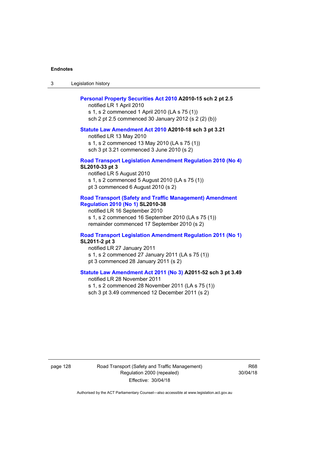3 Legislation history

#### **[Personal Property Securities Act 2010](http://www.legislation.act.gov.au/a/2010-15) A2010-15 sch 2 pt 2.5**

notified LR 1 April 2010 s 1, s 2 commenced 1 April 2010 (LA s 75 (1)) sch 2 pt 2.5 commenced 30 January 2012 (s 2 (2) (b))

### **[Statute Law Amendment Act 2010](http://www.legislation.act.gov.au/a/2010-18) A2010-18 sch 3 pt 3.21**

notified LR 13 May 2010 s 1, s 2 commenced 13 May 2010 (LA s 75 (1)) sch 3 pt 3.21 commenced 3 June 2010 (s 2)

### **[Road Transport Legislation Amendment Regulation 2010 \(No 4\)](http://www.legislation.act.gov.au/sl/2010-33) SL2010-33 pt 3**

notified LR 5 August 2010 s 1, s 2 commenced 5 August 2010 (LA s 75 (1)) pt 3 commenced 6 August 2010 (s 2)

### **[Road Transport \(Safety and Traffic Management\) Amendment](http://www.legislation.act.gov.au/sl/2010-38)  [Regulation 2010 \(No 1\)](http://www.legislation.act.gov.au/sl/2010-38) SL2010-38**

notified LR 16 September 2010 s 1, s 2 commenced 16 September 2010 (LA s 75 (1)) remainder commenced 17 September 2010 (s 2)

### **[Road Transport Legislation Amendment Regulation 2011 \(No 1\)](http://www.legislation.act.gov.au/sl/2011-2) SL2011-2 pt 3**

notified LR 27 January 2011 s 1, s 2 commenced 27 January 2011 (LA s 75 (1)) pt 3 commenced 28 January 2011 (s 2)

# **[Statute Law Amendment Act 2011 \(No 3\)](http://www.legislation.act.gov.au/a/2011-52) A2011-52 sch 3 pt 3.49**

notified LR 28 November 2011 s 1, s 2 commenced 28 November 2011 (LA s 75 (1)) sch 3 pt 3.49 commenced 12 December 2011 (s 2)

page 128 Road Transport (Safety and Traffic Management) Regulation 2000 (repealed) Effective: 30/04/18

R68 30/04/18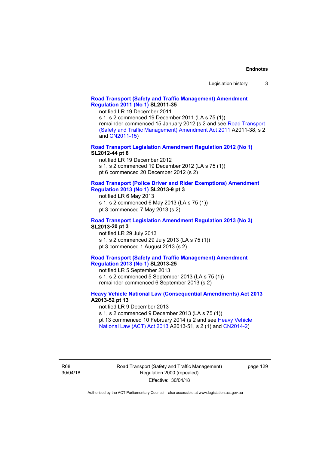### **[Road Transport \(Safety and Traffic Management\) Amendment](http://www.legislation.act.gov.au/sl/2011-35)  [Regulation 2011 \(No 1\)](http://www.legislation.act.gov.au/sl/2011-35) SL2011-35**

notified LR 19 December 2011

s 1, s 2 commenced 19 December 2011 (LA s 75 (1)) remainder commenced 15 January 2012 (s 2 and see [Road Transport](http://www.legislation.act.gov.au/a/2011-38)  [\(Safety and Traffic Management\) Amendment Act 2011](http://www.legislation.act.gov.au/a/2011-38) A2011-38, s 2 and [CN2011-15\)](http://www.legislation.act.gov.au/cn/2011-15/default.asp)

**[Road Transport Legislation Amendment Regulation 2012 \(No 1\)](http://www.legislation.act.gov.au/sl/2012-44/default.asp) SL2012-44 pt 6** 

notified LR 19 December 2012

s 1, s 2 commenced 19 December 2012 (LA s 75 (1))

pt 6 commenced 20 December 2012 (s 2)

#### **[Road Transport \(Police Driver and Rider Exemptions\) Amendment](http://www.legislation.act.gov.au/sl/2013-9/default.asp)  [Regulation 2013 \(No 1\)](http://www.legislation.act.gov.au/sl/2013-9/default.asp) SL2013-9 pt 3**

notified LR 6 May 2013

s 1, s 2 commenced 6 May 2013 (LA s 75 (1))

pt 3 commenced 7 May 2013 (s 2)

### **[Road Transport Legislation Amendment Regulation 2013 \(No 3\)](http://www.legislation.act.gov.au/sl/2013-20) SL2013-20 pt 3**

notified LR 29 July 2013 s 1, s 2 commenced 29 July 2013 (LA s 75 (1)) pt 3 commenced 1 August 2013 (s 2)

### **[Road Transport \(Safety and Traffic Management\) Amendment](http://www.legislation.act.gov.au/sl/2013-25)  [Regulation 2013 \(No 1\)](http://www.legislation.act.gov.au/sl/2013-25) SL2013-25**

notified LR 5 September 2013 s 1, s 2 commenced 5 September 2013 (LA s 75 (1)) remainder commenced 6 September 2013 (s 2)

### **[Heavy Vehicle National Law \(Consequential Amendments\) Act 2013](http://www.legislation.act.gov.au/a/2013-52) A2013-52 pt 13**

notified LR 9 December 2013

s 1, s 2 commenced 9 December 2013 (LA s 75 (1))

pt 13 commenced 10 February 2014 (s 2 and see [Heavy Vehicle](http://www.legislation.act.gov.au/a/2013-51/default.asp)  [National Law \(ACT\) Act 2013](http://www.legislation.act.gov.au/a/2013-51/default.asp) A2013-51, s 2 (1) and [CN2014-2](http://www.legislation.act.gov.au/cn/2014-2/default.asp))

R68 30/04/18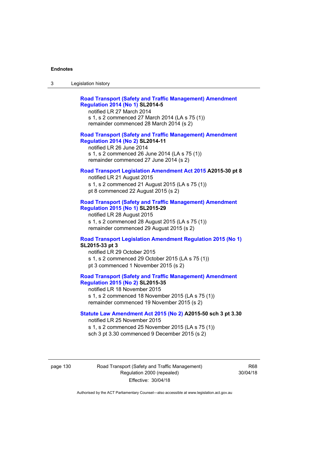| -3 | Legislation history |  |
|----|---------------------|--|
|    |                     |  |

| <b>Road Transport (Safety and Traffic Management) Amendment</b> |  |
|-----------------------------------------------------------------|--|
| <b>Regulation 2014 (No 1) SL2014-5</b>                          |  |
| notified LR 27 March 2014                                       |  |

s 1, s 2 commenced 27 March 2014 (LA s 75 (1)) remainder commenced 28 March 2014 (s 2)

### **[Road Transport \(Safety and Traffic Management\) Amendment](http://www.legislation.act.gov.au/sl/2014-11)  [Regulation 2014 \(No 2\)](http://www.legislation.act.gov.au/sl/2014-11) SL2014-11**

notified LR 26 June 2014 s 1, s 2 commenced 26 June 2014 (LA s 75 (1)) remainder commenced 27 June 2014 (s 2)

### **[Road Transport Legislation Amendment Act 2015](http://www.legislation.act.gov.au/a/2015-30/default.asp) A2015-30 pt 8**

notified LR 21 August 2015 s 1, s 2 commenced 21 August 2015 (LA s 75 (1)) pt 8 commenced 22 August 2015 (s 2)

## **[Road Transport \(Safety and Traffic Management\) Amendment](http://www.legislation.act.gov.au/sl/2015-29)  [Regulation 2015 \(No 1\)](http://www.legislation.act.gov.au/sl/2015-29) SL2015-29**

notified LR 28 August 2015 s 1, s 2 commenced 28 August 2015 (LA s 75 (1)) remainder commenced 29 August 2015 (s 2)

# **[Road Transport Legislation Amendment Regulation 2015 \(No 1\)](http://www.legislation.act.gov.au/sl/2015-33) SL2015-33 pt 3**

notified LR 29 October 2015 s 1, s 2 commenced 29 October 2015 (LA s 75 (1)) pt 3 commenced 1 November 2015 (s 2)

# **[Road Transport \(Safety and Traffic Management\) Amendment](http://www.legislation.act.gov.au/sl/2015-35)  [Regulation 2015 \(No 2\)](http://www.legislation.act.gov.au/sl/2015-35) SL2015-35**

notified LR 18 November 2015 s 1, s 2 commenced 18 November 2015 (LA s 75 (1)) remainder commenced 19 November 2015 (s 2)

### **[Statute Law Amendment Act 2015 \(No 2\)](http://www.legislation.act.gov.au/a/2015-50) A2015-50 sch 3 pt 3.30**

notified LR 25 November 2015 s 1, s 2 commenced 25 November 2015 (LA s 75 (1)) sch 3 pt 3.30 commenced 9 December 2015 (s 2)

page 130 Road Transport (Safety and Traffic Management) Regulation 2000 (repealed) Effective: 30/04/18

R68 30/04/18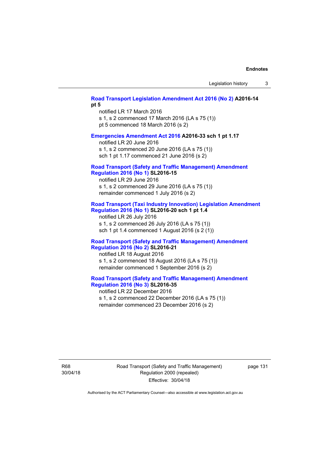### **[Road Transport Legislation Amendment Act 2016 \(No 2\)](http://www.legislation.act.gov.au/a/2016-14) A2016-14 pt 5**

notified LR 17 March 2016 s 1, s 2 commenced 17 March 2016 (LA s 75 (1)) pt 5 commenced 18 March 2016 (s 2)

### **[Emergencies Amendment Act 2016](http://www.legislation.act.gov.au/a/2016-33) A2016-33 sch 1 pt 1.17**

notified LR 20 June 2016 s 1, s 2 commenced 20 June 2016 (LA s 75 (1)) sch 1 pt 1.17 commenced 21 June 2016 (s 2)

### **[Road Transport \(Safety and Traffic Management\) Amendment](http://www.legislation.act.gov.au/sl/2016-15)  [Regulation 2016 \(No 1\)](http://www.legislation.act.gov.au/sl/2016-15) SL2016-15**

notified LR 29 June 2016 s 1, s 2 commenced 29 June 2016 (LA s 75 (1)) remainder commenced 1 July 2016 (s 2)

### **[Road Transport \(Taxi Industry Innovation\) Legislation Amendment](http://www.legislation.act.gov.au/sl/2016-20/default.asp)  [Regulation 2016 \(No 1\)](http://www.legislation.act.gov.au/sl/2016-20/default.asp) SL2016-20 sch 1 pt 1.4**

notified LR 26 July 2016 s 1, s 2 commenced 26 July 2016 (LA s 75 (1)) sch 1 pt 1.4 commenced 1 August 2016 (s 2 (1))

### **[Road Transport \(Safety and Traffic Management\) Amendment](http://www.legislation.act.gov.au/sl/2016-21/default.asp)  [Regulation 2016 \(No 2\)](http://www.legislation.act.gov.au/sl/2016-21/default.asp) SL2016-21**

notified LR 18 August 2016 s 1, s 2 commenced 18 August 2016 (LA s 75 (1)) remainder commenced 1 September 2016 (s 2)

# **[Road Transport \(Safety and Traffic Management\) Amendment](http://www.legislation.act.gov.au/sl/2016-35/default.asp)  [Regulation 2016 \(No 3\)](http://www.legislation.act.gov.au/sl/2016-35/default.asp) SL2016-35**

notified LR 22 December 2016 s 1, s 2 commenced 22 December 2016 (LA s 75 (1)) remainder commenced 23 December 2016 (s 2)

R68 30/04/18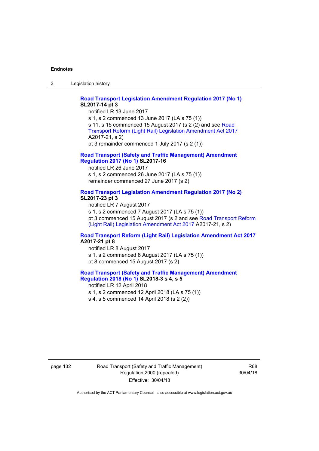3 Legislation history

## **[Road Transport Legislation Amendment Regulation 2017 \(No 1\)](http://www.legislation.act.gov.au/sl/2017-14/default.asp) SL2017-14 pt 3**

notified LR 13 June 2017 s 1, s 2 commenced 13 June 2017 (LA s 75 (1)) s 11, s 15 commenced 15 August 2017 (s 2 (2) and see [Road](http://www.legislation.act.gov.au/a/2017-21/default.asp)  [Transport Reform \(Light Rail\) Legislation Amendment Act 2017](http://www.legislation.act.gov.au/a/2017-21/default.asp) A2017-21, s 2) pt 3 remainder commenced 1 July 2017 (s 2 (1))

## **[Road Transport \(Safety and Traffic Management\) Amendment](http://www.legislation.act.gov.au/sl/2017-16/default.asp)  [Regulation 2017 \(No 1\)](http://www.legislation.act.gov.au/sl/2017-16/default.asp) SL2017-16**

notified LR 26 June 2017 s 1, s 2 commenced 26 June 2017 (LA s 75 (1)) remainder commenced 27 June 2017 (s 2)

# **[Road Transport Legislation Amendment Regulation 2017 \(No 2\)](http://www.legislation.act.gov.au/sl/2017-23/default.asp) SL2017-23 pt 3**

notified LR 7 August 2017 s 1, s 2 commenced 7 August 2017 (LA s 75 (1)) pt 3 commenced 15 August 2017 (s 2 and see [Road Transport Reform](http://www.legislation.act.gov.au/a/2017-21/default.asp)  [\(Light Rail\) Legislation Amendment Act 2017](http://www.legislation.act.gov.au/a/2017-21/default.asp) A2017-21, s 2)

### **[Road Transport Reform \(Light Rail\) Legislation Amendment Act 2017](http://www.legislation.act.gov.au/a/2017-21/default.asp) A2017-21 pt 8**

notified LR 8 August 2017 s 1, s 2 commenced 8 August 2017 (LA s 75 (1)) pt 8 commenced 15 August 2017 (s 2)

### **[Road Transport \(Safety and Traffic Management\) Amendment](http://www.legislation.act.gov.au/sl/2018-3/default.asp)  [Regulation 2018 \(No 1\)](http://www.legislation.act.gov.au/sl/2018-3/default.asp) SL2018-3 s 4, s 5**

notified LR 12 April 2018 s 1, s 2 commenced 12 April 2018 (LA s 75 (1)) s 4, s 5 commenced 14 April 2018 (s 2 (2))

page 132 Road Transport (Safety and Traffic Management) Regulation 2000 (repealed) Effective: 30/04/18

R68 30/04/18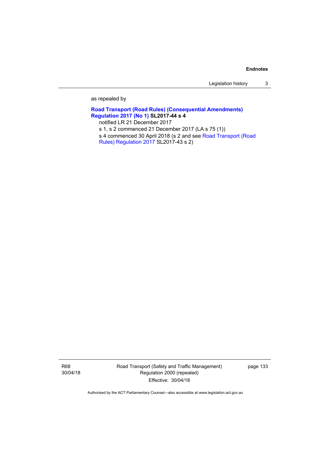Legislation history 3

as repealed by

## **[Road Transport \(Road Rules\) \(Consequential Amendments\)](http://www.legislation.act.gov.au/sl/2017-44 /default.asp)  [Regulation 2017 \(No 1\)](http://www.legislation.act.gov.au/sl/2017-44 /default.asp) SL2017-44 s 4**

notified LR 21 December 2017

s 1, s 2 commenced 21 December 2017 (LA s 75 (1))

s 4 commenced 30 April 2018 (s 2 and see [Road Transport \(Road](http://www.legislation.act.gov.au/sl/2017-44/default.asp) 

[Rules\) Regulation 2017](http://www.legislation.act.gov.au/sl/2017-44/default.asp) SL2017-43 s 2)

R68 30/04/18 Road Transport (Safety and Traffic Management) Regulation 2000 (repealed) Effective: 30/04/18

page 133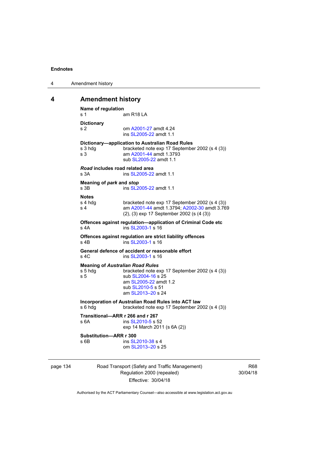| 4 | Amendment history |
|---|-------------------|
|---|-------------------|

# **4 Amendment history**

```
Name of regulation 
s 1 am R18 LA
Dictionary 
s 2 om A2001-27 amdt 4.24
                 ins SL2005-22 amdt 1.1 
Dictionary—application to Australian Road Rules 
s 3 hdg bracketed note exp 17 September 2002 (s 4 (3))
s 3 am A2001-44 amdt 1.3793 
                 sub SL2005-22 amdt 1.1 
Road includes road related area 
s 3A ins SL2005-22 amdt 1.1
Meaning of park and stop
s 3B ins SL2005-22 amdt 1.1
Notes 
s 4 hdg bracketed note exp 17 September 2002 (s 4 (3))<br>s 4 am A2001-44 amdt 1.3794: A2002-30 amdt 3.76
                A2001-44 A2002-30 amdt 3.769
                (2), (3) exp 17 September 2002 (s (4 (3)) 
Offences against regulation—application of Criminal Code etc 
s 4A ins SL2003-1 s 16 
Offences against regulation are strict liability offences 
SL2003-1 s 16
General defence of accident or reasonable effort 
SL2003-1 s 16
Meaning of Australian Road Rules
s 5 hdg bracketed note exp 17 September 2002 (s 4 (3)) 
SL2004-16 s 25
                 am SL2005-22 amdt 1.2 
                 sub SL2010-5 s 51 
                 am SL2013–20 s 24 
Incorporation of Australian Road Rules into ACT law 
s 6 hdg bracketed note exp 17 September 2002 (s 4 (3))
Transitional—ARR r 266 and r 267 
s 6A ins SL2010-5 s 52 
                exp 14 March 2011 (s 6A (2)) 
Substitution—ARR r 300 
SL2010-38 s 4
                 om SL2013–20 s 25
```
page 134 Road Transport (Safety and Traffic Management) Regulation 2000 (repealed) Effective: 30/04/18

R68 30/04/18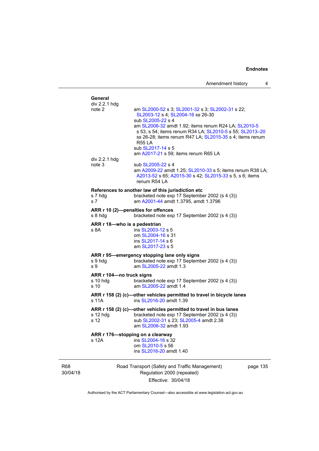|                    | ins SL2016-20 amdt 1.40                                                                                                                                                                                                                                                                                              |
|--------------------|----------------------------------------------------------------------------------------------------------------------------------------------------------------------------------------------------------------------------------------------------------------------------------------------------------------------|
| s 12A              | ARR r 176-stopping on a clearway<br>ins SL2004-16 s 32<br>om SL2010-5 s 56                                                                                                                                                                                                                                           |
| $s$ 12 hdg<br>s 12 | ARR r 158 (2) (c)-other vehicles permitted to travel in bus lanes<br>bracketed note exp 17 September 2002 (s 4 (3))<br>sub SL2002-31 s 23; SL2005-4 amdt 2.38<br>am SL2006-32 amdt 1.93                                                                                                                              |
| $s$ 11 $A$         | ARR r 158 (2) (c)-other vehicles permitted to travel in bicycle lanes<br>ins SL2016-20 amdt 1.39                                                                                                                                                                                                                     |
| $s$ 10 hdg<br>s 10 | ARR r 104-no truck signs<br>bracketed note exp 17 September 2002 (s 4 (3))<br>am SL2005-22 amdt 1.4                                                                                                                                                                                                                  |
| s 9 hdg<br>s 9     | ARR r 95-emergency stopping lane only signs<br>bracketed note exp 17 September 2002 (s 4 (3))<br>am SL2005-22 amdt 1.3                                                                                                                                                                                               |
| s 8A               | ARR r 18-who is a pedestrian<br>ins SL2003-12 s 5<br>om SL2004-16 s 31<br>ins SL2017-14 s 6<br>am SL2017-23 s 5                                                                                                                                                                                                      |
| s 8 hdg            | ARR r 10 (2)-penalties for offences<br>bracketed note exp 17 September 2002 (s 4 (3))                                                                                                                                                                                                                                |
| s 7 hdg<br>s 7     | References to another law of this jurisdiction etc<br>bracketed note exp 17 September 2002 (s 4 (3))<br>am A2001-44 amdt 1.3795, amdt 1.3796                                                                                                                                                                         |
| note 3             | sub SL2005-22 s 4<br>am A2009-22 amdt 1.25; SL2010-33 s 5; items renum R38 LA;<br>A2013-52 s 65; A2015-30 s 42; SL2015-33 s 5, s 6; items<br>renum R54 LA                                                                                                                                                            |
| div 2.2.1 hdg      | SL2003-12 s 4; SL2004-16 ss 26-30<br>sub SL2005-22 s 4<br>am SL2006-32 amdt 1.92; items renum R24 LA; SL2010-5<br>s 53, s 54; items renum R34 LA; SL2010-5 s 55; SL2013-20<br>ss 26-28; items renum R47 LA; SL2015-35 s 4; items renum<br><b>R55 LA</b><br>sub SL2017-14 s 5<br>am A2017-21 s 59; items renum R65 LA |
| note 2             | am SL2000-52 s 3; SL2001-32 s 3; SL2002-31 s 22;                                                                                                                                                                                                                                                                     |

R68 30/04/18

Regulation 2000 (repealed) Effective: 30/04/18

 $5<sup>5</sup>$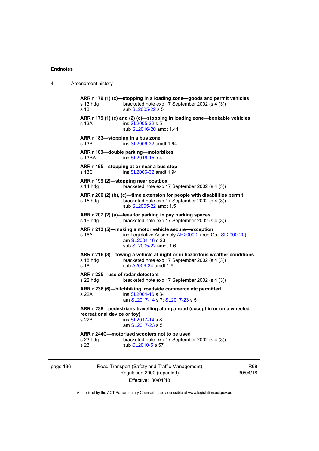| 4 | Amendment history                                                                                                                                                           |  |  |
|---|-----------------------------------------------------------------------------------------------------------------------------------------------------------------------------|--|--|
|   | ARR r 179 (1) (c)-stopping in a loading zone-goods and permit vehicles<br>bracketed note exp 17 September 2002 (s 4 (3))<br>s 13 hda<br>s 13<br>sub SL2005-22 s 5           |  |  |
|   | ARR r 179 (1) (c) and (2) (c)-stopping in loading zone-bookable vehicles<br>ins SL2005-22 s 5<br>s 13A<br>sub SL2016-20 amdt 1.41                                           |  |  |
|   | ARR r 183-stopping in a bus zone<br>ins SL2006-32 amdt 1.94<br>s 13B                                                                                                        |  |  |
|   | ARR r 189-double parking-motorbikes<br>s 13BA<br>ins SL2016-15 s 4                                                                                                          |  |  |
|   | ARR r 195—stopping at or near a bus stop<br>ins SL2006-32 amdt 1.94<br>s 13C                                                                                                |  |  |
|   | ARR r 199 (2)-stopping near postbox<br>bracketed note exp 17 September 2002 (s 4 (3))<br>s 14 hdg                                                                           |  |  |
|   | ARR r 206 (2) (b), (c)-time extension for people with disabilities permit<br>bracketed note exp 17 September 2002 (s 4 (3))<br>s 15 hdg<br>sub SL2005-22 amdt 1.5           |  |  |
|   | ARR r 207 (2) (a)-fees for parking in pay parking spaces<br>bracketed note exp 17 September 2002 (s 4 (3))<br>s 16 hdg                                                      |  |  |
|   | ARR r 213 (5)-making a motor vehicle secure-exception<br>ins Legislative Assembly AR2000-2 (see Gaz SL2000-20)<br>s 16A<br>am SL2004-16 s 33<br>sub SL2005-22 amdt 1.6      |  |  |
|   | ARR r 216 (3)-towing a vehicle at night or in hazardous weather conditions<br>bracketed note exp 17 September 2002 (s 4 (3))<br>$s$ 18 hdg<br>sub A2009-34 amdt 1.6<br>s 18 |  |  |
|   | ARR r 225-use of radar detectors<br>bracketed note exp 17 September 2002 (s 4 (3))<br>s 22 hdg                                                                              |  |  |
|   | ARR r 236 (6)-hitchhiking, roadside commerce etc permitted<br>ins SL2004-16 s 34<br>s 22A<br>am SL2017-14 s 7; SL2017-23 s 5                                                |  |  |
|   | ARR r 238-pedestrians travelling along a road (except in or on a wheeled<br>recreational device or toy)<br>ins SL2017-14 s 8<br>s 22B<br>am SL2017-23 s 5                   |  |  |
|   | ARR r 244C-motorised scooters not to be used<br>bracketed note exp 17 September 2002 (s 4 (3))<br>s 23 hdg<br>s 23<br>sub SL2010-5 s 57                                     |  |  |
|   |                                                                                                                                                                             |  |  |

page 136 Road Transport (Safety and Traffic Management) Regulation 2000 (repealed) Effective: 30/04/18

R68 30/04/18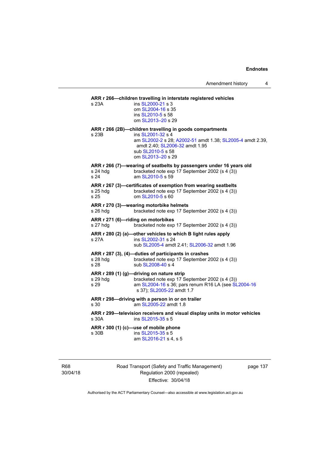**ARR r 266—children travelling in interstate registered vehicles**  s 23A ins [SL2000-21](http://www.legislation.act.gov.au/sl/2000-21) s 3 om [SL2004-16](http://www.legislation.act.gov.au/sl/2004-16) s 35 ins [SL2010-5](http://www.legislation.act.gov.au/sl/2010-5) s 58 om [SL2013–20](http://www.legislation.act.gov.au/sl/2013-20) s 29 **ARR r 266 (2B)—children travelling in goods compartments**  s 23B ins [SL2001-32](http://www.legislation.act.gov.au/sl/2001-32) s 4 am [SL2002-2](http://www.legislation.act.gov.au/sl/2002-2) s 28; [A2002-51](http://www.legislation.act.gov.au/a/2002-51) amdt 1.38; [SL2005-4](http://www.legislation.act.gov.au/sl/2005-4) amdt 2.39, amdt 2.40; [SL2006-32](http://www.legislation.act.gov.au/sl/2006-32) amdt 1.95 sub [SL2010-5](http://www.legislation.act.gov.au/sl/2010-5) s 58 om [SL2013–20](http://www.legislation.act.gov.au/sl/2013-20) s 29 **ARR r 266 (7)—wearing of seatbelts by passengers under 16 years old**  s 24 hdg bracketed note exp 17 September 2002 (s 4 (3))<br>s 24 **am SL2010-5 s 59** am [SL2010-5](http://www.legislation.act.gov.au/sl/2010-5) s 59 **ARR r 267 (3)—certificates of exemption from wearing seatbelts**  s 25 hdg bracketed note exp 17 September 2002 (s 4 (3)) s 25 om [SL2010-5](http://www.legislation.act.gov.au/sl/2010-5) s 60 **ARR r 270 (3)—wearing motorbike helmets**  s 26 hdg bracketed note exp 17 September 2002 (s 4 (3)) **ARR r 271 (6)—riding on motorbikes**  s 27 hdg bracketed note exp 17 September 2002 (s 4 (3)) **ARR r 280 (2) (a)—other vehicles to which B light rules apply**  s 27A **ins [SL2002-31](http://www.legislation.act.gov.au/sl/2002-31) s 24**  sub [SL2005-4](http://www.legislation.act.gov.au/sl/2005-4) amdt 2.41; [SL2006-32](http://www.legislation.act.gov.au/sl/2006-32) amdt 1.96 **ARR r 287 (3), (4)—duties of participants in crashes**  s 28 hdg bracketed note exp 17 September 2002 (s 4 (3)) s 28 sub [SL2008-40](http://www.legislation.act.gov.au/sl/2008-40) s 4 **ARR r 289 (1) (g)—driving on nature strip**  s 29 hdg<br>s 29 **https://www.pracketed note exp 17 September 2002 (s 4 (3))**<br>s 29 **htms:** am SL2004-16 s 36; pars renum R16 LA (see SL am [SL2004-16](http://www.legislation.act.gov.au/sl/2004-16) s 36; pars renum R16 LA (see [SL2004-16](http://www.legislation.act.gov.au/sl/2004-16) s 37); [SL2005-22](http://www.legislation.act.gov.au/sl/2005-22) amdt 1.7 **ARR r 298—driving with a person in or on trailer**  s 30 am [SL2005-22](http://www.legislation.act.gov.au/sl/2005-22) amdt 1.8 **ARR r 299—television receivers and visual display units in motor vehicles**  s 30A ins [SL2015-35](http://www.legislation.act.gov.au/sl/2015-35) s 5 **ARR r 300 (1) (c)—use of mobile phone**  s 30B ins [SL2015-35](http://www.legislation.act.gov.au/sl/2015-35) s 5 am [SL2016-21](http://www.legislation.act.gov.au/sl/2016-21/default.asp) s 4, s 5

R68 30/04/18 Road Transport (Safety and Traffic Management) Regulation 2000 (repealed) Effective: 30/04/18

page 137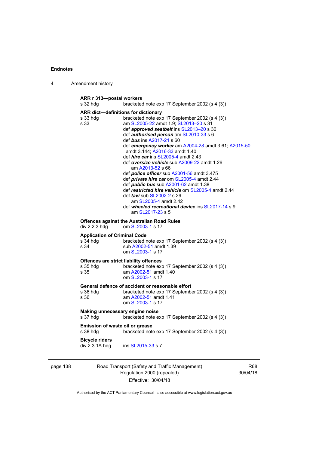| 4 | Amendment history |
|---|-------------------|
|---|-------------------|

**ARR r 313—postal workers**  s 32 hdg bracketed note exp 17 September 2002 (s 4 (3)) **ARR dict—definitions for dictionary**  bracketed note  $\exp$  17 September 2002 (s 4 (3)) s 33 **am [SL2005-22](http://www.legislation.act.gov.au/sl/2005-22) amdt 1.9; [SL2013–20](http://www.legislation.act.gov.au/sl/2013-20) s 31**  def *approved seatbelt* ins [SL2013–20](http://www.legislation.act.gov.au/sl/2013-20) s 30 def *authorised person* am [SL2010-33](http://www.legislation.act.gov.au/sl/2010-33) s 6 def *bus* ins [A2017-21](http://www.legislation.act.gov.au/a/2017-21/default.asp) s 60 def *emergency worker* am [A2004-28](http://www.legislation.act.gov.au/a/2004-28) amdt 3.61; [A2015-50](http://www.legislation.act.gov.au/a/2015-50) amdt 3.144; [A2016-33](http://www.legislation.act.gov.au/a/2016-33/default.asp) amdt 1.40 def *hire car* ins [SL2005-4](http://www.legislation.act.gov.au/sl/2005-4) amdt 2.43 def *oversize vehicle* sub [A2009-22](http://www.legislation.act.gov.au/a/2009-22) amdt 1.26 am [A2013-52](http://www.legislation.act.gov.au/a/2013-52) s 66 def *police officer* sub [A2001-56](http://www.legislation.act.gov.au/a/2001-56) amdt 3.475 def *private hire car* om [SL2005-4](http://www.legislation.act.gov.au/sl/2005-4) amdt 2.44 def *public bus* sub [A2001-62](http://www.legislation.act.gov.au/a/2001-62) amdt 1.38 def *restricted hire vehicle* om [SL2005-4](http://www.legislation.act.gov.au/sl/2005-4) amdt 2.44 def *taxi* sub [SL2002-2](http://www.legislation.act.gov.au/sl/2002-2) s 29 am [SL2005-4](http://www.legislation.act.gov.au/sl/2005-4) amdt 2.42 def *wheeled recreational device* ins [SL2017-14](http://www.legislation.act.gov.au/sl/2017-14/default.asp) s 9 am [SL2017-23](http://www.legislation.act.gov.au/sl/2017-23/default.asp) s 5 **Offences against the Australian Road Rules**  div 2.2.3 hdg om [SL2003-1](http://www.legislation.act.gov.au/sl/2003-1) s 17 **Application of Criminal Code**  s 34 hdg bracketed note exp 17 September 2002 (s 4 (3)) s 34 sub [A2002-51](http://www.legislation.act.gov.au/a/2002-51) amdt 1.39 om [SL2003-1](http://www.legislation.act.gov.au/sl/2003-1) s 17 **Offences are strict liability offences**<br>s 35 hdg bracketed note exp bracketed note exp 17 September 2002 (s 4 (3)) s 35 am [A2002-51](http://www.legislation.act.gov.au/a/2002-51) amdt 1.40 om [SL2003-1](http://www.legislation.act.gov.au/sl/2003-1) s 17 **General defence of accident or reasonable effort**  s 36 hdg bracketed note exp 17 September 2002 (s 4 (3))<br>s 36  $\frac{\text{am }A2002-51 \text{ amdt }1.41}$ am [A2002-51](http://www.legislation.act.gov.au/a/2002-51) amdt 1.41 om [SL2003-1](http://www.legislation.act.gov.au/sl/2003-1) s 17 **Making unnecessary engine noise**  s 37 hdg bracketed note exp 17 September 2002 (s 4 (3)) **Emission of waste oil or grease**  s 38 hdg bracketed note exp 17 September 2002 (s 4 (3)) **Bicycle riders**  div 2.3.1A hdg ins [SL2015-33](http://www.legislation.act.gov.au/sl/2015-33) s 7

| page 138 | Road Transport (Safety and Traffic Management) |
|----------|------------------------------------------------|
|          | Regulation 2000 (repealed)                     |
|          | Effective: 30/04/18                            |

R68 30/04/18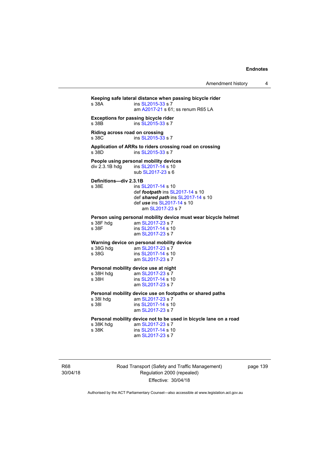Amendment history 4

**Keeping safe lateral distance when passing bicycle rider**  ins [SL2015-33](http://www.legislation.act.gov.au/sl/2015-33) s 7 am [A2017-21](http://www.legislation.act.gov.au/a/2017-21/default.asp) s 61; ss renum R65 LA **Exceptions for passing bicycle rider**  s 38B ins [SL2015-33](http://www.legislation.act.gov.au/sl/2015-33) s 7 **Riding across road on crossing**  s 38C ins [SL2015-33](http://www.legislation.act.gov.au/sl/2015-33) s 7 **Application of ARRs to riders crossing road on crossing**  s 38D ins [SL2015-33](http://www.legislation.act.gov.au/sl/2015-33) s 7 **People using personal mobility devices**  div 2.3.1B hdg ins [SL2017-14](http://www.legislation.act.gov.au/sl/2017-14/default.asp) s 10 sub [SL2017-23](http://www.legislation.act.gov.au/sl/2017-23/default.asp) s 6 **Definitions—div 2.3.1B**  s 38E ins [SL2017-14](http://www.legislation.act.gov.au/sl/2017-14/default.asp) s 10 def *footpath* ins [SL2017-14](http://www.legislation.act.gov.au/sl/2017-14/default.asp) s 10 def *shared path* ins [SL2017-14](http://www.legislation.act.gov.au/sl/2017-14/default.asp) s 10 def *use* ins [SL2017-14](http://www.legislation.act.gov.au/sl/2017-14/default.asp) s 10 am [SL2017-23](http://www.legislation.act.gov.au/sl/2017-23/default.asp) s 7 **Person using personal mobility device must wear bicycle helmet**  s 38F hdg am [SL2017-23](http://www.legislation.act.gov.au/sl/2017-23/default.asp) s 7 s 38F ins [SL2017-14](http://www.legislation.act.gov.au/sl/2017-14/default.asp) s 10 am [SL2017-23](http://www.legislation.act.gov.au/sl/2017-23/default.asp) s 7 **Warning device on personal mobility device**<br>s 38G hdg am SL2017-23 s 7 am [SL2017-23](http://www.legislation.act.gov.au/sl/2017-23/default.asp) s 7 s 38G ins [SL2017-14](http://www.legislation.act.gov.au/sl/2017-14/default.asp) s 10 am [SL2017-23](http://www.legislation.act.gov.au/sl/2017-23/default.asp) s 7 **Personal mobility device use at night**<br>s 38H hdg am SL2017-23 s 7 s 38H hdg am [SL2017-23](http://www.legislation.act.gov.au/sl/2017-23/default.asp) s 7<br>s 38H ins SI 2017-14 s 10 ins [SL2017-14](http://www.legislation.act.gov.au/sl/2017-14/default.asp) s 10 am [SL2017-23](http://www.legislation.act.gov.au/sl/2017-23/default.asp) s 7 **Personal mobility device use on footpaths or shared paths**  s 38I hdg am [SL2017-23](http://www.legislation.act.gov.au/sl/2017-23/default.asp) s 7 s 38I ins [SL2017-14](http://www.legislation.act.gov.au/sl/2017-14/default.asp) s 10 am [SL2017-23](http://www.legislation.act.gov.au/sl/2017-23/default.asp) s 7 **Personal mobility device not to be used in bicycle lane on a road**  s 38K hdg am [SL2017-23](http://www.legislation.act.gov.au/sl/2017-23/default.asp) s 7<br>s 38K ins SL2017-14 s 10 ins [SL2017-14](http://www.legislation.act.gov.au/sl/2017-14/default.asp) s 10 am [SL2017-23](http://www.legislation.act.gov.au/sl/2017-23/default.asp) s 7

R68 30/04/18 Road Transport (Safety and Traffic Management) Regulation 2000 (repealed) Effective: 30/04/18

page 139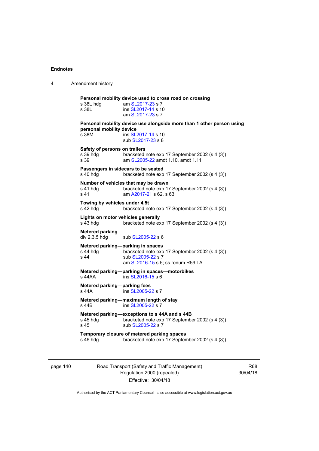4 Amendment history **Personal mobility device used to cross road on crossing**  s 38L hdg am [SL2017-23](http://www.legislation.act.gov.au/sl/2017-23/default.asp) s 7 s 38L ins [SL2017-14](http://www.legislation.act.gov.au/sl/2017-14/default.asp) s 10 am [SL2017-23](http://www.legislation.act.gov.au/sl/2017-23/default.asp) s 7 **Personal mobility device use alongside more than 1 other person using personal mobility device**  s 38M ins [SL2017-14](http://www.legislation.act.gov.au/sl/2017-14/default.asp) s 10 sub [SL2017-23](http://www.legislation.act.gov.au/sl/2017-23/default.asp) s 8 **Safety of persons on trailers**  s 39 hdg bracketed note exp 17 September 2002 (s 4 (3)) s 39 am [SL2005-22](http://www.legislation.act.gov.au/sl/2005-22) amdt 1.10, amdt 1.11 **Passengers in sidecars to be seated<br>s 40 hdg** bracketed note exp bracketed note exp 17 September 2002 (s 4 (3)) **Number of vehicles that may be drawn**<br>s 41 hdg bracketed note exp 1 s 41 hdg bracketed note exp 17 September 2002 (s 4 (3))<br>s 41 **bracketed** note exp 17 September 2002 (s 4 (3)) am [A2017-21](http://www.legislation.act.gov.au/a/2017-21/default.asp) s 62, s 63 **Towing by vehicles under 4.5t**  s 42 hdg bracketed note exp 17 September 2002 (s 4 (3)) **Lights on motor vehicles generally**  s 43 hdg bracketed note exp 17 September 2002 (s 4 (3)) **Metered parking**  div 2.3.5 hdg sub [SL2005-22](http://www.legislation.act.gov.au/sl/2005-22) s 6 **Metered parking—parking in spaces**  bracketed note exp 17 September 2002 (s 4 (3)) s 44 sub [SL2005-22](http://www.legislation.act.gov.au/sl/2005-22) s 7 am [SL2016-15](http://www.legislation.act.gov.au/sl/2016-15) s 5; ss renum R59 LA **Metered parking—parking in spaces—motorbikes**  s 44AA ins [SL2016-15](http://www.legislation.act.gov.au/sl/2016-15) s 6 **Metered parking—parking fees**  s 44A ins [SL2005-22](http://www.legislation.act.gov.au/sl/2005-22) s 7 **Metered parking—maximum length of stay**  s 44B ins [SL2005-22](http://www.legislation.act.gov.au/sl/2005-22) s 7 **Metered parking—exceptions to s 44A and s 44B**  s 45 hdg bracketed note exp 17 September 2002 (s 4 (3))<br>s 45  $\sinh$  SI 2005-22 s 7 sub [SL2005-22](http://www.legislation.act.gov.au/sl/2005-22) s 7 **Temporary closure of metered parking spaces**  s 46 hdg bracketed note exp 17 September 2002 (s 4 (3))

page 140 Road Transport (Safety and Traffic Management) Regulation 2000 (repealed) Effective: 30/04/18

R68 30/04/18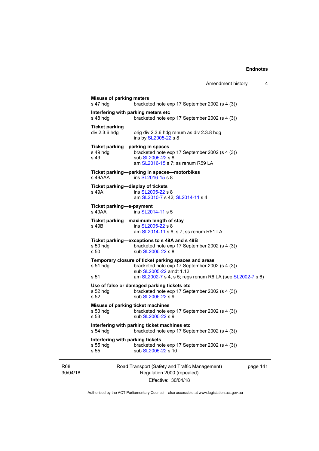|                 | <b>Misuse of parking meters</b><br>s 47 hdg           | bracketed note exp 17 September 2002 (s 4 (3))                                                                                                                                  |         |
|-----------------|-------------------------------------------------------|---------------------------------------------------------------------------------------------------------------------------------------------------------------------------------|---------|
|                 | s 48 hda                                              | Interfering with parking meters etc<br>bracketed note exp 17 September 2002 (s 4 (3))                                                                                           |         |
|                 | <b>Ticket parking</b><br>div 2.3.6 hdg                | orig div 2.3.6 hdg renum as div 2.3.8 hdg<br>ins by SL2005-22 s 8                                                                                                               |         |
|                 | Ticket parking-parking in spaces<br>s 49 hdg<br>s 49  | bracketed note exp 17 September 2002 (s 4 (3))<br>sub SL2005-22 s 8<br>am SL2016-15 s 7; ss renum R59 LA                                                                        |         |
|                 | s 49AAA                                               | Ticket parking-parking in spaces-motorbikes<br>ins SL2016-15 s 8                                                                                                                |         |
|                 | Ticket parking-display of tickets<br>s 49A            | ins SL2005-22 s 8<br>am SL2010-7 s 42; SL2014-11 s 4                                                                                                                            |         |
|                 | Ticket parking-e-payment<br>s 49AA                    | ins SL2014-11 s 5                                                                                                                                                               |         |
|                 | s 49B                                                 | Ticket parking-maximum length of stay<br>ins SL2005-22 s 8<br>am SL2014-11 s 6, s 7; ss renum R51 LA                                                                            |         |
|                 | s 50 hdg<br>s 50                                      | Ticket parking-exceptions to s 49A and s 49B<br>bracketed note exp 17 September 2002 (s 4 (3))<br>sub SL2005-22 s 8                                                             |         |
|                 | s 51 hdg<br>s 51                                      | Temporary closure of ticket parking spaces and areas<br>bracketed note exp 17 September 2002 (s 4 (3))<br>sub SL2005-22 amdt 1.12                                               |         |
|                 | s 52 $hdg$<br>s 52                                    | am SL2002-7 s 4, s 5; regs renum R6 LA (see SL2002-7 s 6)<br>Use of false or damaged parking tickets etc<br>bracketed note exp 17 September 2002 (s 4 (3))<br>sub SL2005-22 s 9 |         |
|                 | Misuse of parking ticket machines<br>s 53 hdg<br>s 53 | bracketed note exp 17 September 2002 (s 4 (3))<br>sub SL2005-22 s 9                                                                                                             |         |
|                 | s 54 hdg                                              | Interfering with parking ticket machines etc<br>bracketed note exp 17 September 2002 (s 4 (3))                                                                                  |         |
|                 | Interfering with parking tickets<br>s 55 hdg<br>s 55  | bracketed note exp 17 September 2002 (s 4 (3))<br>sub SL2005-22 s 10                                                                                                            |         |
| R68<br>30/04/18 |                                                       | Road Transport (Safety and Traffic Management)<br>Regulation 2000 (repealed)                                                                                                    | page 14 |

Effective: 30/04/18

141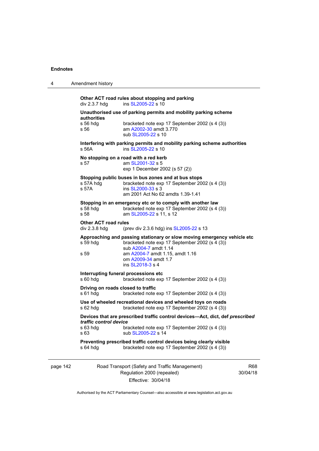| 4        | Amendment history                              |                                                                                                                                                                                                                                   |                 |  |
|----------|------------------------------------------------|-----------------------------------------------------------------------------------------------------------------------------------------------------------------------------------------------------------------------------------|-----------------|--|
|          | div 2.3.7 hdg                                  | Other ACT road rules about stopping and parking<br>ins SL2005-22 s 10                                                                                                                                                             |                 |  |
|          | authorities<br>s 56 hdg<br>s 56                | Unauthorised use of parking permits and mobility parking scheme<br>bracketed note exp 17 September 2002 (s 4 (3))<br>am A2002-30 amdt 3.770<br>sub SL2005-22 s 10                                                                 |                 |  |
|          | s 56A                                          | Interfering with parking permits and mobility parking scheme authorities<br>ins SL2005-22 s 10                                                                                                                                    |                 |  |
|          | s 57                                           | No stopping on a road with a red kerb<br>am SL2001-32 s 5<br>exp 1 December 2002 (s 57 (2))                                                                                                                                       |                 |  |
|          | s 57A hdg<br>s 57A                             | Stopping public buses in bus zones and at bus stops<br>bracketed note exp 17 September 2002 (s 4 (3))<br>ins SL2000-33 s 3<br>am 2001 Act No 62 amdts 1.39-1.41                                                                   |                 |  |
|          | $s$ 58 hdg<br>s 58                             | Stopping in an emergency etc or to comply with another law<br>bracketed note exp 17 September 2002 (s 4 (3))<br>am SL2005-22 s 11, s 12                                                                                           |                 |  |
|          | <b>Other ACT road rules</b><br>div 2.3.8 hdg   | (prev div 2.3.6 hdg) ins SL2005-22 s 13                                                                                                                                                                                           |                 |  |
|          | s 59 hdg<br>s 59                               | Approaching and passing stationary or slow moving emergency vehicle etc<br>bracketed note exp 17 September 2002 (s 4 (3))<br>sub A2004-7 amdt 1.14<br>am A2004-7 amdt 1.15, amdt 1.16<br>om A2009-34 amdt 1.7<br>ins SL2018-3 s 4 |                 |  |
|          | s 60 hdg                                       | Interrupting funeral processions etc<br>bracketed note exp 17 September 2002 (s 4 (3))                                                                                                                                            |                 |  |
|          | Driving on roads closed to traffic<br>s 61 hdg | bracketed note exp 17 September 2002 (s 4 (3))                                                                                                                                                                                    |                 |  |
|          | $s$ 62 hdg                                     | Use of wheeled recreational devices and wheeled toys on roads<br>bracketed note exp 17 September 2002 (s 4 (3))                                                                                                                   |                 |  |
|          | traffic control device<br>s 63 hdg<br>s 63     | Devices that are prescribed traffic control devices-Act, dict, def prescribed<br>bracketed note exp 17 September 2002 (s 4 (3))<br>sub SL2005-22 s 14                                                                             |                 |  |
|          | $s$ 64 hdg                                     | Preventing prescribed traffic control devices being clearly visible<br>bracketed note exp 17 September 2002 (s 4 (3))                                                                                                             |                 |  |
| page 142 |                                                | Road Transport (Safety and Traffic Management)<br>Regulation 2000 (repealed)                                                                                                                                                      | R68<br>30/04/18 |  |

Effective: 30/04/18 Authorised by the ACT Parliamentary Counsel—also accessible at www.legislation.act.gov.au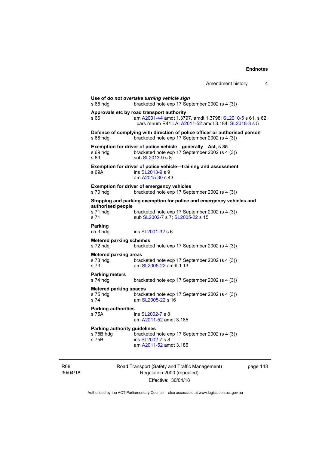|                                                    |                                                                                                                                                                 | Amendment history | 4 |
|----------------------------------------------------|-----------------------------------------------------------------------------------------------------------------------------------------------------------------|-------------------|---|
| s 65 hdg                                           | Use of do not overtake turning vehicle sign<br>bracketed note exp 17 September 2002 (s 4 (3))                                                                   |                   |   |
| s 66                                               | Approvals etc by road transport authority<br>am A2001-44 amdt 1.3797, amdt 1.3798; SL2010-5 s 61, s 62;<br>pars renum R41 LA; A2011-52 amdt 3.184; SL2018-3 s 5 |                   |   |
| s 68 hdg                                           | Defence of complying with direction of police officer or authorised person<br>bracketed note exp 17 September 2002 (s 4 (3))                                    |                   |   |
| s 69 hdg<br>s 69                                   | Exemption for driver of police vehicle-generally-Act, s 35<br>bracketed note exp 17 September 2002 (s 4 (3))<br>sub SL2013-9 s 8                                |                   |   |
| s 69A                                              | Exemption for driver of police vehicle-training and assessment<br>ins SL2013-9 s 9<br>am A2015-30 s 43                                                          |                   |   |
| s 70 hdg                                           | <b>Exemption for driver of emergency vehicles</b><br>bracketed note exp 17 September 2002 (s 4 (3))                                                             |                   |   |
| authorised people<br>s 71 hdg<br>s 71              | Stopping and parking exemption for police and emergency vehicles and<br>bracketed note exp 17 September 2002 (s 4 (3))<br>sub SL2002-7 s 7; SL2005-22 s 15      |                   |   |
| Parking<br>ch 3 hdg                                | ins SL2001-32 s 6                                                                                                                                               |                   |   |
| <b>Metered parking schemes</b><br>s 72 hdg         | bracketed note exp 17 September 2002 (s 4 (3))                                                                                                                  |                   |   |
| <b>Metered parking areas</b><br>s 73 hdg<br>s 73   | bracketed note exp 17 September 2002 (s 4 (3))<br>am SL2005-22 amdt 1.13                                                                                        |                   |   |
| <b>Parking meters</b><br>s 74 hdg                  | bracketed note exp 17 September 2002 (s 4 (3))                                                                                                                  |                   |   |
| <b>Metered parking spaces</b><br>s 75 hdg<br>s 74  | bracketed note exp 17 September 2002 (s 4 (3))<br>am SL2005-22 s 16                                                                                             |                   |   |
| <b>Parking authorities</b><br>s 75A                | ins SL2002-7 s 8<br>am A2011-52 amdt 3.185                                                                                                                      |                   |   |
| Parking authority guidelines<br>s 75B hdg<br>s 75B | bracketed note exp 17 September 2002 (s 4 (3))<br>ins SL2002-7 s 8<br>am A2011-52 amdt 3.186                                                                    |                   |   |

R68 30/04/18 Road Transport (Safety and Traffic Management) Regulation 2000 (repealed) Effective: 30/04/18

page 143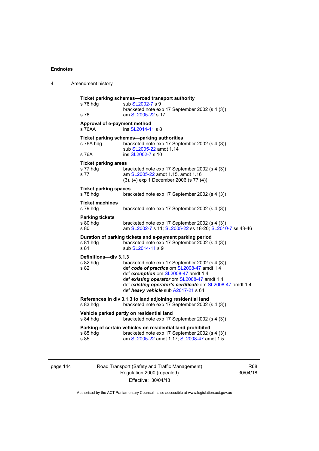| 4 | Amendment history                          |                                                                                                                                                                                                                                                                                        |  |
|---|--------------------------------------------|----------------------------------------------------------------------------------------------------------------------------------------------------------------------------------------------------------------------------------------------------------------------------------------|--|
|   | s 76 hdg<br>s 76                           | Ticket parking schemes—road transport authority<br>sub SL2002-7 s 9<br>bracketed note exp 17 September 2002 (s 4 (3))<br>am SL2005-22 s 17                                                                                                                                             |  |
|   | Approval of e-payment method<br>s 76AA     | ins SL2014-11 s 8                                                                                                                                                                                                                                                                      |  |
|   | s 76A hdg<br>s 76A                         | Ticket parking schemes-parking authorities<br>bracketed note exp 17 September 2002 (s 4 (3))<br>sub SL2005-22 amdt 1.14<br>ins SL2002-7 s 10                                                                                                                                           |  |
|   | Ticket parking areas<br>s 77 hdg<br>s 77   | bracketed note exp 17 September 2002 (s 4 (3))<br>am SL2005-22 amdt 1.15, amdt 1.16<br>(3), (4) exp 1 December 2006 (s 77 (4))                                                                                                                                                         |  |
|   | <b>Ticket parking spaces</b><br>s 78 hdg   | bracketed note exp 17 September 2002 (s 4 (3))                                                                                                                                                                                                                                         |  |
|   | <b>Ticket machines</b><br>s 79 hdg         | bracketed note exp 17 September 2002 (s 4 (3))                                                                                                                                                                                                                                         |  |
|   | <b>Parking tickets</b><br>s 80 hdg<br>s 80 | bracketed note exp 17 September 2002 (s 4 (3))<br>am SL2002-7 s 11; SL2005-22 ss 18-20; SL2010-7 ss 43-46                                                                                                                                                                              |  |
|   | s 81 hdg<br>s 81                           | Duration of parking tickets and e-payment parking period<br>bracketed note exp 17 September 2002 (s 4 (3))<br>sub SL2014-11 s 9                                                                                                                                                        |  |
|   | Definitions-div 3.1.3<br>s 82 hdg<br>s 82  | bracketed note exp 17 September 2002 (s 4 (3))<br>def code of practice om SL2008-47 amdt 1.4<br>def exemption om SL2008-47 amdt 1.4<br>def existing operator om SL2008-47 amdt 1.4<br>def existing operator's certificate om SL2008-47 amdt 1.4<br>def heavy vehicle sub A2017-21 s 64 |  |
|   | s 83 hdg                                   | References in div 3.1.3 to land adjoining residential land<br>bracketed note exp 17 September 2002 (s 4 (3))                                                                                                                                                                           |  |
|   | s 84 hdg                                   | Vehicle parked partly on residential land<br>bracketed note exp 17 September 2002 (s 4 (3))                                                                                                                                                                                            |  |
|   | s 85 hdg<br>s 85                           | Parking of certain vehicles on residential land prohibited<br>bracketed note exp 17 September 2002 (s 4 (3))<br>am SL2005-22 amdt 1.17; SL2008-47 amdt 1.5                                                                                                                             |  |

page 144 Road Transport (Safety and Traffic Management) Regulation 2000 (repealed) Effective: 30/04/18

R68 30/04/18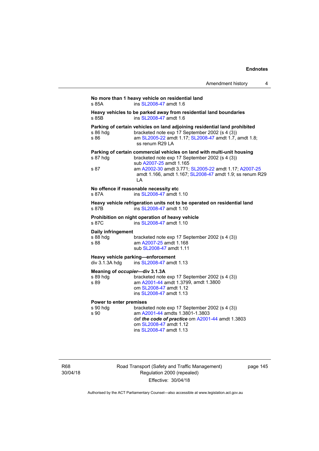| s 85A                                       | No more than 1 heavy vehicle on residential land<br>ins SL2008-47 amdt 1.6                                                                                                                                                                                                     |
|---------------------------------------------|--------------------------------------------------------------------------------------------------------------------------------------------------------------------------------------------------------------------------------------------------------------------------------|
| s 85B                                       | Heavy vehicles to be parked away from residential land boundaries<br>ins SL2008-47 amdt 1.6                                                                                                                                                                                    |
| s 86 hdg<br>s 86                            | Parking of certain vehicles on land adjoining residential land prohibited<br>bracketed note exp 17 September 2002 (s 4 (3))<br>am SL2005-22 amdt 1.17; SL2008-47 amdt 1.7, amdt 1.8;<br>ss renum R29 LA                                                                        |
| s 87 hdg<br>s 87                            | Parking of certain commercial vehicles on land with multi-unit housing<br>bracketed note exp 17 September 2002 (s 4 (3))<br>sub A2007-25 amdt 1.165<br>am A2002-30 amdt 3.771; SL2005-22 amdt 1.17; A2007-25<br>amdt 1.166, amdt 1.167; SL2008-47 amdt 1.9; ss renum R29<br>LA |
| s 87A                                       | No offence if reasonable necessity etc<br>ins SL2008-47 amdt 1.10                                                                                                                                                                                                              |
| s 87B                                       | Heavy vehicle refrigeration units not to be operated on residential land<br>ins SL2008-47 amdt 1.10                                                                                                                                                                            |
| s 87C                                       | Prohibition on night operation of heavy vehicle<br>ins SL2008-47 amdt 1.10                                                                                                                                                                                                     |
| Daily infringement<br>s 88 hdg<br>s 88      | bracketed note exp 17 September 2002 (s 4 (3))<br>am A2007-25 amdt 1.168<br>sub SL2008-47 amdt 1.11                                                                                                                                                                            |
| div 3.1.3A hdg                              | Heavy vehicle parking-enforcement<br>ins SL2008-47 amdt 1.13                                                                                                                                                                                                                   |
| s 89 hdg<br>s 89                            | Meaning of occupier-div 3.1.3A<br>bracketed note exp 17 September 2002 (s 4 (3))<br>am A2001-44 amdt 1.3799, amdt 1.3800<br>om SL2008-47 amdt 1.12<br>ins SL2008-47 amdt 1.13                                                                                                  |
| Power to enter premises<br>s 90 hdg<br>s 90 | bracketed note exp 17 September 2002 (s 4 (3))<br>am A2001-44 amdts 1.3801-1.3803<br>def the code of practice om A2001-44 amdt 1.3803<br>om SL2008-47 amdt 1.12<br>ins SL2008-47 amdt 1.13                                                                                     |

R68 30/04/18 Road Transport (Safety and Traffic Management) Regulation 2000 (repealed) Effective: 30/04/18

page 145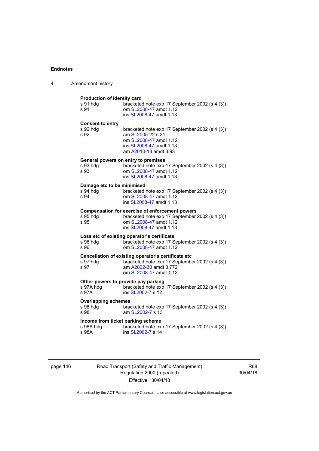| 4 | Amendment history                                                                                                                                                                                |
|---|--------------------------------------------------------------------------------------------------------------------------------------------------------------------------------------------------|
|   | Production of identity card<br>bracketed note exp 17 September 2002 (s 4 (3))<br>s 91 hdg<br>s 91<br>om SL2008-47 amdt 1.12<br>ins SL2008-47 amdt 1.13                                           |
|   | <b>Consent to entry</b><br>s 92 hdg<br>bracketed note exp 17 September 2002 (s 4 (3))<br>s 92<br>am SL2005-22 s 21<br>om SL2008-47 amdt 1.12<br>ins SL2008-47 amdt 1.13<br>am A2010-18 amdt 3.93 |
|   | General powers on entry to premises<br>s 93 hdg<br>bracketed note exp 17 September 2002 (s 4 (3))<br>om SL2008-47 amdt 1.12<br>s 93<br>ins SL2008-47 amdt 1.13                                   |
|   | Damage etc to be minimised<br>s 94 hdg<br>bracketed note exp 17 September 2002 (s 4 (3))<br>s 94<br>om SL2008-47 amdt 1.12<br>ins SL2008-47 amdt 1.13                                            |
|   | <b>Compensation for exercise of enforcement powers</b><br>s 95 hdg<br>bracketed note exp 17 September 2002 (s 4 (3))<br>s 95<br>om SL2008-47 amdt 1.12<br>ins SL2008-47 amdt 1.13                |
|   | Loss etc of existing operator's certificate<br>bracketed note exp 17 September 2002 (s 4 (3))<br>s 96 hdg<br>om SL2008-47 amdt 1.12<br>s 96                                                      |
|   | Cancellation of existing operator's certificate etc<br>bracketed note exp 17 September 2002 (s 4 (3))<br>s 97 hdg<br>s 97<br>am A2002-30 amdt 3.772<br>om SL2008-47 amdt 1.12                    |
|   | Other powers to provide pay parking<br>bracketed note exp 17 September 2002 (s 4 (3))<br>s 97A hdq<br>s 97A<br>ins SL2002-7 s 12                                                                 |
|   | <b>Overlapping schemes</b><br>s 98 hdg<br>bracketed note exp 17 September 2002 (s 4 (3))<br>am SL2002-7 s 13<br>s 98                                                                             |
|   | Income from ticket parking scheme<br>s 98A hdg<br>bracketed note exp 17 September 2002 (s 4 (3))<br>ins SL2002-7 s 14<br>s 98A                                                                   |

page 146 Road Transport (Safety and Traffic Management) Regulation 2000 (repealed) Effective: 30/04/18

R68 30/04/18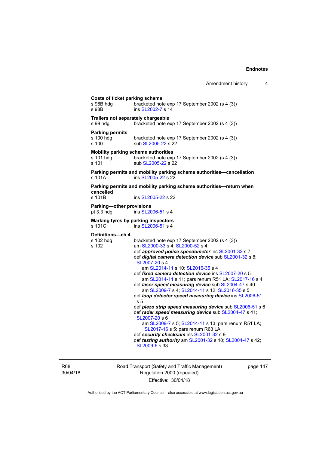| <b>Costs of ticket parking scheme</b><br>bracketed note exp 17 September 2002 (s 4 (3))<br>s 98B hdg<br>ins SL2002-7 s 14<br>s 98B<br>Trailers not separately chargeable<br>bracketed note exp 17 September 2002 (s 4 (3))<br>s 99 hdq<br><b>Parking permits</b><br>s 100 hdg<br>bracketed note exp 17 September 2002 (s 4 (3))<br>s 100<br>sub SL2005-22 s 22<br>Mobility parking scheme authorities<br>bracketed note exp 17 September 2002 (s 4 (3))<br>s 101 hdg<br>s 101<br>sub SL2005-22 s 22<br>Parking permits and mobility parking scheme authorities-cancellation<br>s 101A<br>ins SL2005-22 s 22<br>Parking permits and mobility parking scheme authorities-return when<br>cancelled<br>s 101B<br>ins SL2005-22 s 22<br>Parking-other provisions<br>pt 3.3 hdg<br>ins SL2006-51 s 4<br>Marking tyres by parking inspectors<br>ins SL2006-51 s 4<br>s 101C<br>Definitions-ch 4<br>s 102 hdg<br>bracketed note exp 17 September 2002 (s 4 (3))<br>s 102<br>am SL2000-33 s 4; SL2000-52 s 4<br>def approved police speedometer ins SL2001-32 s 7<br>def digital camera detection device sub SL2001-32 s 8;<br>SL2007-20 s 4<br>am SL2014-11 s 10; SL2016-35 s 4<br>def fixed camera detection device ins SL2007-20 s 5<br>am SL2014-11 s 11; pars renum R51 LA; SL2017-16 s 4<br>def laser speed measuring device sub SL2004-47 s 40<br>am SL2009-7 s 4; SL2014-11 s 12; SL2016-35 s 5<br>def loop detector speed measuring device ins SL2006-51<br>s 5<br>def piezo strip speed measuring device sub SL2006-51 s 6<br>def radar speed measuring device sub SL2004-47 s 41;<br>SL2007-20 s 6<br>am SL2009-7 s 5; SL2014-11 s 13; pars renum R51 LA;<br>SL2017-16 s 5; pars renum R63 LA<br>def security checksum ins SL2001-32 s 9<br>def testing authority am SL2001-32 s 10; SL2004-47 s 42;<br>SL2009-6 s 33 |  |  |
|-------------------------------------------------------------------------------------------------------------------------------------------------------------------------------------------------------------------------------------------------------------------------------------------------------------------------------------------------------------------------------------------------------------------------------------------------------------------------------------------------------------------------------------------------------------------------------------------------------------------------------------------------------------------------------------------------------------------------------------------------------------------------------------------------------------------------------------------------------------------------------------------------------------------------------------------------------------------------------------------------------------------------------------------------------------------------------------------------------------------------------------------------------------------------------------------------------------------------------------------------------------------------------------------------------------------------------------------------------------------------------------------------------------------------------------------------------------------------------------------------------------------------------------------------------------------------------------------------------------------------------------------------------------------------------------------------------------------------------------------------------------------------------------------------------------------------|--|--|
|                                                                                                                                                                                                                                                                                                                                                                                                                                                                                                                                                                                                                                                                                                                                                                                                                                                                                                                                                                                                                                                                                                                                                                                                                                                                                                                                                                                                                                                                                                                                                                                                                                                                                                                                                                                                                         |  |  |
|                                                                                                                                                                                                                                                                                                                                                                                                                                                                                                                                                                                                                                                                                                                                                                                                                                                                                                                                                                                                                                                                                                                                                                                                                                                                                                                                                                                                                                                                                                                                                                                                                                                                                                                                                                                                                         |  |  |
|                                                                                                                                                                                                                                                                                                                                                                                                                                                                                                                                                                                                                                                                                                                                                                                                                                                                                                                                                                                                                                                                                                                                                                                                                                                                                                                                                                                                                                                                                                                                                                                                                                                                                                                                                                                                                         |  |  |
|                                                                                                                                                                                                                                                                                                                                                                                                                                                                                                                                                                                                                                                                                                                                                                                                                                                                                                                                                                                                                                                                                                                                                                                                                                                                                                                                                                                                                                                                                                                                                                                                                                                                                                                                                                                                                         |  |  |
|                                                                                                                                                                                                                                                                                                                                                                                                                                                                                                                                                                                                                                                                                                                                                                                                                                                                                                                                                                                                                                                                                                                                                                                                                                                                                                                                                                                                                                                                                                                                                                                                                                                                                                                                                                                                                         |  |  |
|                                                                                                                                                                                                                                                                                                                                                                                                                                                                                                                                                                                                                                                                                                                                                                                                                                                                                                                                                                                                                                                                                                                                                                                                                                                                                                                                                                                                                                                                                                                                                                                                                                                                                                                                                                                                                         |  |  |
|                                                                                                                                                                                                                                                                                                                                                                                                                                                                                                                                                                                                                                                                                                                                                                                                                                                                                                                                                                                                                                                                                                                                                                                                                                                                                                                                                                                                                                                                                                                                                                                                                                                                                                                                                                                                                         |  |  |
|                                                                                                                                                                                                                                                                                                                                                                                                                                                                                                                                                                                                                                                                                                                                                                                                                                                                                                                                                                                                                                                                                                                                                                                                                                                                                                                                                                                                                                                                                                                                                                                                                                                                                                                                                                                                                         |  |  |
|                                                                                                                                                                                                                                                                                                                                                                                                                                                                                                                                                                                                                                                                                                                                                                                                                                                                                                                                                                                                                                                                                                                                                                                                                                                                                                                                                                                                                                                                                                                                                                                                                                                                                                                                                                                                                         |  |  |
|                                                                                                                                                                                                                                                                                                                                                                                                                                                                                                                                                                                                                                                                                                                                                                                                                                                                                                                                                                                                                                                                                                                                                                                                                                                                                                                                                                                                                                                                                                                                                                                                                                                                                                                                                                                                                         |  |  |

R68 30/04/18 Road Transport (Safety and Traffic Management) Regulation 2000 (repealed) Effective: 30/04/18

page 147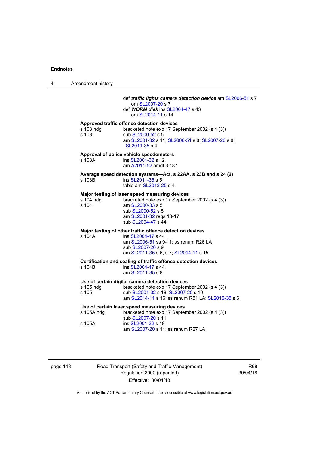4 Amendment history def *traffic lights camera detection device* am [SL2006-51](http://www.legislation.act.gov.au/sl/2006-51) s 7 om [SL2007-20](http://www.legislation.act.gov.au/sl/2007-20) s 7 def *WORM disk* ins [SL2004-47](http://www.legislation.act.gov.au/sl/2004-47) s 43 om [SL2014-11](http://www.legislation.act.gov.au/sl/2014-11) s 14 **Approved traffic offence detection devices**  s 103 hdg bracketed note exp 17 September 2002 (s 4 (3)) s 103 sub [SL2000-52](http://www.legislation.act.gov.au/sl/2000-52) s 5 am [SL2001-32](http://www.legislation.act.gov.au/sl/2001-32) s 11; [SL2006-51](http://www.legislation.act.gov.au/sl/2006-51) s 8; [SL2007-20](http://www.legislation.act.gov.au/sl/2007-20) s 8; [SL2011-35](http://www.legislation.act.gov.au/sl/2011-35) s 4 **Approval of police vehicle speedometers**  s 103A **ins [SL2001-32](http://www.legislation.act.gov.au/sl/2001-32) s 12**  am [A2011-52](http://www.legislation.act.gov.au/a/2011-52) amdt 3.187 **Average speed detection systems—Act, s 22AA, s 23B and s 24 (2)**  s 103B ins [SL2011-35](http://www.legislation.act.gov.au/sl/2011-35) s 5 table am [SL2013-25](http://www.legislation.act.gov.au/sl/2013-25) s 4 **Major testing of laser speed measuring devices**  s 104 hdg bracketed note exp 17 September 2002 (s 4 (3)) s 104 am [SL2000-33](http://www.legislation.act.gov.au/sl/2000-33) s 5 sub [SL2000-52](http://www.legislation.act.gov.au/sl/2000-52) s 5 am [SL2001-32](http://www.legislation.act.gov.au/sl/2001-32) regs 13-17 sub [SL2004-47](http://www.legislation.act.gov.au/sl/2004-47) s 44 **Major testing of other traffic offence detection devices**  s 104A ins [SL2004-47](http://www.legislation.act.gov.au/sl/2004-47) s 44 am [SL2006-51](http://www.legislation.act.gov.au/sl/2006-51) ss 9-11; ss renum R26 LA sub [SL2007-20](http://www.legislation.act.gov.au/sl/2007-20) s 9 am [SL2011-35](http://www.legislation.act.gov.au/sl/2011-35) s 6, s 7; [SL2014-11](http://www.legislation.act.gov.au/sl/2014-11) s 15 **Certification and sealing of traffic offence detection devices**  s 104B ins [SL2004-47](http://www.legislation.act.gov.au/sl/2004-47) s 44 am [SL2011-35](http://www.legislation.act.gov.au/sl/2011-35) s 8 **Use of certain digital camera detection devices**  s 105 hdg bracketed note exp 17 September 2002 (s 4 (3)) s 105 sub [SL2001-32](http://www.legislation.act.gov.au/sl/2001-32) s 18; [SL2007-20](http://www.legislation.act.gov.au/sl/2007-20) s 10 am [SL2014-11](http://www.legislation.act.gov.au/sl/2014-11) s 16; ss renum R51 LA; [SL2016-35](http://www.legislation.act.gov.au/sl/2016-35/default.asp) s 6 **Use of certain laser speed measuring devices**  s 105A hdg bracketed note exp 17 September 2002 (s 4 (3)) sub [SL2007-20](http://www.legislation.act.gov.au/sl/2007-20) s 11 s 105A ins [SL2001-32](http://www.legislation.act.gov.au/sl/2001-32) s 18 am [SL2007-20](http://www.legislation.act.gov.au/sl/2007-20) s 11; ss renum R27 LA

| page 148 |  |  |
|----------|--|--|
|          |  |  |

Road Transport (Safety and Traffic Management) Regulation 2000 (repealed) Effective: 30/04/18

R68 30/04/18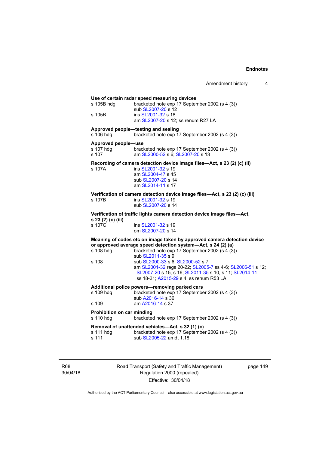| s 105B hdg                                       | bracketed note exp 17 September 2002 (s 4 (3))<br>sub SL2007-20 s 12                                                                                                                                                   |
|--------------------------------------------------|------------------------------------------------------------------------------------------------------------------------------------------------------------------------------------------------------------------------|
| s 105B                                           | ins SL2001-32 s 18<br>am SL2007-20 s 12; ss renum R27 LA                                                                                                                                                               |
| s 106 hdg                                        | Approved people-testing and sealing<br>bracketed note exp 17 September 2002 (s 4 (3))                                                                                                                                  |
| Approved people-use<br>s 107 hdg<br>s 107        | bracketed note exp 17 September 2002 (s 4 (3))<br>am SL2000-52 s 6; SL2007-20 s 13                                                                                                                                     |
| s 107A                                           | Recording of camera detection device image files-Act, s 23 (2) (c) (ii)<br>ins SL2001-32 s 19<br>am SL2004-47 s 45<br>sub SL2007-20 s 14<br>am SL2014-11 s 17                                                          |
| s 107B                                           | Verification of camera detection device image files-Act, s 23 (2) (c) (iii)<br>ins SL2001-32 s 19<br>sub SL2007-20 s 14                                                                                                |
| s 23 (2) (c) (iii)                               | Verification of traffic lights camera detection device image files-Act,                                                                                                                                                |
| s 107C                                           | ins SL2001-32 s 19<br>om SL2007-20 s 14                                                                                                                                                                                |
|                                                  |                                                                                                                                                                                                                        |
| s 108 hdg                                        | Meaning of codes etc on image taken by approved camera detection device<br>or approved average speed detection system-Act, s 24 (2) (a)<br>bracketed note exp 17 September 2002 (s 4 (3))                              |
| s 108                                            | sub SL2011-35 s 9<br>sub SL2000-33 s 6; SL2000-52 s 7<br>am SL2001-32 regs 20-22; SL2005-7 ss 4-6; SL2006-51 s 12;<br>SL2007-20 s 15, s 16; SL2011-35 s 10, s 11; SL2014-11<br>ss 18-21; A2015-29 s 4; ss renum R53 LA |
|                                                  | Additional police powers-removing parked cars                                                                                                                                                                          |
| s 109 hdg                                        | bracketed note exp 17 September 2002 (s 4 (3))<br>sub A2016-14 s 36                                                                                                                                                    |
| s 109<br>Prohibition on car minding<br>s 110 hdg | am A2016-14 s 37<br>bracketed note exp 17 September 2002 (s 4 (3))                                                                                                                                                     |

R68 30/04/18 Road Transport (Safety and Traffic Management) Regulation 2000 (repealed) Effective: 30/04/18

page 149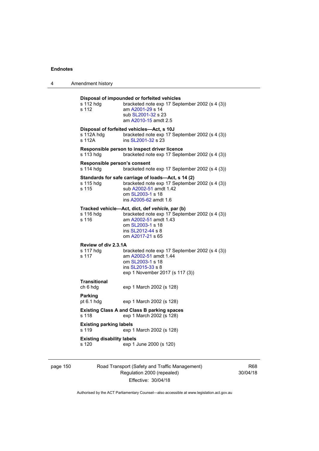| 4 | Amendment history                          |                                                                                                                                                                                         |  |  |
|---|--------------------------------------------|-----------------------------------------------------------------------------------------------------------------------------------------------------------------------------------------|--|--|
|   | s 112 hdg<br>s 112                         | Disposal of impounded or forfeited vehicles<br>bracketed note exp 17 September 2002 (s 4 (3))<br>am A2001-29 s 14<br>sub SL2001-32 s 23<br>am A2010-15 amdt 2.5                         |  |  |
|   | s 112A hdg<br>s 112A                       | Disposal of forfeited vehicles-Act, s 10J<br>bracketed note exp 17 September 2002 (s 4 (3))<br>ins SL2001-32 s 23                                                                       |  |  |
|   | s 113 hdg                                  | Responsible person to inspect driver licence<br>bracketed note exp 17 September 2002 (s 4 (3))                                                                                          |  |  |
|   | Responsible person's consent<br>s 114 hdg  | bracketed note exp 17 September 2002 (s 4 (3))                                                                                                                                          |  |  |
|   | s 115 hdg<br>s 115                         | Standards for safe carriage of loads-Act, s 14 (2)<br>bracketed note exp 17 September 2002 (s 4 (3))<br>sub A2002-51 amdt 1.42<br>om SL2003-1 s 18<br>ins A2005-62 amdt 1.6             |  |  |
|   | s 116 hdg<br>s 116                         | Tracked vehicle-Act, dict, def vehicle, par (b)<br>bracketed note exp 17 September 2002 (s 4 (3))<br>am A2002-51 amdt 1.43<br>om SL2003-1 s 18<br>ins SL2012-44 s 8<br>om A2017-21 s 65 |  |  |
|   | Review of div 2.3.1A<br>s 117 hdg<br>s 117 | bracketed note exp 17 September 2002 (s 4 (3))<br>am A2002-51 amdt 1.44<br>om SL2003-1 s 18<br>ins SL2015-33 s 8<br>exp 1 November 2017 (s 117 (3))                                     |  |  |
|   | Transitional<br>ch 6 hdg                   | exp 1 March 2002 (s 128)                                                                                                                                                                |  |  |
|   | Parking<br>pt $6.1$ hdg                    | exp 1 March 2002 (s 128)                                                                                                                                                                |  |  |
|   | s 118                                      | <b>Existing Class A and Class B parking spaces</b><br>exp 1 March 2002 (s 128)                                                                                                          |  |  |
|   | <b>Existing parking labels</b><br>s 119    | exp 1 March 2002 (s 128)                                                                                                                                                                |  |  |
|   | <b>Existing disability labels</b><br>s 120 | exp 1 June 2000 (s 120)                                                                                                                                                                 |  |  |
|   |                                            |                                                                                                                                                                                         |  |  |

page 150 Road Transport (Safety and Traffic Management) Regulation 2000 (repealed) Effective: 30/04/18

R68 30/04/18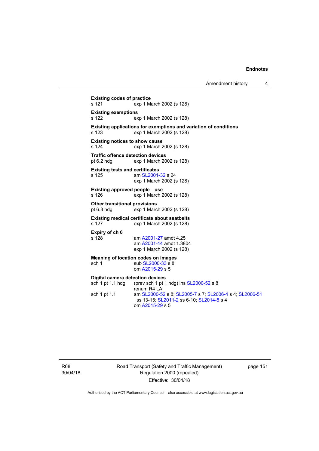Amendment history 4

```
Existing codes of practice 
s 121 exp 1 March 2002 (s 128) 
Existing exemptions 
s 122 exp 1 March 2002 (s 128) 
Existing applications for exemptions and variation of conditions 
s 123 exp 1 March 2002 (s 128) 
Existing notices to show cause 
s 124 exp 1 March 2002 (s 128) 
Traffic offence detection devices<br>pt 6.2 hdg exp 1 March 20
                 exp 1 March 2002 (s 128)
Existing tests and certificates 
SL2001-32 s 24
                 exp 1 March 2002 (s 128) 
Existing approved people—use 
s 126 exp 1 March 2002 (s 128) 
Other transitional provisions<br>pt 6.3 hdg exp 1 Marc
                exp 1 March 2002 (s 128)
Existing medical certificate about seatbelts 
s 127 exp 1 March 2002 (s 128) 
Expiry of ch 6 
                 A2001-27 amdt 4.25
                  am A2001-44 amdt 1.3804 
                 exp 1 March 2002 (s 128) 
Meaning of location codes on images 
 SL2000-33 s 8
                  om A2015-29 s 5 
Digital camera detection devices 
 SL2000-52 s 8
                 renum R4 LA 
sch 1 pt 1.1 am SL2000-52 s 8; SL2005-7 s 7; SL2006-4 s 4; SL2006-51
                  ss 13-15; SL2011-2 ss 6-10; SL2014-5 s 4 
                  om A2015-29 s 5
```
R68 30/04/18 Road Transport (Safety and Traffic Management) Regulation 2000 (repealed) Effective: 30/04/18

page 151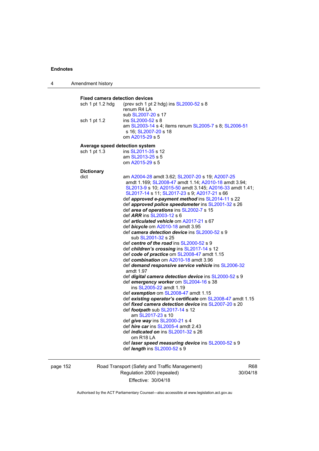4 Amendment history

**Fixed camera detection devices**  sch 1 pt 1.2 hdg (prev sch 1 pt 2 hdg) ins [SL2000-52](http://www.legislation.act.gov.au/sl/2000-52) s 8 renum R4 LA sub [SL2007-20](http://www.legislation.act.gov.au/sl/2007-20) s 17<br>sch 1 pt 1.2 ins SL2000-52 s 8 ins [SL2000-52](http://www.legislation.act.gov.au/sl/2000-52) s 8 am [SL2003-14](http://www.legislation.act.gov.au/sl/2003-14) s 4; items renum [SL2005-7](http://www.legislation.act.gov.au/sl/2005-7) s 8; [SL2006-51](http://www.legislation.act.gov.au/sl/2006-51) s 16; [SL2007-20](http://www.legislation.act.gov.au/sl/2007-20) s 18 om [A2015-29](http://www.legislation.act.gov.au/a/2015-29) s 5 **Average speed detection system**  sch 1 pt 1.3 ins [SL2011-35](http://www.legislation.act.gov.au/sl/2011-35) s 12 am [SL2013-25](http://www.legislation.act.gov.au/sl/2013-25) s 5 om [A2015-29](http://www.legislation.act.gov.au/a/2015-29) s 5 **Dictionary**  dict am [A2004-28](http://www.legislation.act.gov.au/a/2004-28) amdt 3.62; [SL2007-20](http://www.legislation.act.gov.au/sl/2007-20) s 19; [A2007-25](http://www.legislation.act.gov.au/a/2007-25) amdt 1.169; [SL2008-47](http://www.legislation.act.gov.au/sl/2008-47) amdt 1.14; [A2010-18](http://www.legislation.act.gov.au/a/2010-18) amdt 3.94; [SL2013-9](http://www.legislation.act.gov.au/sl/2013-9/default.asp) s 10; [A2015-50](http://www.legislation.act.gov.au/a/2015-50) amdt 3.145; [A2016-33](http://www.legislation.act.gov.au/a/2016-33/default.asp) amdt 1.41; [SL2017-14](http://www.legislation.act.gov.au/sl/2017-14/default.asp) s 11; [SL2017-23](http://www.legislation.act.gov.au/sl/2017-23/default.asp) s 9; [A2017-21](http://www.legislation.act.gov.au/a/2017-21/default.asp) s 66 def *approved e-payment method* ins [SL2014-11](http://www.legislation.act.gov.au/sl/2014-11) s 22 def *approved police speedometer* ins [SL2001-32](http://www.legislation.act.gov.au/sl/2001-32) s 26 def *area of operations* ins [SL2002-7](http://www.legislation.act.gov.au/sl/2002-7) s 15 def *ARR* ins [SL2003-12](http://www.legislation.act.gov.au/sl/2003-12) s 6 def *articulated vehicle* om [A2017-21](http://www.legislation.act.gov.au/a/2017-21/default.asp) s 67 def *bicycle* om [A2010-18](http://www.legislation.act.gov.au/a/2010-18) amdt 3.95 def *camera detection device* ins [SL2000-52](http://www.legislation.act.gov.au/sl/2000-52) s 9 sub [SL2001-32](http://www.legislation.act.gov.au/sl/2001-32) s 25 def *centre of the road* ins [SL2000-52](http://www.legislation.act.gov.au/sl/2000-52) s 9 def *children's crossing* ins [SL2017-14](http://www.legislation.act.gov.au/sl/2017-14/default.asp) s 12 def *code of practice* om [SL2008-47](http://www.legislation.act.gov.au/sl/2008-47) amdt 1.15 def *combination* om [A2010-18](http://www.legislation.act.gov.au/a/2010-18) amdt 3.96 def *demand responsive service vehicle* ins [SL2006-32](http://www.legislation.act.gov.au/sl/2006-32) amdt 1.97 def *digital camera detection device* ins [SL2000-52](http://www.legislation.act.gov.au/sl/2000-52) s 9 def *emergency worker* om [SL2004-16](http://www.legislation.act.gov.au/sl/2004-16) s 38 ins [SL2005-22](http://www.legislation.act.gov.au/sl/2005-22) amdt 1.19 def *exemption* om [SL2008-47](http://www.legislation.act.gov.au/sl/2008-47) amdt 1.15 def *existing operator's certificate* om [SL2008-47](http://www.legislation.act.gov.au/sl/2008-47) amdt 1.15 def *fixed camera detection device* ins [SL2007-20](http://www.legislation.act.gov.au/sl/2007-20) s 20 def *footpath* sub [SL2017-14](http://www.legislation.act.gov.au/sl/2017-14/default.asp) s 12 am [SL2017-23](http://www.legislation.act.gov.au/sl/2017-23/default.asp) s 10 def *give way* ins [SL2000-21](http://www.legislation.act.gov.au/sl/2000-21) s 4 def *hire car* ins [SL2005-4](http://www.legislation.act.gov.au/sl/2005-4) amdt 2.43 def *indicated on* ins [SL2001-32](http://www.legislation.act.gov.au/sl/2001-32) s 26 om R18 LA def *laser speed measuring device* ins [SL2000-52](http://www.legislation.act.gov.au/sl/2000-52) s 9 def *length* ins [SL2000-52](http://www.legislation.act.gov.au/sl/2000-52) s 9

page 152 Road Transport (Safety and Traffic Management) Regulation 2000 (repealed) Effective: 30/04/18

R68 30/04/18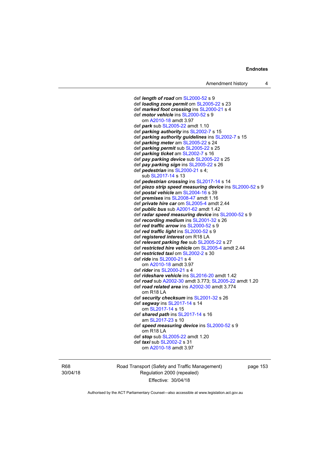def *length of road* om [SL2000-52](http://www.legislation.act.gov.au/sl/2000-52) s 9 def *loading zone permit* om [SL2005-22](http://www.legislation.act.gov.au/sl/2005-22) s 23 def *marked foot crossing* ins [SL2000-21](http://www.legislation.act.gov.au/sl/2000-21) s 4 def *motor vehicle* ins [SL2000-52](http://www.legislation.act.gov.au/sl/2000-52) s 9 om [A2010-18](http://www.legislation.act.gov.au/a/2010-18) amdt 3.97 def *park* sub [SL2005-22](http://www.legislation.act.gov.au/sl/2005-22) amdt 1.10 def *parking authority* ins [SL2002-7](http://www.legislation.act.gov.au/sl/2002-7) s 15 def *parking authority guidelines* ins [SL2002-7](http://www.legislation.act.gov.au/sl/2002-7) s 15 def *parking meter* am [SL2005-22](http://www.legislation.act.gov.au/sl/2005-22) s 24 def *parking permit* sub [SL2005-22](http://www.legislation.act.gov.au/sl/2005-22) s 25 def *parking ticket* am [SL2002-7](http://www.legislation.act.gov.au/sl/2002-7) s 16 def *pay parking device* sub [SL2005-22](http://www.legislation.act.gov.au/sl/2005-22) s 25 def *pay parking sign* ins [SL2005-22](http://www.legislation.act.gov.au/sl/2005-22) s 26 def *pedestrian* ins [SL2000-21](http://www.legislation.act.gov.au/sl/2000-21) s 4; sub [SL2017-14](http://www.legislation.act.gov.au/sl/2017-14/default.asp) s 13 def *pedestrian crossing* ins [SL2017-14](http://www.legislation.act.gov.au/sl/2017-14/default.asp) s 14 def *piezo strip speed measuring device* ins [SL2000-52](http://www.legislation.act.gov.au/sl/2000-52) s 9 def *postal vehicle* am [SL2004-16](http://www.legislation.act.gov.au/sl/2004-16) s 39 def *premises* ins [SL2008-47](http://www.legislation.act.gov.au/sl/2008-47) amdt 1.16 def *private hire car* om [SL2005-4](http://www.legislation.act.gov.au/sl/2005-4) amdt 2.44 def *public bus* sub [A2001-62](http://www.legislation.act.gov.au/a/2001-62) amdt 1.42 def *radar speed measuring device* ins [SL2000-52](http://www.legislation.act.gov.au/sl/2000-52) s 9 def *recording medium* ins [SL2001-32](http://www.legislation.act.gov.au/sl/2001-32) s 26 def *red traffic arrow* ins [SL2000-52](http://www.legislation.act.gov.au/sl/2000-52) s 9 def *red traffic light* ins [SL2000-52](http://www.legislation.act.gov.au/sl/2000-52) s 9 def *registered interest* om R18 LA def *relevant parking fee* sub [SL2005-22](http://www.legislation.act.gov.au/sl/2005-22) s 27 def *restricted hire vehicle* om [SL2005-4](http://www.legislation.act.gov.au/sl/2005-4) amdt 2.44 def *restricted taxi* om [SL2002-2](http://www.legislation.act.gov.au/sl/2002-2) s 30 def *ride* ins [SL2000-21](http://www.legislation.act.gov.au/sl/2000-21) s 4 om [A2010-18](http://www.legislation.act.gov.au/a/2010-18) amdt 3.97 def *rider* ins [SL2000-21](http://www.legislation.act.gov.au/sl/2000-21) s 4 def *rideshare vehicle* ins [SL2016-20](http://www.legislation.act.gov.au/sl/2016-20) amdt 1.42 def *road* sub [A2002-30](http://www.legislation.act.gov.au/a/2002-30) amdt 3.773; [SL2005-22](http://www.legislation.act.gov.au/sl/2005-22) amdt 1.20 def *road related area* ins [A2002-30](http://www.legislation.act.gov.au/a/2002-30) amdt 3.774 om R18 LA def *security checksum* ins [SL2001-32](http://www.legislation.act.gov.au/sl/2001-32) s 26 def *segway* ins [SL2017-14](http://www.legislation.act.gov.au/sl/2017-14/default.asp) s 14 om [SL2017-14](http://www.legislation.act.gov.au/sl/2017-14/default.asp) s 15 def *shared path* ins [SL2017-14](http://www.legislation.act.gov.au/sl/2017-14/default.asp) s 16 am [SL2017-23](http://www.legislation.act.gov.au/sl/2017-23/default.asp) s 10 def *speed measuring device* ins [SL2000-52](http://www.legislation.act.gov.au/sl/2000-52) s 9 om R18 LA def *stop* sub [SL2005-22](http://www.legislation.act.gov.au/sl/2005-22) amdt 1.20 def *taxi* sub [SL2002-2](http://www.legislation.act.gov.au/sl/2002-2) s 31 om [A2010-18](http://www.legislation.act.gov.au/a/2010-18) amdt 3.97

R68 30/04/18 Road Transport (Safety and Traffic Management) Regulation 2000 (repealed) Effective: 30/04/18

page 153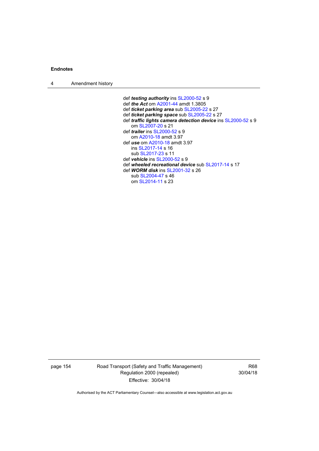4 Amendment history

 def *testing authority* ins [SL2000-52](http://www.legislation.act.gov.au/sl/2000-52) s 9 def *the Act* om [A2001-44](http://www.legislation.act.gov.au/a/2001-44) amdt 1.3805 def *ticket parking area* sub [SL2005-22](http://www.legislation.act.gov.au/sl/2005-22) s 27 def *ticket parking space* sub [SL2005-22](http://www.legislation.act.gov.au/sl/2005-22) s 27 def *traffic lights camera detection device* ins [SL2000-52](http://www.legislation.act.gov.au/sl/2000-52) s 9 om [SL2007-20](http://www.legislation.act.gov.au/sl/2007-20) s 21 def *trailer* ins [SL2000-52](http://www.legislation.act.gov.au/sl/2000-52) s 9 om [A2010-18](http://www.legislation.act.gov.au/a/2010-18) amdt 3.97 def *use* om [A2010-18](http://www.legislation.act.gov.au/a/2010-18) amdt 3.97 ins [SL2017-14](http://www.legislation.act.gov.au/sl/2017-14/default.asp) s 16 sub [SL2017-23](http://www.legislation.act.gov.au/sl/2017-23/default.asp) s 11 def *vehicle* ins [SL2000-52](http://www.legislation.act.gov.au/sl/2000-52) s 9 def *wheeled recreational device* sub [SL2017-14](http://www.legislation.act.gov.au/sl/2017-14/default.asp) s 17 def *WORM disk* ins [SL2001-32](http://www.legislation.act.gov.au/sl/2001-32) s 26 sub [SL2004-47](http://www.legislation.act.gov.au/sl/2004-47) s 46 om [SL2014-11](http://www.legislation.act.gov.au/sl/2014-11) s 23

page 154 Road Transport (Safety and Traffic Management) Regulation 2000 (repealed) Effective: 30/04/18

R68 30/04/18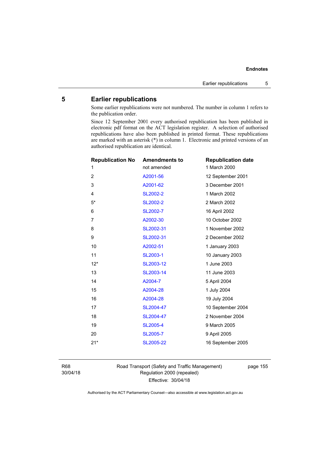# **5 Earlier republications**

Some earlier republications were not numbered. The number in column 1 refers to the publication order.

Since 12 September 2001 every authorised republication has been published in electronic pdf format on the ACT legislation register. A selection of authorised republications have also been published in printed format. These republications are marked with an asterisk (\*) in column 1. Electronic and printed versions of an authorised republication are identical.

| <b>Republication No</b> | <b>Amendments to</b> | <b>Republication date</b> |
|-------------------------|----------------------|---------------------------|
| 1                       | not amended          | 1 March 2000              |
| $\overline{2}$          | A2001-56             | 12 September 2001         |
| 3                       | A2001-62             | 3 December 2001           |
| 4                       | <b>SL2002-2</b>      | 1 March 2002              |
| $5*$                    | <b>SL2002-2</b>      | 2 March 2002              |
| 6                       | <b>SL2002-7</b>      | 16 April 2002             |
| 7                       | A2002-30             | 10 October 2002           |
| 8                       | SL2002-31            | 1 November 2002           |
| 9                       | SL2002-31            | 2 December 2002           |
| 10                      | A2002-51             | 1 January 2003            |
| 11                      | SL2003-1             | 10 January 2003           |
| $12*$                   | SL2003-12            | 1 June 2003               |
| 13                      | SL2003-14            | 11 June 2003              |
| 14                      | A2004-7              | 5 April 2004              |
| 15                      | A2004-28             | 1 July 2004               |
| 16                      | A2004-28             | 19 July 2004              |
| 17                      | SL2004-47            | 10 September 2004         |
| 18                      | SL2004-47            | 2 November 2004           |
| 19                      | <b>SL2005-4</b>      | 9 March 2005              |
| 20                      | <b>SL2005-7</b>      | 9 April 2005              |
| $21*$                   | SL2005-22            | 16 September 2005         |
|                         |                      |                           |

R68 30/04/18 Road Transport (Safety and Traffic Management) Regulation 2000 (repealed) Effective: 30/04/18

page 155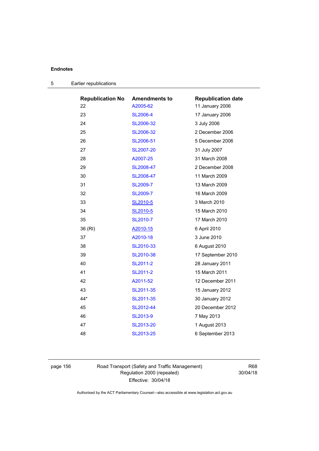| <b>Republication No</b> | <b>Amendments to</b> | <b>Republication date</b> |
|-------------------------|----------------------|---------------------------|
| 22                      | A2005-62             | 11 January 2006           |
| 23                      | SL2006-4             | 17 January 2006           |
| 24                      | SL2006-32            | 3 July 2006               |
| 25                      | SL2006-32            | 2 December 2006           |
| 26                      | SL2006-51            | 5 December 2006           |
| 27                      | <b>SL2007-20</b>     | 31 July 2007              |
| 28                      | A2007-25             | 31 March 2008             |
| 29                      | SL2008-47            | 2 December 2008           |
| 30                      | SL2008-47            | 11 March 2009             |
| 31                      | SL2009-7             | 13 March 2009             |
| 32                      | <b>SL2009-7</b>      | 16 March 2009             |
| 33                      | SL2010-5             | 3 March 2010              |
| 34                      | SL2010-5             | 15 March 2010             |
| 35                      | SL2010-7             | 17 March 2010             |
| 36 (RI)                 | A2010-15             | 6 April 2010              |
| 37                      | A2010-18             | 3 June 2010               |
| 38                      | SL2010-33            | 6 August 2010             |
| 39                      | SL2010-38            | 17 September 2010         |
| 40                      | SL2011-2             | 28 January 2011           |
| 41                      | SL2011-2             | 15 March 2011             |
| 42                      | A2011-52             | 12 December 2011          |
| 43                      | SL2011-35            | 15 January 2012           |
| 44*                     | SL2011-35            | 30 January 2012           |
| 45                      | SL2012-44            | 20 December 2012          |
| 46                      | SL2013-9             | 7 May 2013                |
| 47                      | SL2013-20            | 1 August 2013             |
| 48                      | SL2013-25            | 6 September 2013          |

5 Earlier republications

page 156 Road Transport (Safety and Traffic Management) Regulation 2000 (repealed) Effective: 30/04/18

R68 30/04/18